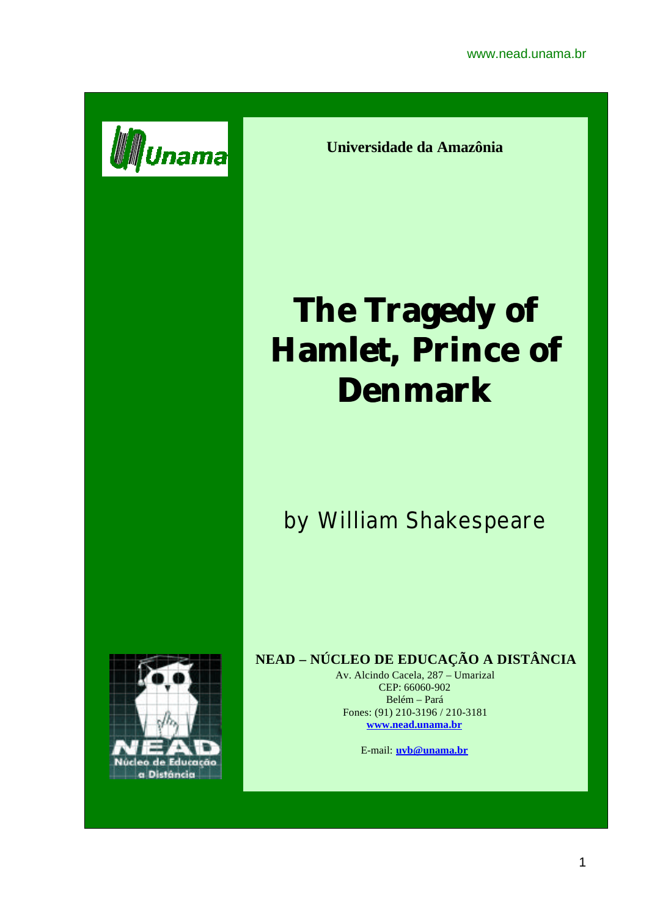

**Universidade da Amazônia**

# **The Tragedy of Hamlet, Prince of Denmark**

## by William Shakespeare



#### **NEAD – NÚCLEO DE EDUCAÇÃO A DISTÂNCIA**

Av. Alcindo Cacela, 287 – Umarizal CEP: 66060-902 Belém – Pará Fones: (91) 210-3196 / 210-3181 **www.nead.unama.br**

E-mail: **uvb@unama.br**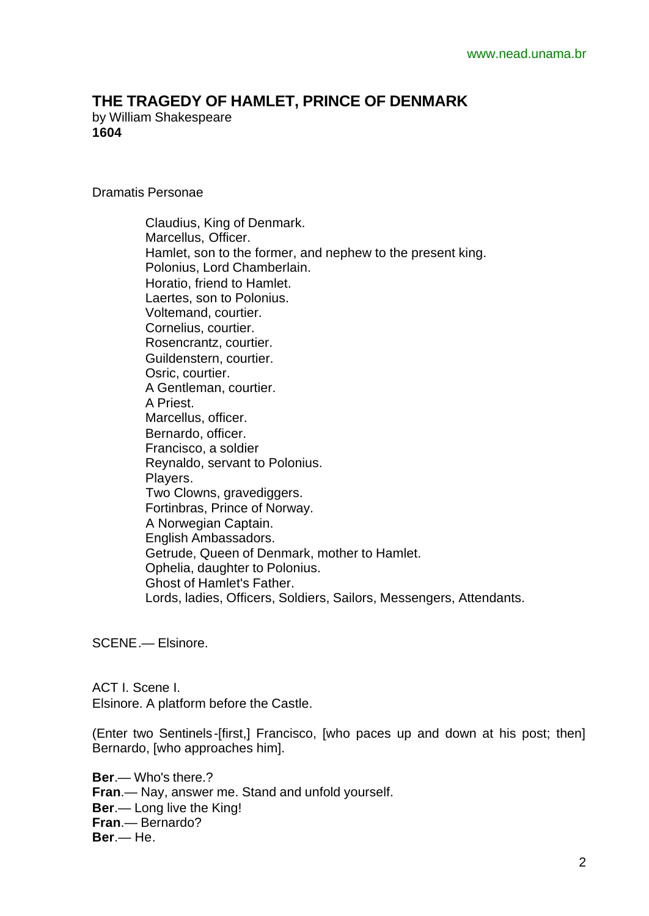### **THE TRAGEDY OF HAMLET, PRINCE OF DENMARK**

by William Shakespeare **1604**

Dramatis Personae

 Claudius, King of Denmark. Marcellus, Officer. Hamlet, son to the former, and nephew to the present king. Polonius, Lord Chamberlain. Horatio, friend to Hamlet. Laertes, son to Polonius. Voltemand, courtier. Cornelius, courtier. Rosencrantz, courtier. Guildenstern, courtier. Osric, courtier. A Gentleman, courtier. A Priest. Marcellus, officer. Bernardo, officer. Francisco, a soldier Reynaldo, servant to Polonius. Players. Two Clowns, gravediggers. Fortinbras, Prince of Norway. A Norwegian Captain. English Ambassadors. Getrude, Queen of Denmark, mother to Hamlet. Ophelia, daughter to Polonius. Ghost of Hamlet's Father. Lords, ladies, Officers, Soldiers, Sailors, Messengers, Attendants.

SCENE.— Elsinore.

ACT I. Scene I. Elsinore. A platform before the Castle.

(Enter two Sentinels-[first,] Francisco, [who paces up and down at his post; then] Bernardo, [who approaches him].

**Ber**.— Who's there.? **Fran**.— Nay, answer me. Stand and unfold yourself. **Ber**.— Long live the King! **Fran**.— Bernardo? **Ber**.— He.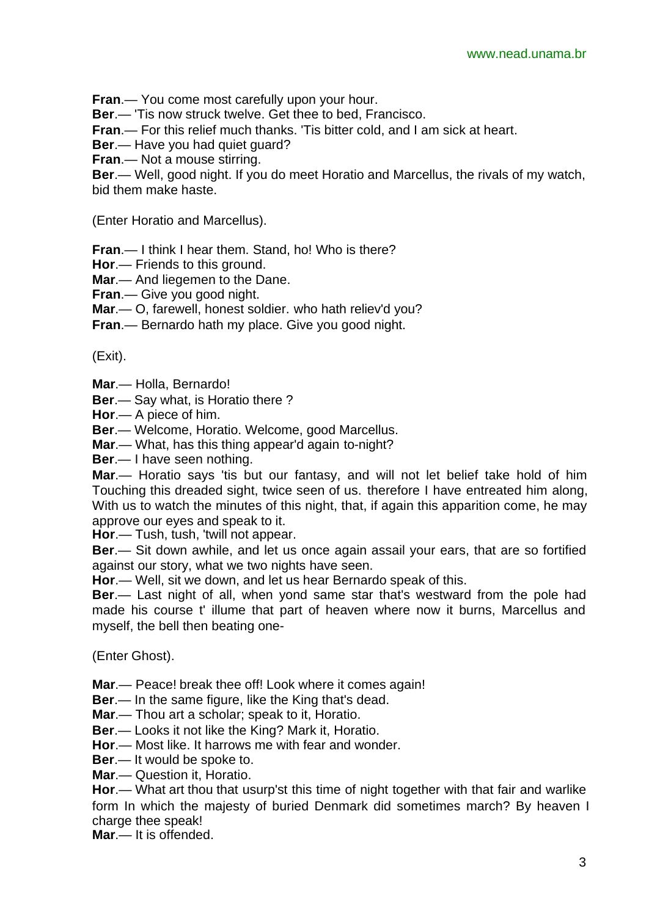**Fran**.— You come most carefully upon your hour.

**Ber**.— 'Tis now struck twelve. Get thee to bed, Francisco.

**Fran**.— For this relief much thanks. 'Tis bitter cold, and I am sick at heart.

**Ber**.— Have you had quiet guard?

**Fran**.— Not a mouse stirring.

**Ber**.— Well, good night. If you do meet Horatio and Marcellus, the rivals of my watch, bid them make haste.

(Enter Horatio and Marcellus).

**Fran**.— I think I hear them. Stand, ho! Who is there?

**Hor**.— Friends to this ground.

**Mar**.— And liegemen to the Dane.

**Fran**.— Give you good night.

**Mar**.— O, farewell, honest soldier. who hath reliev'd you?

**Fran**.— Bernardo hath my place. Give you good night.

(Exit).

**Mar**.— Holla, Bernardo!

**Ber**.— Say what, is Horatio there ?

**Hor**.— A piece of him.

**Ber**.— Welcome, Horatio. Welcome, good Marcellus.

**Mar**.— What, has this thing appear'd again to-night?

**Ber**.— I have seen nothing.

**Mar**.— Horatio says 'tis but our fantasy, and will not let belief take hold of him Touching this dreaded sight, twice seen of us. therefore I have entreated him along, With us to watch the minutes of this night, that, if again this apparition come, he may approve our eyes and speak to it.

**Hor**.— Tush, tush, 'twill not appear.

**Ber**.— Sit down awhile, and let us once again assail your ears, that are so fortified against our story, what we two nights have seen.

**Hor**.— Well, sit we down, and let us hear Bernardo speak of this.

**Ber**.— Last night of all, when yond same star that's westward from the pole had made his course t' illume that part of heaven where now it burns, Marcellus and myself, the bell then beating one-

(Enter Ghost).

**Mar**.— Peace! break thee off! Look where it comes again!

**Ber**.— In the same figure, like the King that's dead.

**Mar**.— Thou art a scholar; speak to it, Horatio.

**Ber**.— Looks it not like the King? Mark it, Horatio.

**Hor**.— Most like. It harrows me with fear and wonder.

**Ber**.— It would be spoke to.

**Mar**.— Question it, Horatio.

**Hor**.— What art thou that usurp'st this time of night together with that fair and warlike form In which the majesty of buried Denmark did sometimes march? By heaven I charge thee speak!

**Mar**.— It is offended.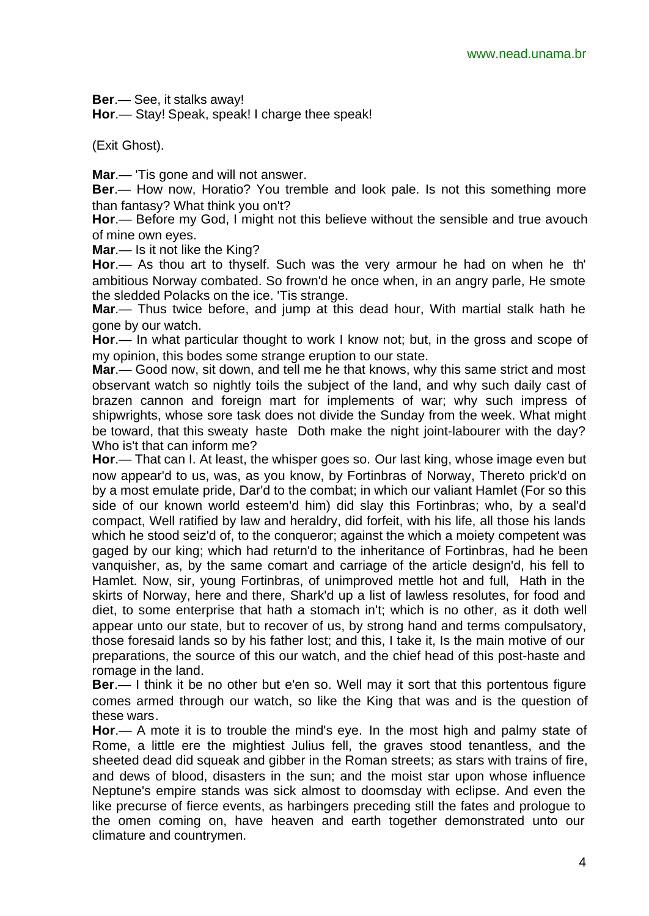**Ber**.— See, it stalks away!

**Hor**.— Stay! Speak, speak! I charge thee speak!

(Exit Ghost).

**Mar**.— 'Tis gone and will not answer.

**Ber**.— How now, Horatio? You tremble and look pale. Is not this something more than fantasy? What think you on't?

**Hor**.— Before my God, I might not this believe without the sensible and true avouch of mine own eyes.

**Mar**.— Is it not like the King?

**Hor**.— As thou art to thyself. Such was the very armour he had on when he th' ambitious Norway combated. So frown'd he once when, in an angry parle, He smote the sledded Polacks on the ice. 'Tis strange.

**Mar**.— Thus twice before, and jump at this dead hour, With martial stalk hath he gone by our watch.

**Hor**.— In what particular thought to work I know not; but, in the gross and scope of my opinion, this bodes some strange eruption to our state.

**Mar**.— Good now, sit down, and tell me he that knows, why this same strict and most observant watch so nightly toils the subject of the land, and why such daily cast of brazen cannon and foreign mart for implements of war; why such impress of shipwrights, whose sore task does not divide the Sunday from the week. What might be toward, that this sweaty haste Doth make the night joint-labourer with the day? Who is't that can inform me?

**Hor**.— That can I. At least, the whisper goes so. Our last king, whose image even but now appear'd to us, was, as you know, by Fortinbras of Norway, Thereto prick'd on by a most emulate pride, Dar'd to the combat; in which our valiant Hamlet (For so this side of our known world esteem'd him) did slay this Fortinbras; who, by a seal'd compact, Well ratified by law and heraldry, did forfeit, with his life, all those his lands which he stood seiz'd of, to the conqueror; against the which a moiety competent was gaged by our king; which had return'd to the inheritance of Fortinbras, had he been vanquisher, as, by the same comart and carriage of the article design'd, his fell to Hamlet. Now, sir, young Fortinbras, of unimproved mettle hot and full, Hath in the skirts of Norway, here and there, Shark'd up a list of lawless resolutes, for food and diet, to some enterprise that hath a stomach in't; which is no other, as it doth well appear unto our state, but to recover of us, by strong hand and terms compulsatory, those foresaid lands so by his father lost; and this, I take it, Is the main motive of our preparations, the source of this our watch, and the chief head of this post-haste and romage in the land.

**Ber**.— I think it be no other but e'en so. Well may it sort that this portentous figure comes armed through our watch, so like the King that was and is the question of these wars.

**Hor**.— A mote it is to trouble the mind's eye. In the most high and palmy state of Rome, a little ere the mightiest Julius fell, the graves stood tenantless, and the sheeted dead did squeak and gibber in the Roman streets; as stars with trains of fire, and dews of blood, disasters in the sun; and the moist star upon whose influence Neptune's empire stands was sick almost to doomsday with eclipse. And even the like precurse of fierce events, as harbingers preceding still the fates and prologue to the omen coming on, have heaven and earth together demonstrated unto our climature and countrymen.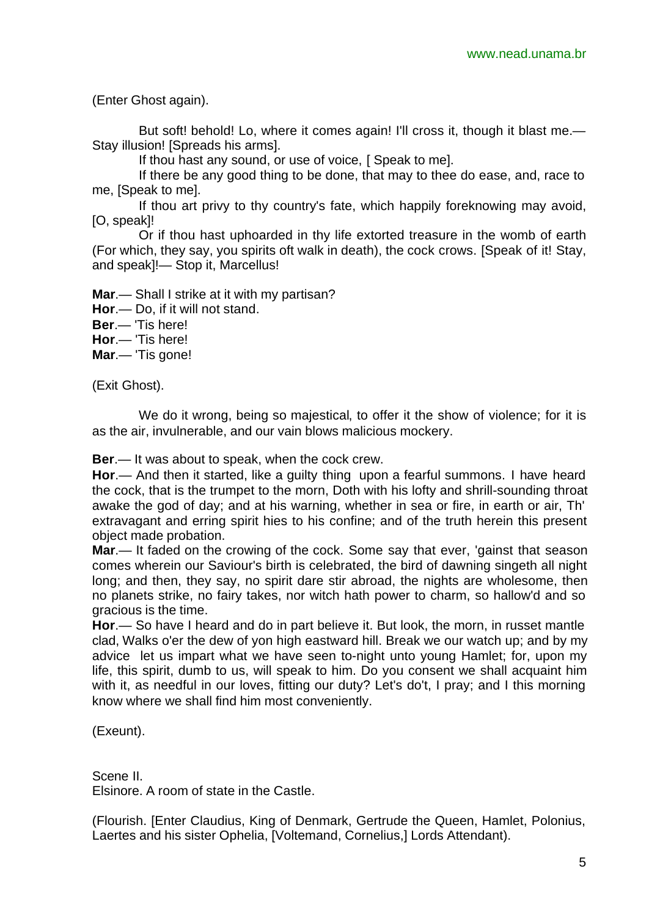(Enter Ghost again).

But soft! behold! Lo, where it comes again! I'll cross it, though it blast me.— Stay illusion! [Spreads his arms].

If thou hast any sound, or use of voice, [ Speak to me].

If there be any good thing to be done, that may to thee do ease, and, race to me, [Speak to me].

If thou art privy to thy country's fate, which happily foreknowing may avoid, [O, speak]!

Or if thou hast uphoarded in thy life extorted treasure in the womb of earth (For which, they say, you spirits oft walk in death), the cock crows. [Speak of it! Stay, and speak]!— Stop it, Marcellus!

**Mar**.— Shall I strike at it with my partisan?

**Hor**.— Do, if it will not stand.

**Ber**.— 'Tis here!

**Hor**.— 'Tis here!

**Mar**.— 'Tis gone!

(Exit Ghost).

We do it wrong, being so majestical, to offer it the show of violence; for it is as the air, invulnerable, and our vain blows malicious mockery.

**Ber**.— It was about to speak, when the cock crew.

**Hor**.— And then it started, like a guilty thing upon a fearful summons. I have heard the cock, that is the trumpet to the morn, Doth with his lofty and shrill-sounding throat awake the god of day; and at his warning, whether in sea or fire, in earth or air, Th' extravagant and erring spirit hies to his confine; and of the truth herein this present object made probation.

**Mar**.— It faded on the crowing of the cock. Some say that ever, 'gainst that season comes wherein our Saviour's birth is celebrated, the bird of dawning singeth all night long; and then, they say, no spirit dare stir abroad, the nights are wholesome, then no planets strike, no fairy takes, nor witch hath power to charm, so hallow'd and so gracious is the time.

**Hor**.— So have I heard and do in part believe it. But look, the morn, in russet mantle clad, Walks o'er the dew of yon high eastward hill. Break we our watch up; and by my advice let us impart what we have seen to-night unto young Hamlet; for, upon my life, this spirit, dumb to us, will speak to him. Do you consent we shall acquaint him with it, as needful in our loves, fitting our duty? Let's do't, I pray; and I this morning know where we shall find him most conveniently.

(Exeunt).

Scene II. Elsinore. A room of state in the Castle.

(Flourish. [Enter Claudius, King of Denmark, Gertrude the Queen, Hamlet, Polonius, Laertes and his sister Ophelia, [Voltemand, Cornelius,] Lords Attendant).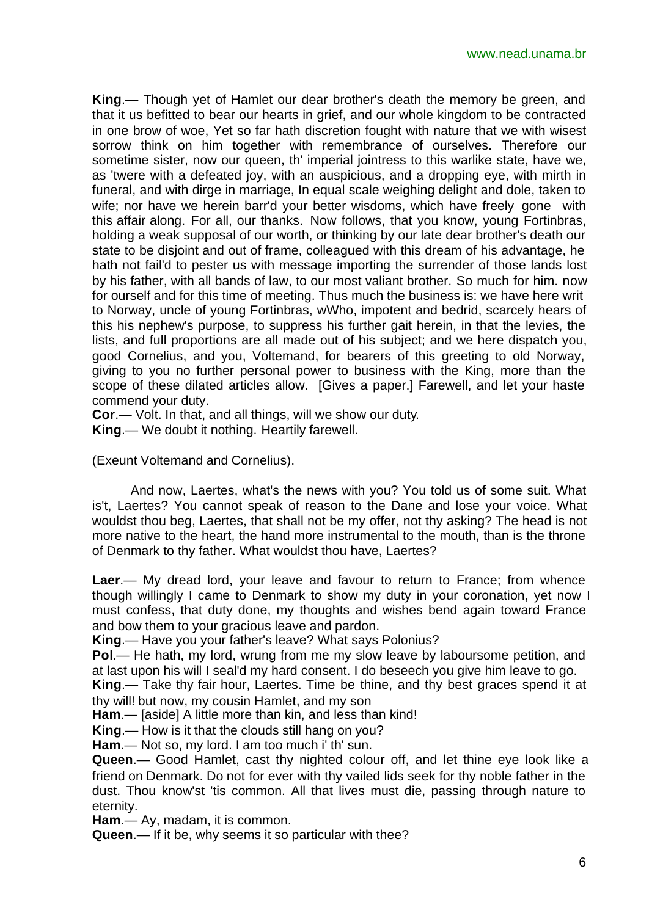**King**.— Though yet of Hamlet our dear brother's death the memory be green, and that it us befitted to bear our hearts in grief, and our whole kingdom to be contracted in one brow of woe, Yet so far hath discretion fought with nature that we with wisest sorrow think on him together with remembrance of ourselves. Therefore our sometime sister, now our queen, th' imperial jointress to this warlike state, have we, as 'twere with a defeated joy, with an auspicious, and a dropping eye, with mirth in funeral, and with dirge in marriage, In equal scale weighing delight and dole, taken to wife; nor have we herein barr'd your better wisdoms, which have freely gone with this affair along. For all, our thanks. Now follows, that you know, young Fortinbras, holding a weak supposal of our worth, or thinking by our late dear brother's death our state to be disjoint and out of frame, colleagued with this dream of his advantage, he hath not fail'd to pester us with message importing the surrender of those lands lost by his father, with all bands of law, to our most valiant brother. So much for him. now for ourself and for this time of meeting. Thus much the business is: we have here writ to Norway, uncle of young Fortinbras, wWho, impotent and bedrid, scarcely hears of this his nephew's purpose, to suppress his further gait herein, in that the levies, the lists, and full proportions are all made out of his subject; and we here dispatch you, good Cornelius, and you, Voltemand, for bearers of this greeting to old Norway, giving to you no further personal power to business with the King, more than the scope of these dilated articles allow. [Gives a paper.] Farewell, and let your haste commend your duty.

**Cor**.— Volt. In that, and all things, will we show our duty.

**King**.— We doubt it nothing. Heartily farewell.

(Exeunt Voltemand and Cornelius).

And now, Laertes, what's the news with you? You told us of some suit. What is't, Laertes? You cannot speak of reason to the Dane and lose your voice. What wouldst thou beg, Laertes, that shall not be my offer, not thy asking? The head is not more native to the heart, the hand more instrumental to the mouth, than is the throne of Denmark to thy father. What wouldst thou have, Laertes?

**Laer**.— My dread lord, your leave and favour to return to France; from whence though willingly I came to Denmark to show my duty in your coronation, yet now I must confess, that duty done, my thoughts and wishes bend again toward France and bow them to your gracious leave and pardon.

**King**.— Have you your father's leave? What says Polonius?

**Pol**.— He hath, my lord, wrung from me my slow leave by laboursome petition, and at last upon his will I seal'd my hard consent. I do beseech you give him leave to go.

**King**.— Take thy fair hour, Laertes. Time be thine, and thy best graces spend it at thy will! but now, my cousin Hamlet, and my son

**Ham**.— [aside] A little more than kin, and less than kind!

**King**.— How is it that the clouds still hang on you?

**Ham**.— Not so, my lord. I am too much i' th' sun.

**Queen**.— Good Hamlet, cast thy nighted colour off, and let thine eye look like a friend on Denmark. Do not for ever with thy vailed lids seek for thy noble father in the dust. Thou know'st 'tis common. All that lives must die, passing through nature to eternity.

**Ham**.— Ay, madam, it is common.

**Queen**.— If it be, why seems it so particular with thee?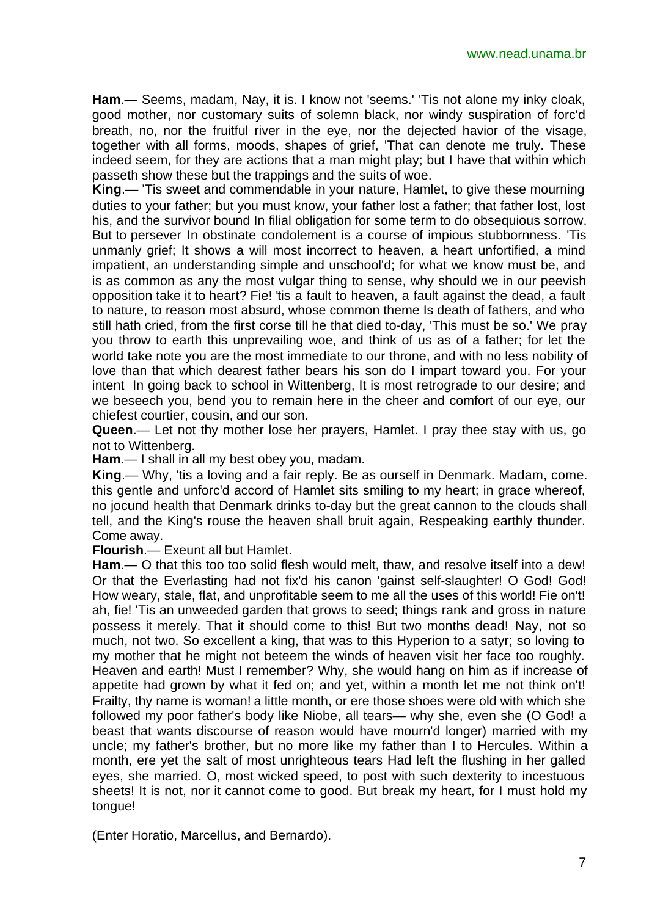www.nead.unama.br

**Ham**.— Seems, madam, Nay, it is. I know not 'seems.' 'Tis not alone my inky cloak, good mother, nor customary suits of solemn black, nor windy suspiration of forc'd breath, no, nor the fruitful river in the eye, nor the dejected havior of the visage, together with all forms, moods, shapes of grief, 'That can denote me truly. These indeed seem, for they are actions that a man might play; but I have that within which passeth show these but the trappings and the suits of woe.

**King**.— 'Tis sweet and commendable in your nature, Hamlet, to give these mourning duties to your father; but you must know, your father lost a father; that father lost, lost his, and the survivor bound In filial obligation for some term to do obsequious sorrow. But to persever In obstinate condolement is a course of impious stubbornness. 'Tis unmanly grief; It shows a will most incorrect to heaven, a heart unfortified, a mind impatient, an understanding simple and unschool'd; for what we know must be, and is as common as any the most vulgar thing to sense, why should we in our peevish opposition take it to heart? Fie! 'tis a fault to heaven, a fault against the dead, a fault to nature, to reason most absurd, whose common theme Is death of fathers, and who still hath cried, from the first corse till he that died to-day, 'This must be so.' We pray you throw to earth this unprevailing woe, and think of us as of a father; for let the world take note you are the most immediate to our throne, and with no less nobility of love than that which dearest father bears his son do I impart toward you. For your intent In going back to school in Wittenberg, It is most retrograde to our desire; and we beseech you, bend you to remain here in the cheer and comfort of our eye, our chiefest courtier, cousin, and our son.

**Queen**.— Let not thy mother lose her prayers, Hamlet. I pray thee stay with us, go not to Wittenberg.

**Ham**.— I shall in all my best obey you, madam.

**King**.— Why, 'tis a loving and a fair reply. Be as ourself in Denmark. Madam, come. this gentle and unforc'd accord of Hamlet sits smiling to my heart; in grace whereof, no jocund health that Denmark drinks to-day but the great cannon to the clouds shall tell, and the King's rouse the heaven shall bruit again, Respeaking earthly thunder. Come away.

**Flourish**.— Exeunt all but Hamlet.

**Ham**.— O that this too too solid flesh would melt, thaw, and resolve itself into a dew! Or that the Everlasting had not fix'd his canon 'gainst self-slaughter! O God! God! How weary, stale, flat, and unprofitable seem to me all the uses of this world! Fie on't! ah, fie! 'Tis an unweeded garden that grows to seed; things rank and gross in nature possess it merely. That it should come to this! But two months dead! Nay, not so much, not two. So excellent a king, that was to this Hyperion to a satyr; so loving to my mother that he might not beteem the winds of heaven visit her face too roughly. Heaven and earth! Must I remember? Why, she would hang on him as if increase of appetite had grown by what it fed on; and yet, within a month let me not think on't! Frailty, thy name is woman! a little month, or ere those shoes were old with which she followed my poor father's body like Niobe, all tears— why she, even she (O God! a beast that wants discourse of reason would have mourn'd longer) married with my uncle; my father's brother, but no more like my father than I to Hercules. Within a month, ere yet the salt of most unrighteous tears Had left the flushing in her galled eyes, she married. O, most wicked speed, to post with such dexterity to incestuous sheets! It is not, nor it cannot come to good. But break my heart, for I must hold my tongue!

(Enter Horatio, Marcellus, and Bernardo).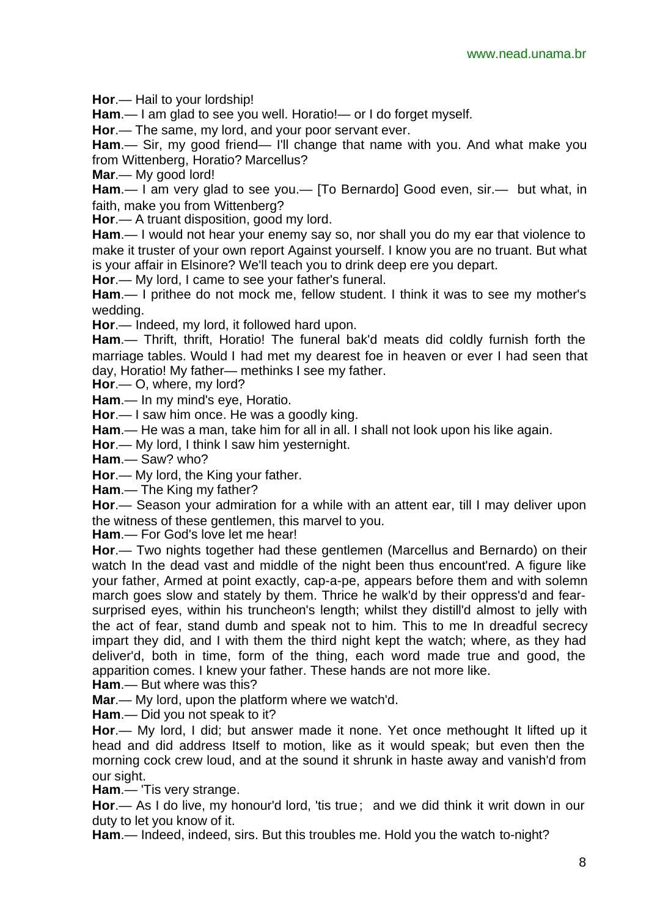**Hor**.— Hail to your lordship!

**Ham**.— I am glad to see you well. Horatio!— or I do forget myself.

**Hor**.— The same, my lord, and your poor servant ever.

**Ham**.— Sir, my good friend— I'll change that name with you. And what make you from Wittenberg, Horatio? Marcellus?

**Mar**.— My good lord!

**Ham**.— I am very glad to see you.— [To Bernardo] Good even, sir.— but what, in faith, make you from Wittenberg?

**Hor**.— A truant disposition, good my lord.

**Ham**.— I would not hear your enemy say so, nor shall you do my ear that violence to make it truster of your own report Against yourself. I know you are no truant. But what is your affair in Elsinore? We'll teach you to drink deep ere you depart.

**Hor**.— My lord, I came to see your father's funeral.

**Ham**.— I prithee do not mock me, fellow student. I think it was to see my mother's wedding.

**Hor**.— Indeed, my lord, it followed hard upon.

**Ham**.— Thrift, thrift, Horatio! The funeral bak'd meats did coldly furnish forth the marriage tables. Would I had met my dearest foe in heaven or ever I had seen that day, Horatio! My father— methinks I see my father.

**Hor**.— O, where, my lord?

**Ham**.— In my mind's eye, Horatio.

**Hor**.— I saw him once. He was a goodly king.

**Ham**.— He was a man, take him for all in all. I shall not look upon his like again.

**Hor**.— My lord, I think I saw him yesternight.

**Ham**.— Saw? who?

**Hor**.— My lord, the King your father.

**Ham**.— The King my father?

**Hor**.— Season your admiration for a while with an attent ear, till I may deliver upon the witness of these gentlemen, this marvel to you.

**Ham**.— For God's love let me hear!

**Hor**.— Two nights together had these gentlemen (Marcellus and Bernardo) on their watch In the dead vast and middle of the night been thus encount'red. A figure like your father, Armed at point exactly, cap-a-pe, appears before them and with solemn march goes slow and stately by them. Thrice he walk'd by their oppress'd and fearsurprised eyes, within his truncheon's length; whilst they distill'd almost to jelly with the act of fear, stand dumb and speak not to him. This to me In dreadful secrecy impart they did, and I with them the third night kept the watch; where, as they had deliver'd, both in time, form of the thing, each word made true and good, the apparition comes. I knew your father. These hands are not more like.

**Ham**.— But where was this?

**Mar**.— My lord, upon the platform where we watch'd.

**Ham**.— Did you not speak to it?

**Hor**.— My lord, I did; but answer made it none. Yet once methought It lifted up it head and did address Itself to motion, like as it would speak; but even then the morning cock crew loud, and at the sound it shrunk in haste away and vanish'd from our sight.

**Ham**.— 'Tis very strange.

**Hor**.— As I do live, my honour'd lord, 'tis true; and we did think it writ down in our duty to let you know of it.

**Ham**.— Indeed, indeed, sirs. But this troubles me. Hold you the watch to-night?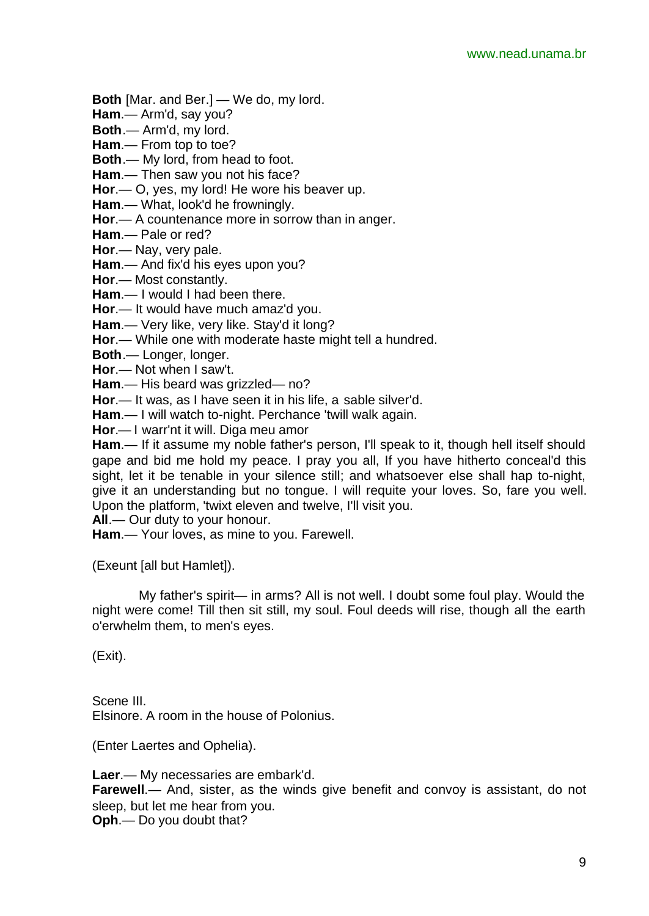**Both** [Mar. and Ber.] — We do, my lord.

**Ham**.— Arm'd, say you?

**Both**.— Arm'd, my lord.

**Ham**.— From top to toe?

**Both**.— My lord, from head to foot.

**Ham**.— Then saw you not his face?

**Hor**.— O, yes, my lord! He wore his beaver up.

**Ham**.— What, look'd he frowningly.

**Hor**.— A countenance more in sorrow than in anger.

**Ham**.— Pale or red?

**Hor**.— Nay, very pale.

**Ham**.— And fix'd his eyes upon you?

**Hor**.— Most constantly.

**Ham**.— I would I had been there.

**Hor**.— It would have much amaz'd you.

**Ham**.— Very like, very like. Stay'd it long?

**Hor**.— While one with moderate haste might tell a hundred.

**Both**.— Longer, longer.

**Hor**.— Not when I saw't.

**Ham**.— His beard was grizzled— no?

**Hor**.— It was, as I have seen it in his life, a sable silver'd.

**Ham**.— I will watch to-night. Perchance 'twill walk again.

**Hor**.— I warr'nt it will. Diga meu amor

**Ham**.— If it assume my noble father's person, I'll speak to it, though hell itself should gape and bid me hold my peace. I pray you all, If you have hitherto conceal'd this sight, let it be tenable in your silence still; and whatsoever else shall hap to-night, give it an understanding but no tongue. I will requite your loves. So, fare you well. Upon the platform, 'twixt eleven and twelve, I'll visit you.

**All**.— Our duty to your honour.

**Ham**.— Your loves, as mine to you. Farewell.

(Exeunt [all but Hamlet]).

My father's spirit— in arms? All is not well. I doubt some foul play. Would the night were come! Till then sit still, my soul. Foul deeds will rise, though all the earth o'erwhelm them, to men's eyes.

(Exit).

Scene III. Elsinore. A room in the house of Polonius.

(Enter Laertes and Ophelia).

**Laer**.— My necessaries are embark'd. **Farewell**.— And, sister, as the winds give benefit and convoy is assistant, do not sleep, but let me hear from you. **Oph**.— Do you doubt that?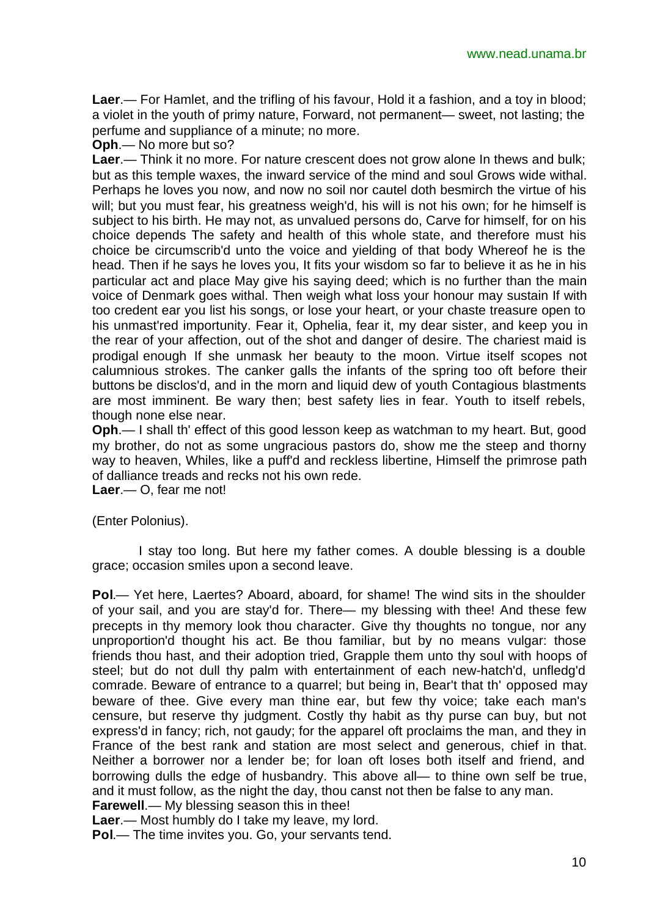**Laer**.— For Hamlet, and the trifling of his favour, Hold it a fashion, and a toy in blood; a violet in the youth of primy nature, Forward, not permanent— sweet, not lasting; the perfume and suppliance of a minute; no more.

**Oph**.— No more but so?

**Laer**.— Think it no more. For nature crescent does not grow alone In thews and bulk; but as this temple waxes, the inward service of the mind and soul Grows wide withal. Perhaps he loves you now, and now no soil nor cautel doth besmirch the virtue of his will; but you must fear, his greatness weigh'd, his will is not his own; for he himself is subject to his birth. He may not, as unvalued persons do, Carve for himself, for on his choice depends The safety and health of this whole state, and therefore must his choice be circumscrib'd unto the voice and yielding of that body Whereof he is the head. Then if he says he loves you, It fits your wisdom so far to believe it as he in his particular act and place May give his saying deed; which is no further than the main voice of Denmark goes withal. Then weigh what loss your honour may sustain If with too credent ear you list his songs, or lose your heart, or your chaste treasure open to his unmast'red importunity. Fear it, Ophelia, fear it, my dear sister, and keep you in the rear of your affection, out of the shot and danger of desire. The chariest maid is prodigal enough If she unmask her beauty to the moon. Virtue itself scopes not calumnious strokes. The canker galls the infants of the spring too oft before their buttons be disclos'd, and in the morn and liquid dew of youth Contagious blastments are most imminent. Be wary then; best safety lies in fear. Youth to itself rebels, though none else near.

**Oph**.— I shall th' effect of this good lesson keep as watchman to my heart. But, good my brother, do not as some ungracious pastors do, show me the steep and thorny way to heaven, Whiles, like a puff'd and reckless libertine, Himself the primrose path of dalliance treads and recks not his own rede.

**Laer**.— O, fear me not!

(Enter Polonius).

I stay too long. But here my father comes. A double blessing is a double grace; occasion smiles upon a second leave.

**Pol**.— Yet here, Laertes? Aboard, aboard, for shame! The wind sits in the shoulder of your sail, and you are stay'd for. There— my blessing with thee! And these few precepts in thy memory look thou character. Give thy thoughts no tongue, nor any unproportion'd thought his act. Be thou familiar, but by no means vulgar: those friends thou hast, and their adoption tried, Grapple them unto thy soul with hoops of steel; but do not dull thy palm with entertainment of each new-hatch'd, unfledg'd comrade. Beware of entrance to a quarrel; but being in, Bear't that th' opposed may beware of thee. Give every man thine ear, but few thy voice; take each man's censure, but reserve thy judgment. Costly thy habit as thy purse can buy, but not express'd in fancy; rich, not gaudy; for the apparel oft proclaims the man, and they in France of the best rank and station are most select and generous, chief in that. Neither a borrower nor a lender be; for loan oft loses both itself and friend, and borrowing dulls the edge of husbandry. This above all— to thine own self be true, and it must follow, as the night the day, thou canst not then be false to any man. **Farewell**.— My blessing season this in thee!

**Laer**.— Most humbly do I take my leave, my lord.

**Pol**.— The time invites you. Go, your servants tend.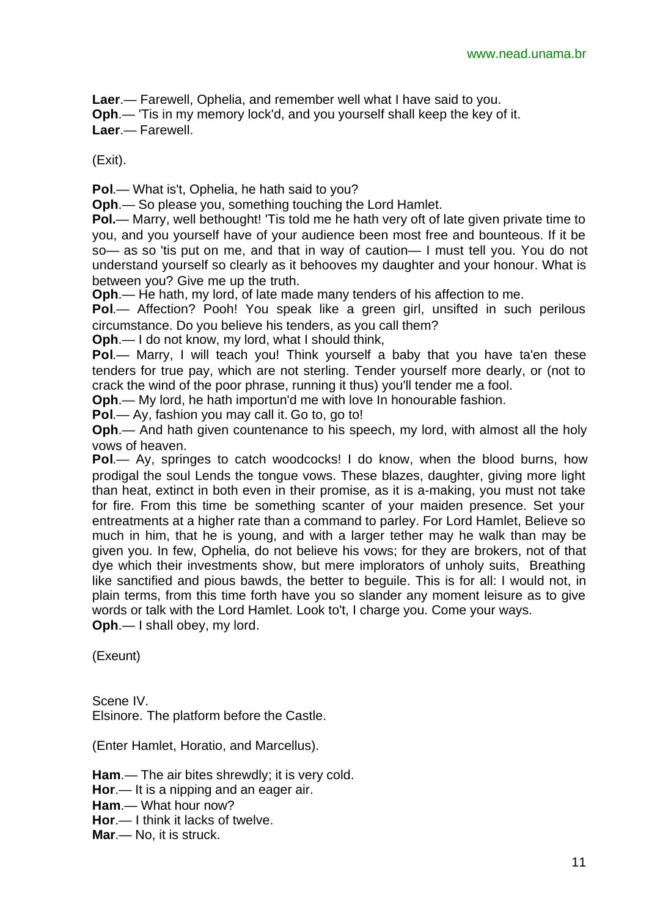**Laer**.— Farewell, Ophelia, and remember well what I have said to you.

**Oph**.— 'Tis in my memory lock'd, and you yourself shall keep the key of it.

**Laer**.— Farewell.

(Exit).

**Pol**.— What is't, Ophelia, he hath said to you?

**Oph**.— So please you, something touching the Lord Hamlet.

**Pol.**— Marry, well bethought! 'Tis told me he hath very oft of late given private time to you, and you yourself have of your audience been most free and bounteous. If it be so— as so 'tis put on me, and that in way of caution— I must tell you. You do not understand yourself so clearly as it behooves my daughter and your honour. What is between you? Give me up the truth.

**Oph**.— He hath, my lord, of late made many tenders of his affection to me.

**Pol**.— Affection? Pooh! You speak like a green girl, unsifted in such perilous circumstance. Do you believe his tenders, as you call them?

**Oph**.— I do not know, my lord, what I should think,

**Pol.**— Marry, I will teach you! Think yourself a baby that you have ta'en these tenders for true pay, which are not sterling. Tender yourself more dearly, or (not to crack the wind of the poor phrase, running it thus) you'll tender me a fool.

**Oph**.— My lord, he hath importun'd me with love In honourable fashion.

**Pol**.— Ay, fashion you may call it. Go to, go to!

**Oph**.— And hath given countenance to his speech, my lord, with almost all the holy vows of heaven.

**Pol**.— Ay, springes to catch woodcocks! I do know, when the blood burns, how prodigal the soul Lends the tongue vows. These blazes, daughter, giving more light than heat, extinct in both even in their promise, as it is a-making, you must not take for fire. From this time be something scanter of your maiden presence. Set your entreatments at a higher rate than a command to parley. For Lord Hamlet, Believe so much in him, that he is young, and with a larger tether may he walk than may be given you. In few, Ophelia, do not believe his vows; for they are brokers, not of that dye which their investments show, but mere implorators of unholy suits, Breathing like sanctified and pious bawds, the better to beguile. This is for all: I would not, in plain terms, from this time forth have you so slander any moment leisure as to give words or talk with the Lord Hamlet. Look to't, I charge you. Come your ways. **Oph**.— I shall obey, my lord.

(Exeunt)

Scene IV. Elsinore. The platform before the Castle.

(Enter Hamlet, Horatio, and Marcellus).

**Ham**.— The air bites shrewdly; it is very cold.

**Hor**.— It is a nipping and an eager air.

**Ham**.— What hour now?

**Hor**.— I think it lacks of twelve.

**Mar**.— No, it is struck.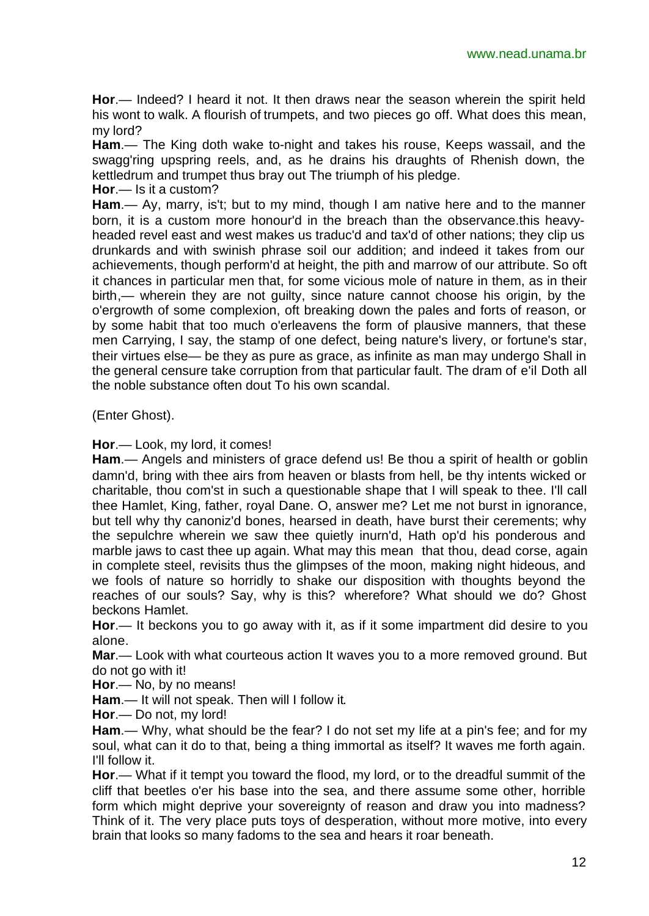**Hor**.— Indeed? I heard it not. It then draws near the season wherein the spirit held his wont to walk. A flourish of trumpets, and two pieces go off. What does this mean, my lord?

**Ham**.— The King doth wake to-night and takes his rouse, Keeps wassail, and the swagg'ring upspring reels, and, as he drains his draughts of Rhenish down, the kettledrum and trumpet thus bray out The triumph of his pledge.

**Hor**.— Is it a custom?

**Ham**.— Ay, marry, is't; but to my mind, though I am native here and to the manner born, it is a custom more honour'd in the breach than the observance.this heavyheaded revel east and west makes us traduc'd and tax'd of other nations; they clip us drunkards and with swinish phrase soil our addition; and indeed it takes from our achievements, though perform'd at height, the pith and marrow of our attribute. So oft it chances in particular men that, for some vicious mole of nature in them, as in their birth,— wherein they are not guilty, since nature cannot choose his origin, by the o'ergrowth of some complexion, oft breaking down the pales and forts of reason, or by some habit that too much o'erleavens the form of plausive manners, that these men Carrying, I say, the stamp of one defect, being nature's livery, or fortune's star, their virtues else— be they as pure as grace, as infinite as man may undergo Shall in the general censure take corruption from that particular fault. The dram of e'il Doth all the noble substance often dout To his own scandal.

(Enter Ghost).

**Hor**.— Look, my lord, it comes!

**Ham**.— Angels and ministers of grace defend us! Be thou a spirit of health or goblin damn'd, bring with thee airs from heaven or blasts from hell, be thy intents wicked or charitable, thou com'st in such a questionable shape that I will speak to thee. I'll call thee Hamlet, King, father, royal Dane. O, answer me? Let me not burst in ignorance, but tell why thy canoniz'd bones, hearsed in death, have burst their cerements; why the sepulchre wherein we saw thee quietly inurn'd, Hath op'd his ponderous and marble jaws to cast thee up again. What may this mean that thou, dead corse, again in complete steel, revisits thus the glimpses of the moon, making night hideous, and we fools of nature so horridly to shake our disposition with thoughts beyond the reaches of our souls? Say, why is this? wherefore? What should we do? Ghost beckons Hamlet.

**Hor**.— It beckons you to go away with it, as if it some impartment did desire to you alone.

**Mar**.— Look with what courteous action It waves you to a more removed ground. But do not go with it!

**Hor**.— No, by no means!

**Ham**.— It will not speak. Then will I follow it.

**Hor**.— Do not, my lord!

**Ham**.— Why, what should be the fear? I do not set my life at a pin's fee; and for my soul, what can it do to that, being a thing immortal as itself? It waves me forth again. I'll follow it.

**Hor**.— What if it tempt you toward the flood, my lord, or to the dreadful summit of the cliff that beetles o'er his base into the sea, and there assume some other, horrible form which might deprive your sovereignty of reason and draw you into madness? Think of it. The very place puts toys of desperation, without more motive, into every brain that looks so many fadoms to the sea and hears it roar beneath.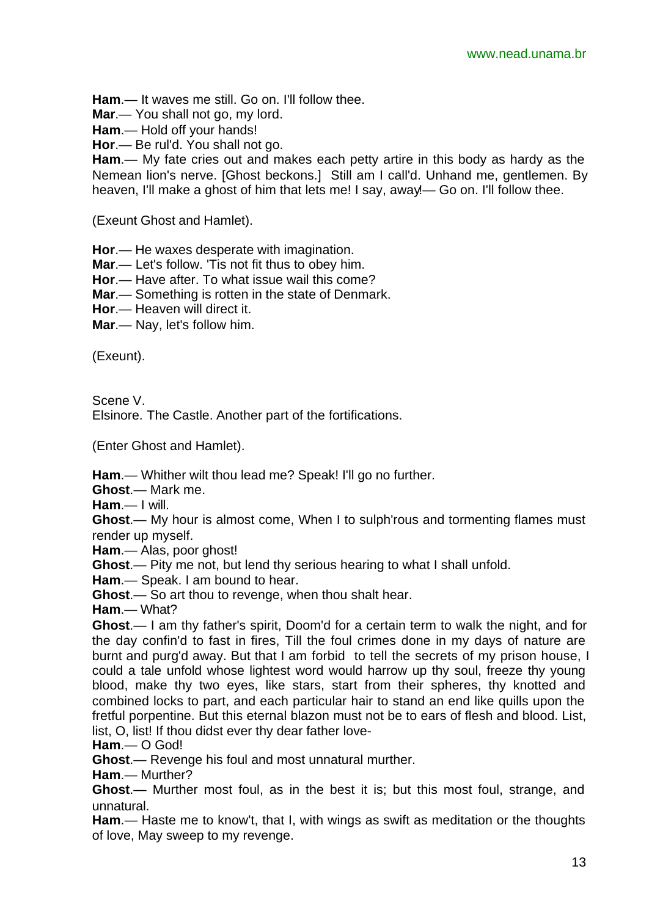**Ham**.— It waves me still. Go on. I'll follow thee.

**Mar**.— You shall not go, my lord.

**Ham**.— Hold off your hands!

**Hor**.— Be rul'd. You shall not go.

**Ham**.— My fate cries out and makes each petty artire in this body as hardy as the Nemean lion's nerve. [Ghost beckons.] Still am I call'd. Unhand me, gentlemen. By heaven, I'll make a ghost of him that lets me! I say, away!— Go on. I'll follow thee.

(Exeunt Ghost and Hamlet).

**Hor**.— He waxes desperate with imagination.

**Mar**.— Let's follow. 'Tis not fit thus to obey him.

**Hor**.— Have after. To what issue wail this come?

**Mar**.— Something is rotten in the state of Denmark.

**Hor**.— Heaven will direct it.

**Mar**.— Nay, let's follow him.

(Exeunt).

Scene V.

Elsinore. The Castle. Another part of the fortifications.

(Enter Ghost and Hamlet).

**Ham**.— Whither wilt thou lead me? Speak! I'll go no further.

**Ghost**.— Mark me.

**Ham**.— I will.

**Ghost**.— My hour is almost come, When I to sulph'rous and tormenting flames must render up myself.

**Ham**.— Alas, poor ghost!

**Ghost**.— Pity me not, but lend thy serious hearing to what I shall unfold.

**Ham**.— Speak. I am bound to hear.

**Ghost**.— So art thou to revenge, when thou shalt hear.

**Ham**.— What?

**Ghost**.— I am thy father's spirit, Doom'd for a certain term to walk the night, and for the day confin'd to fast in fires, Till the foul crimes done in my days of nature are burnt and purg'd away. But that I am forbid to tell the secrets of my prison house, I could a tale unfold whose lightest word would harrow up thy soul, freeze thy young blood, make thy two eyes, like stars, start from their spheres, thy knotted and combined locks to part, and each particular hair to stand an end like quills upon the fretful porpentine. But this eternal blazon must not be to ears of flesh and blood. List, list, O, list! If thou didst ever thy dear father love-

**Ham**.— O God!

**Ghost**.— Revenge his foul and most unnatural murther.

**Ham**.— Murther?

**Ghost**.— Murther most foul, as in the best it is; but this most foul, strange, and unnatural.

**Ham**.— Haste me to know't, that I, with wings as swift as meditation or the thoughts of love, May sweep to my revenge.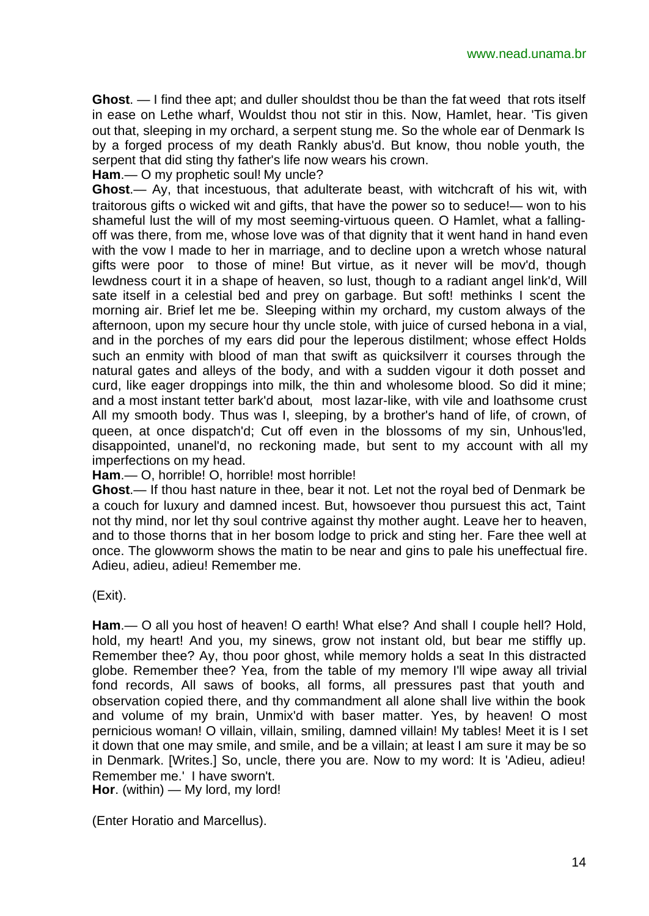**Ghost**. — I find thee apt; and duller shouldst thou be than the fat weed that rots itself in ease on Lethe wharf, Wouldst thou not stir in this. Now, Hamlet, hear. 'Tis given out that, sleeping in my orchard, a serpent stung me. So the whole ear of Denmark Is by a forged process of my death Rankly abus'd. But know, thou noble youth, the serpent that did sting thy father's life now wears his crown.

**Ham**.— O my prophetic soul! My uncle?

**Ghost**.— Ay, that incestuous, that adulterate beast, with witchcraft of his wit, with traitorous gifts o wicked wit and gifts, that have the power so to seduce!— won to his shameful lust the will of my most seeming-virtuous queen. O Hamlet, what a fallingoff was there, from me, whose love was of that dignity that it went hand in hand even with the vow I made to her in marriage, and to decline upon a wretch whose natural gifts were poor to those of mine! But virtue, as it never will be mov'd, though lewdness court it in a shape of heaven, so lust, though to a radiant angel link'd, Will sate itself in a celestial bed and prey on garbage. But soft! methinks I scent the morning air. Brief let me be. Sleeping within my orchard, my custom always of the afternoon, upon my secure hour thy uncle stole, with juice of cursed hebona in a vial, and in the porches of my ears did pour the leperous distilment; whose effect Holds such an enmity with blood of man that swift as quicksilverr it courses through the natural gates and alleys of the body, and with a sudden vigour it doth posset and curd, like eager droppings into milk, the thin and wholesome blood. So did it mine; and a most instant tetter bark'd about, most lazar-like, with vile and loathsome crust All my smooth body. Thus was I, sleeping, by a brother's hand of life, of crown, of queen, at once dispatch'd; Cut off even in the blossoms of my sin, Unhous'led, disappointed, unanel'd, no reckoning made, but sent to my account with all my imperfections on my head.

**Ham**.— O, horrible! O, horrible! most horrible!

**Ghost**.— If thou hast nature in thee, bear it not. Let not the royal bed of Denmark be a couch for luxury and damned incest. But, howsoever thou pursuest this act, Taint not thy mind, nor let thy soul contrive against thy mother aught. Leave her to heaven, and to those thorns that in her bosom lodge to prick and sting her. Fare thee well at once. The glowworm shows the matin to be near and gins to pale his uneffectual fire. Adieu, adieu, adieu! Remember me.

(Exit).

**Ham**.— O all you host of heaven! O earth! What else? And shall I couple hell? Hold, hold, my heart! And you, my sinews, grow not instant old, but bear me stiffly up. Remember thee? Ay, thou poor ghost, while memory holds a seat In this distracted globe. Remember thee? Yea, from the table of my memory I'll wipe away all trivial fond records, All saws of books, all forms, all pressures past that youth and observation copied there, and thy commandment all alone shall live within the book and volume of my brain, Unmix'd with baser matter. Yes, by heaven! O most pernicious woman! O villain, villain, smiling, damned villain! My tables! Meet it is I set it down that one may smile, and smile, and be a villain; at least I am sure it may be so in Denmark. [Writes.] So, uncle, there you are. Now to my word: It is 'Adieu, adieu! Remember me.' I have sworn't.

**Hor**. (within) — My lord, my lord!

(Enter Horatio and Marcellus).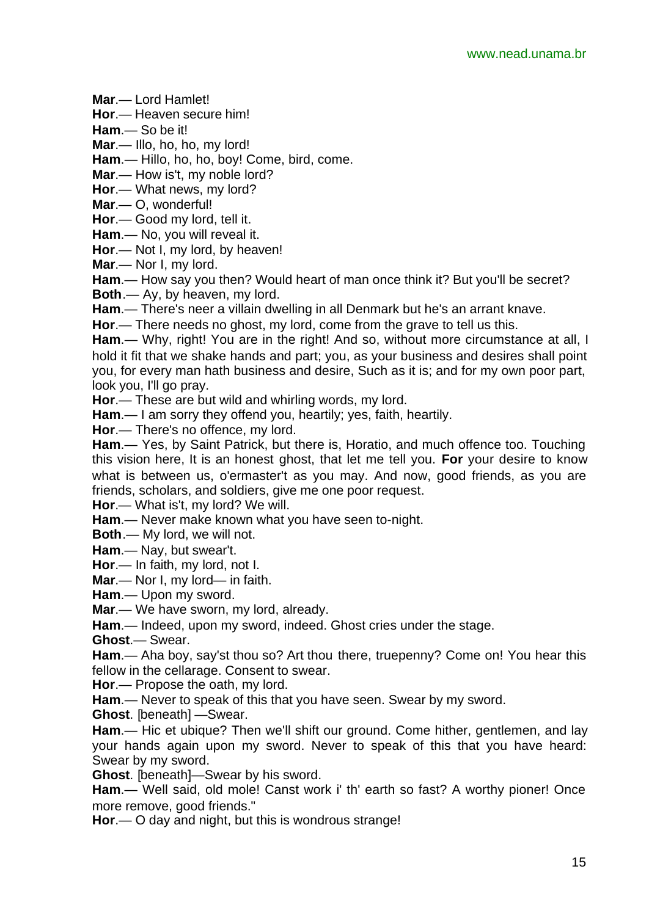**Mar**.— Lord Hamlet!

**Hor**.— Heaven secure him!

**Ham**.— So be it!

**Mar**.— Illo, ho, ho, my lord!

**Ham**.— Hillo, ho, ho, boy! Come, bird, come.

**Mar**.— How is't, my noble lord?

**Hor**.— What news, my lord?

**Mar**.— O, wonderful!

**Hor**.— Good my lord, tell it.

**Ham**.— No, you will reveal it.

**Hor**.— Not I, my lord, by heaven!

**Mar**.— Nor I, my lord.

**Ham**.— How say you then? Would heart of man once think it? But you'll be secret?

**Both**.— Ay, by heaven, my lord.

**Ham**.— There's neer a villain dwelling in all Denmark but he's an arrant knave.

**Hor**.— There needs no ghost, my lord, come from the grave to tell us this.

**Ham**.— Why, right! You are in the right! And so, without more circumstance at all, I hold it fit that we shake hands and part; you, as your business and desires shall point you, for every man hath business and desire, Such as it is; and for my own poor part, look you, I'll go pray.

**Hor**.— These are but wild and whirling words, my lord.

**Ham**.— I am sorry they offend you, heartily; yes, faith, heartily.

**Hor**.— There's no offence, my lord.

**Ham**.— Yes, by Saint Patrick, but there is, Horatio, and much offence too. Touching this vision here, It is an honest ghost, that let me tell you. **For** your desire to know what is between us, o'ermaster't as you may. And now, good friends, as you are friends, scholars, and soldiers, give me one poor request.

**Hor**.— What is't, my lord? We will.

**Ham**.— Never make known what you have seen to-night.

**Both**.— My lord, we will not.

**Ham**.— Nay, but swear't.

**Hor**.— In faith, my lord, not I.

**Mar**.— Nor I, my lord— in faith.

**Ham**.— Upon my sword.

**Mar**.— We have sworn, my lord, already.

**Ham**.— Indeed, upon my sword, indeed. Ghost cries under the stage.

**Ghost**.— Swear.

**Ham**.— Aha boy, say'st thou so? Art thou there, truepenny? Come on! You hear this fellow in the cellarage. Consent to swear.

**Hor**.— Propose the oath, my lord.

**Ham**.— Never to speak of this that you have seen. Swear by my sword.

**Ghost**. [beneath] —Swear.

**Ham**.— Hic et ubique? Then we'll shift our ground. Come hither, gentlemen, and lay your hands again upon my sword. Never to speak of this that you have heard: Swear by my sword.

**Ghost**. [beneath]—Swear by his sword.

**Ham**.— Well said, old mole! Canst work i' th' earth so fast? A worthy pioner! Once more remove, good friends."

**Hor**.— O day and night, but this is wondrous strange!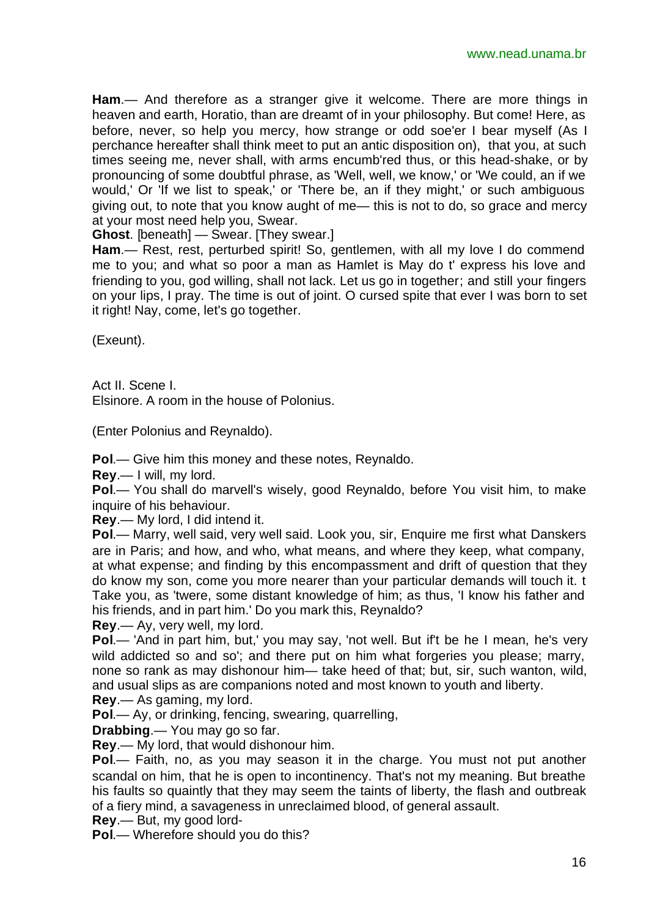**Ham**.— And therefore as a stranger give it welcome. There are more things in heaven and earth, Horatio, than are dreamt of in your philosophy. But come! Here, as before, never, so help you mercy, how strange or odd soe'er I bear myself (As I perchance hereafter shall think meet to put an antic disposition on), that you, at such times seeing me, never shall, with arms encumb'red thus, or this head-shake, or by pronouncing of some doubtful phrase, as 'Well, well, we know,' or 'We could, an if we would,' Or 'If we list to speak,' or 'There be, an if they might,' or such ambiguous giving out, to note that you know aught of me— this is not to do, so grace and mercy at your most need help you, Swear.

**Ghost**. [beneath] — Swear. [They swear.]

Ham.— Rest, rest, perturbed spirit! So, gentlemen, with all my love I do commend me to you; and what so poor a man as Hamlet is May do t' express his love and friending to you, god willing, shall not lack. Let us go in together; and still your fingers on your lips, I pray. The time is out of joint. O cursed spite that ever I was born to set it right! Nay, come, let's go together.

(Exeunt).

Act II. Scene I. Elsinore. A room in the house of Polonius.

(Enter Polonius and Reynaldo).

**Pol**.— Give him this money and these notes, Reynaldo.

**Rey**.— I will, my lord.

**Pol**.— You shall do marvell's wisely, good Reynaldo, before You visit him, to make inquire of his behaviour.

**Rey**.— My lord, I did intend it.

**Pol**.— Marry, well said, very well said. Look you, sir, Enquire me first what Danskers are in Paris; and how, and who, what means, and where they keep, what company, at what expense; and finding by this encompassment and drift of question that they do know my son, come you more nearer than your particular demands will touch it. t Take you, as 'twere, some distant knowledge of him; as thus, 'I know his father and his friends, and in part him.' Do you mark this, Reynaldo?

**Rey**.— Ay, very well, my lord.

**Pol**.— 'And in part him, but,' you may say, 'not well. But if't be he I mean, he's very wild addicted so and so'; and there put on him what forgeries you please; marry, none so rank as may dishonour him— take heed of that; but, sir, such wanton, wild, and usual slips as are companions noted and most known to youth and liberty.

**Rey**.— As gaming, my lord.

**Pol**.— Ay, or drinking, fencing, swearing, quarrelling,

**Drabbing**.— You may go so far.

**Rey**.— My lord, that would dishonour him.

**Pol**.— Faith, no, as you may season it in the charge. You must not put another scandal on him, that he is open to incontinency. That's not my meaning. But breathe his faults so quaintly that they may seem the taints of liberty, the flash and outbreak of a fiery mind, a savageness in unreclaimed blood, of general assault.

**Rey**.— But, my good lord-

**Pol**.— Wherefore should you do this?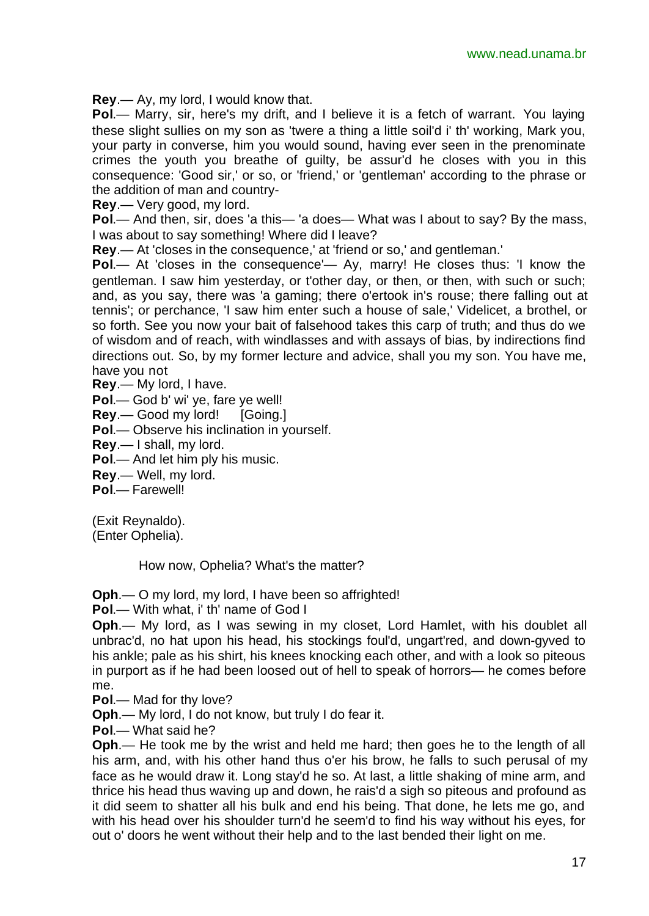**Rey**.— Ay, my lord, I would know that.

**Pol**.— Marry, sir, here's my drift, and I believe it is a fetch of warrant. You laying these slight sullies on my son as 'twere a thing a little soil'd i' th' working, Mark you, your party in converse, him you would sound, having ever seen in the prenominate crimes the youth you breathe of guilty, be assur'd he closes with you in this consequence: 'Good sir,' or so, or 'friend,' or 'gentleman' according to the phrase or the addition of man and country-

**Rey**.— Very good, my lord.

**Pol**.— And then, sir, does 'a this— 'a does— What was I about to say? By the mass, I was about to say something! Where did I leave?

**Rey**.— At 'closes in the consequence,' at 'friend or so,' and gentleman.'

**Pol**.— At 'closes in the consequence'— Ay, marry! He closes thus: 'I know the gentleman. I saw him yesterday, or t'other day, or then, or then, with such or such; and, as you say, there was 'a gaming; there o'ertook in's rouse; there falling out at tennis'; or perchance, 'I saw him enter such a house of sale,' Videlicet, a brothel, or so forth. See you now your bait of falsehood takes this carp of truth; and thus do we of wisdom and of reach, with windlasses and with assays of bias, by indirections find directions out. So, by my former lecture and advice, shall you my son. You have me, have you not

**Rey**.— My lord, I have.

**Pol**.— God b' wi' ye, fare ye well!

**Rey.**— Good my lord! [Going.]

**Pol**.— Observe his inclination in yourself.

**Rey**.— I shall, my lord.

**Pol**.— And let him ply his music.

**Rey**.— Well, my lord.

**Pol**.— Farewell!

(Exit Reynaldo). (Enter Ophelia).

How now, Ophelia? What's the matter?

**Oph**.— O my lord, my lord, I have been so affrighted!

**Pol**.— With what, i' th' name of God I

**Oph**.— My lord, as I was sewing in my closet, Lord Hamlet, with his doublet all unbrac'd, no hat upon his head, his stockings foul'd, ungart'red, and down-gyved to his ankle; pale as his shirt, his knees knocking each other, and with a look so piteous in purport as if he had been loosed out of hell to speak of horrors— he comes before me.

**Pol**.— Mad for thy love?

**Oph**.— My lord, I do not know, but truly I do fear it.

**Pol**.— What said he?

**Oph**.— He took me by the wrist and held me hard; then goes he to the length of all his arm, and, with his other hand thus o'er his brow, he falls to such perusal of my face as he would draw it. Long stay'd he so. At last, a little shaking of mine arm, and thrice his head thus waving up and down, he rais'd a sigh so piteous and profound as it did seem to shatter all his bulk and end his being. That done, he lets me go, and with his head over his shoulder turn'd he seem'd to find his way without his eyes, for out o' doors he went without their help and to the last bended their light on me.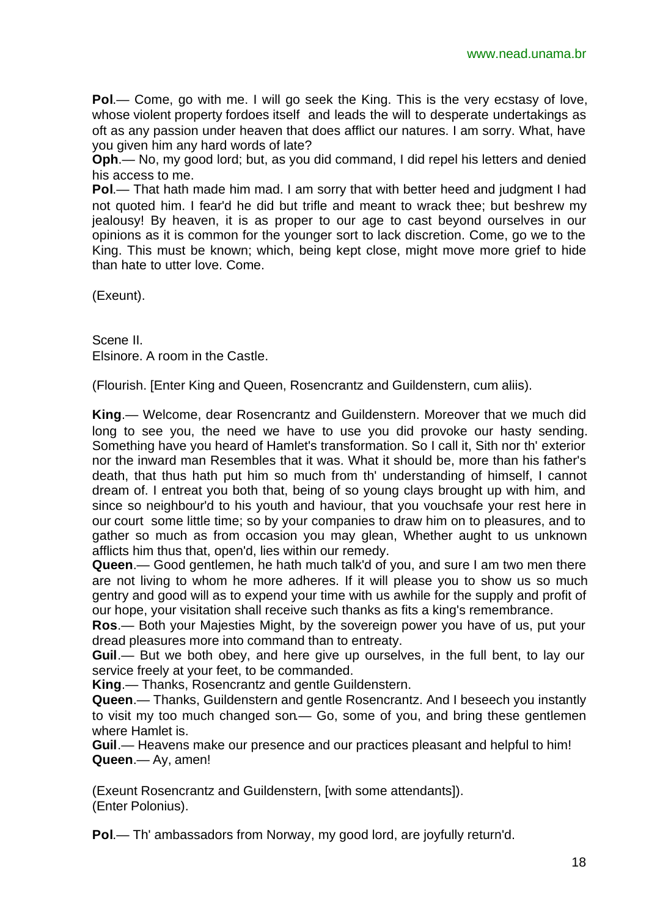**Pol**.— Come, go with me. I will go seek the King. This is the very ecstasy of love, whose violent property fordoes itself and leads the will to desperate undertakings as oft as any passion under heaven that does afflict our natures. I am sorry. What, have you given him any hard words of late?

**Oph**.— No, my good lord; but, as you did command, I did repel his letters and denied his access to me.

**Pol.**— That hath made him mad. I am sorry that with better heed and judgment I had not quoted him. I fear'd he did but trifle and meant to wrack thee; but beshrew my jealousy! By heaven, it is as proper to our age to cast beyond ourselves in our opinions as it is common for the younger sort to lack discretion. Come, go we to the King. This must be known; which, being kept close, might move more grief to hide than hate to utter love. Come.

(Exeunt).

Scene II. Elsinore. A room in the Castle.

(Flourish. [Enter King and Queen, Rosencrantz and Guildenstern, cum aliis).

**King**.— Welcome, dear Rosencrantz and Guildenstern. Moreover that we much did long to see you, the need we have to use you did provoke our hasty sending. Something have you heard of Hamlet's transformation. So I call it, Sith nor th' exterior nor the inward man Resembles that it was. What it should be, more than his father's death, that thus hath put him so much from th' understanding of himself, I cannot dream of. I entreat you both that, being of so young clays brought up with him, and since so neighbour'd to his youth and haviour, that you vouchsafe your rest here in our court some little time; so by your companies to draw him on to pleasures, and to gather so much as from occasion you may glean, Whether aught to us unknown afflicts him thus that, open'd, lies within our remedy.

**Queen**.— Good gentlemen, he hath much talk'd of you, and sure I am two men there are not living to whom he more adheres. If it will please you to show us so much gentry and good will as to expend your time with us awhile for the supply and profit of our hope, your visitation shall receive such thanks as fits a king's remembrance.

**Ros**.— Both your Majesties Might, by the sovereign power you have of us, put your dread pleasures more into command than to entreaty.

**Guil**.— But we both obey, and here give up ourselves, in the full bent, to lay our service freely at your feet, to be commanded.

**King**.— Thanks, Rosencrantz and gentle Guildenstern.

**Queen**.— Thanks, Guildenstern and gentle Rosencrantz. And I beseech you instantly to visit my too much changed son.— Go, some of you, and bring these gentlemen where Hamlet is.

**Guil**.— Heavens make our presence and our practices pleasant and helpful to him! **Queen**.— Ay, amen!

(Exeunt Rosencrantz and Guildenstern, [with some attendants]). (Enter Polonius).

**Pol**.— Th' ambassadors from Norway, my good lord, are joyfully return'd.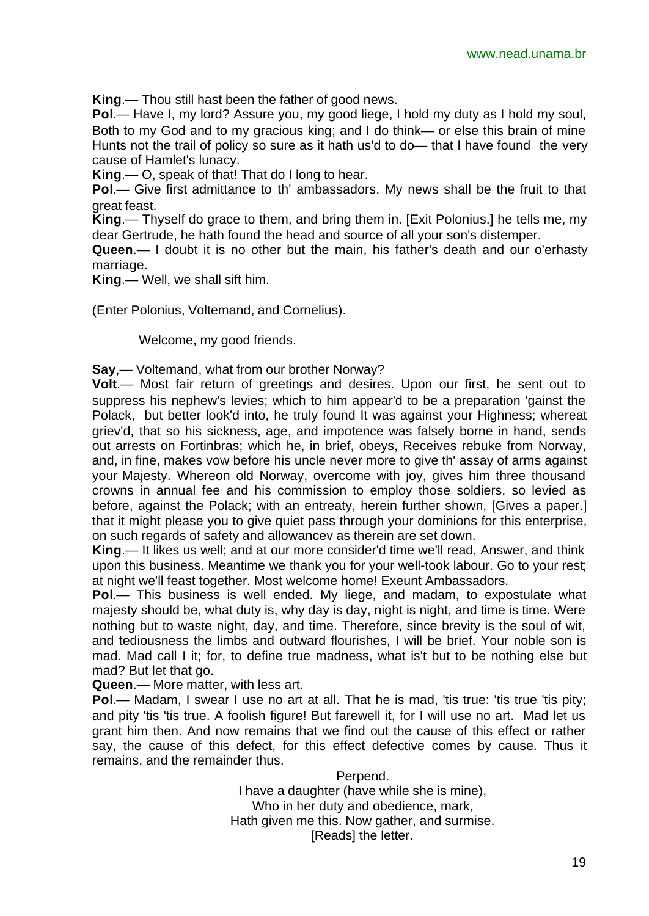**King**.— Thou still hast been the father of good news.

**Pol**.— Have I, my lord? Assure you, my good liege, I hold my duty as I hold my soul, Both to my God and to my gracious king; and I do think— or else this brain of mine Hunts not the trail of policy so sure as it hath us'd to do— that I have found the very cause of Hamlet's lunacy.

**King**.— O, speak of that! That do I long to hear.

**Pol**.— Give first admittance to th' ambassadors. My news shall be the fruit to that great feast.

**King**.— Thyself do grace to them, and bring them in. [Exit Polonius.] he tells me, my dear Gertrude, he hath found the head and source of all your son's distemper.

**Queen**.— I doubt it is no other but the main, his father's death and our o'erhasty marriage.

**King**.— Well, we shall sift him.

(Enter Polonius, Voltemand, and Cornelius).

Welcome, my good friends.

**Say**,— Voltemand, what from our brother Norway?

**Volt**.— Most fair return of greetings and desires. Upon our first, he sent out to suppress his nephew's levies; which to him appear'd to be a preparation 'gainst the Polack, but better look'd into, he truly found It was against your Highness; whereat griev'd, that so his sickness, age, and impotence was falsely borne in hand, sends out arrests on Fortinbras; which he, in brief, obeys, Receives rebuke from Norway, and, in fine, makes vow before his uncle never more to give th' assay of arms against your Majesty. Whereon old Norway, overcome with joy, gives him three thousand crowns in annual fee and his commission to employ those soldiers, so levied as before, against the Polack; with an entreaty, herein further shown, [Gives a paper.] that it might please you to give quiet pass through your dominions for this enterprise, on such regards of safety and allowancev as therein are set down.

**King**.— It likes us well; and at our more consider'd time we'll read, Answer, and think upon this business. Meantime we thank you for your well-took labour. Go to your rest; at night we'll feast together. Most welcome home! Exeunt Ambassadors.

**Pol**.— This business is well ended. My liege, and madam, to expostulate what majesty should be, what duty is, why day is day, night is night, and time is time. Were nothing but to waste night, day, and time. Therefore, since brevity is the soul of wit, and tediousness the limbs and outward flourishes, I will be brief. Your noble son is mad. Mad call I it; for, to define true madness, what is't but to be nothing else but mad? But let that go.

**Queen**.— More matter, with less art.

Pol.— Madam, I swear I use no art at all. That he is mad, 'tis true: 'tis true 'tis pity; and pity 'tis 'tis true. A foolish figure! But farewell it, for I will use no art. Mad let us grant him then. And now remains that we find out the cause of this effect or rather say, the cause of this defect, for this effect defective comes by cause. Thus it remains, and the remainder thus.

> Perpend. I have a daughter (have while she is mine), Who in her duty and obedience, mark, Hath given me this. Now gather, and surmise. [Reads] the letter.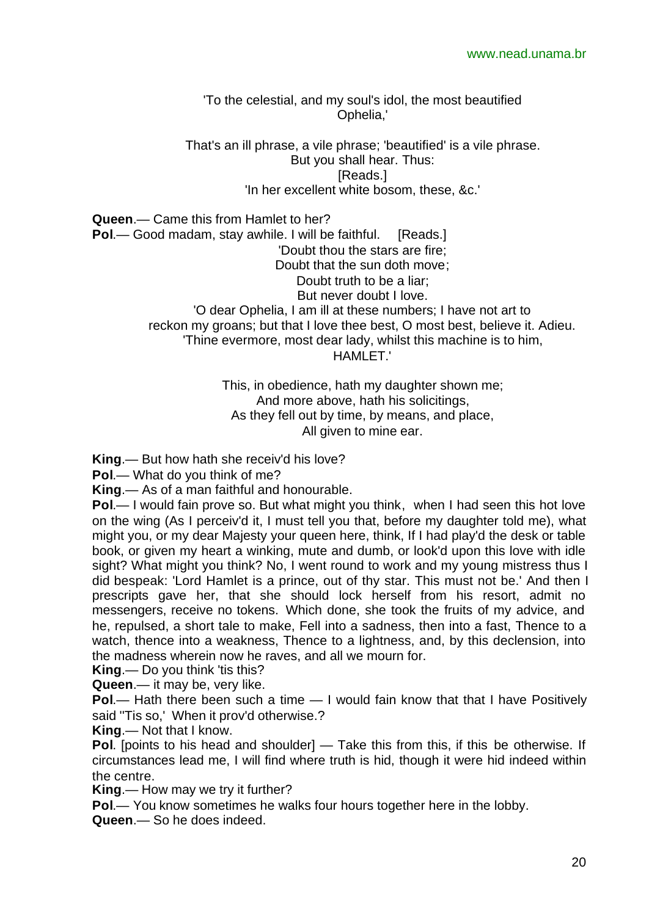'To the celestial, and my soul's idol, the most beautified Ophelia,'

That's an ill phrase, a vile phrase; 'beautified' is a vile phrase. But you shall hear. Thus: [Reads.] 'In her excellent white bosom, these, &c.'

**Queen**.— Came this from Hamlet to her? **Pol.**— Good madam, stay awhile. I will be faithful. [Reads.] 'Doubt thou the stars are fire; Doubt that the sun doth move; Doubt truth to be a liar; But never doubt I love. 'O dear Ophelia, I am ill at these numbers; I have not art to reckon my groans; but that I love thee best, O most best, believe it. Adieu. 'Thine evermore, most dear lady, whilst this machine is to him, HAMI FT.'

> This, in obedience, hath my daughter shown me; And more above, hath his solicitings, As they fell out by time, by means, and place, All given to mine ear.

**King**.— But how hath she receiv'd his love?

**Pol**.— What do you think of me?

**King**.— As of a man faithful and honourable.

**Pol.**— I would fain prove so. But what might you think, when I had seen this hot love on the wing (As I perceiv'd it, I must tell you that, before my daughter told me), what might you, or my dear Majesty your queen here, think, If I had play'd the desk or table book, or given my heart a winking, mute and dumb, or look'd upon this love with idle sight? What might you think? No, I went round to work and my young mistress thus I did bespeak: 'Lord Hamlet is a prince, out of thy star. This must not be.' And then I prescripts gave her, that she should lock herself from his resort, admit no messengers, receive no tokens. Which done, she took the fruits of my advice, and he, repulsed, a short tale to make, Fell into a sadness, then into a fast, Thence to a watch, thence into a weakness, Thence to a lightness, and, by this declension, into the madness wherein now he raves, and all we mourn for.

**King.—** Do you think 'tis this?

**Queen**.— it may be, very like.

**Pol**.— Hath there been such a time — I would fain know that that I have Positively said ''Tis so,' When it prov'd otherwise.?

**King**.— Not that I know.

**Pol.** [points to his head and shoulder] — Take this from this, if this be otherwise. If circumstances lead me, I will find where truth is hid, though it were hid indeed within the centre.

**King**.— How may we try it further?

**Pol**.— You know sometimes he walks four hours together here in the lobby.

**Queen**.— So he does indeed.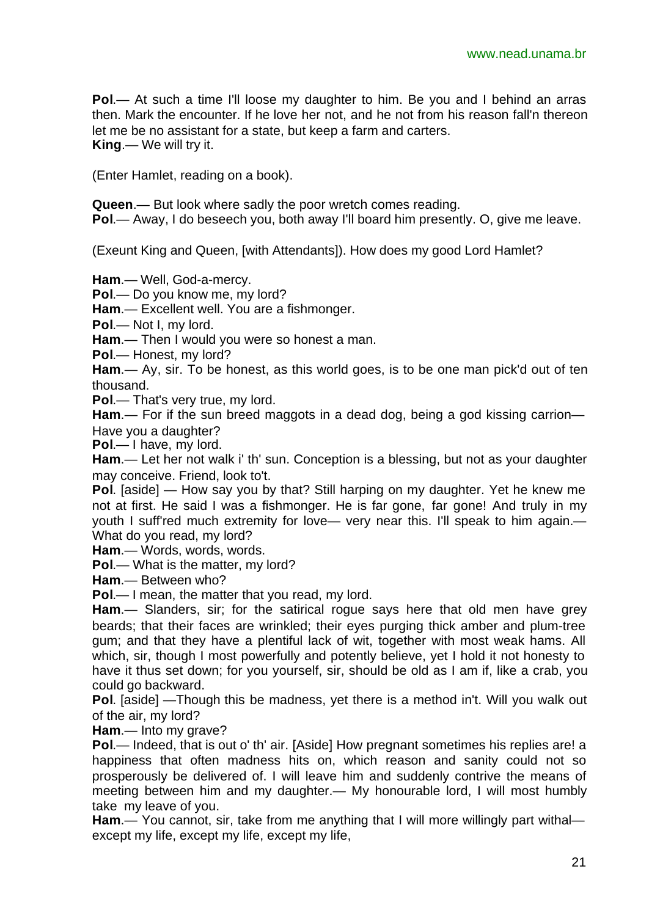**Pol**.— At such a time I'll loose my daughter to him. Be you and I behind an arras then. Mark the encounter. If he love her not, and he not from his reason fall'n thereon let me be no assistant for a state, but keep a farm and carters. **King**.— We will try it.

(Enter Hamlet, reading on a book).

**Queen**.— But look where sadly the poor wretch comes reading. **Pol**.— Away, I do beseech you, both away I'll board him presently. O, give me leave.

(Exeunt King and Queen, [with Attendants]). How does my good Lord Hamlet?

**Ham**.— Well, God-a-mercy.

**Pol**.— Do you know me, my lord?

**Ham**.— Excellent well. You are a fishmonger.

**Pol**.— Not I, my lord.

**Ham**.— Then I would you were so honest a man.

**Pol**.— Honest, my lord?

**Ham**.— Ay, sir. To be honest, as this world goes, is to be one man pick'd out of ten thousand.

**Pol**.— That's very true, my lord.

**Ham**.— For if the sun breed maggots in a dead dog, being a god kissing carrion— Have you a daughter?

**Pol**.— I have, my lord.

**Ham**.— Let her not walk i' th' sun. Conception is a blessing, but not as your daughter may conceive. Friend, look to't.

**Pol**. [aside] — How say you by that? Still harping on my daughter. Yet he knew me not at first. He said I was a fishmonger. He is far gone, far gone! And truly in my youth I suff'red much extremity for love— very near this. I'll speak to him again.— What do you read, my lord?

**Ham**.— Words, words, words.

**Pol**.— What is the matter, my lord?

**Ham**.— Between who?

**Pol**.— I mean, the matter that you read, my lord.

**Ham**.— Slanders, sir; for the satirical rogue says here that old men have grey beards; that their faces are wrinkled; their eyes purging thick amber and plum-tree gum; and that they have a plentiful lack of wit, together with most weak hams. All which, sir, though I most powerfully and potently believe, yet I hold it not honesty to have it thus set down; for you yourself, sir, should be old as I am if, like a crab, you could go backward.

**Pol**. [aside] —Though this be madness, yet there is a method in't. Will you walk out of the air, my lord?

**Ham**.— Into my grave?

**Pol**.— Indeed, that is out o' th' air. [Aside] How pregnant sometimes his replies are! a happiness that often madness hits on, which reason and sanity could not so prosperously be delivered of. I will leave him and suddenly contrive the means of meeting between him and my daughter.— My honourable lord, I will most humbly take my leave of you.

**Ham.**— You cannot, sir, take from me anything that I will more willingly part withal except my life, except my life, except my life,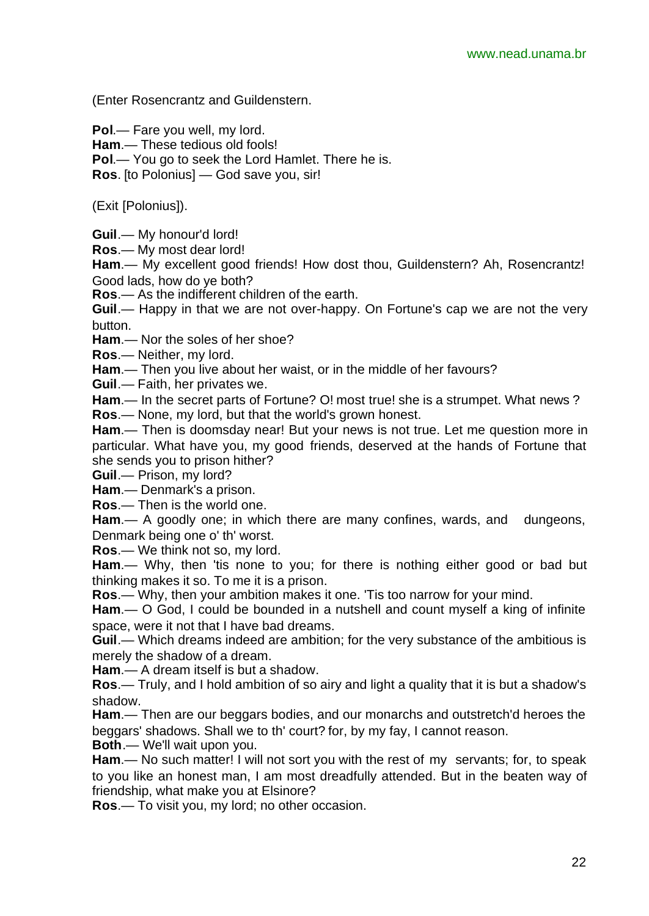(Enter Rosencrantz and Guildenstern.

**Pol**.— Fare you well, my lord.

**Ham**.— These tedious old fools!

**Pol**.— You go to seek the Lord Hamlet. There he is.

**Ros**. [to Polonius] — God save you, sir!

(Exit [Polonius]).

**Guil**.— My honour'd lord!

**Ros**.— My most dear lord!

**Ham**.— My excellent good friends! How dost thou, Guildenstern? Ah, Rosencrantz! Good lads, how do ye both?

**Ros**.— As the indifferent children of the earth.

**Guil**.— Happy in that we are not over-happy. On Fortune's cap we are not the very button.

**Ham**.— Nor the soles of her shoe?

**Ros**.— Neither, my lord.

**Ham**.— Then you live about her waist, or in the middle of her favours?

**Guil**.— Faith, her privates we.

**Ham**.— In the secret parts of Fortune? O! most true! she is a strumpet. What news ? **Ros**.— None, my lord, but that the world's grown honest.

**Ham**.— Then is doomsday near! But your news is not true. Let me question more in particular. What have you, my good friends, deserved at the hands of Fortune that she sends you to prison hither?

**Guil**.— Prison, my lord?

**Ham**.— Denmark's a prison.

**Ros**.— Then is the world one.

**Ham.**— A goodly one; in which there are many confines, wards, and dungeons, Denmark being one o' th' worst.

**Ros**.— We think not so, my lord.

Ham.— Why, then 'tis none to you; for there is nothing either good or bad but thinking makes it so. To me it is a prison.

**Ros**.— Why, then your ambition makes it one. 'Tis too narrow for your mind.

**Ham**.— O God, I could be bounded in a nutshell and count myself a king of infinite space, were it not that I have bad dreams.

**Guil**.— Which dreams indeed are ambition; for the very substance of the ambitious is merely the shadow of a dream.

**Ham**.— A dream itself is but a shadow.

**Ros**.— Truly, and I hold ambition of so airy and light a quality that it is but a shadow's shadow.

**Ham**.— Then are our beggars bodies, and our monarchs and outstretch'd heroes the beggars' shadows. Shall we to th' court? for, by my fay, I cannot reason.

**Both**.— We'll wait upon you.

**Ham**.— No such matter! I will not sort you with the rest of my servants; for, to speak to you like an honest man, I am most dreadfully attended. But in the beaten way of friendship, what make you at Elsinore?

**Ros**.— To visit you, my lord; no other occasion.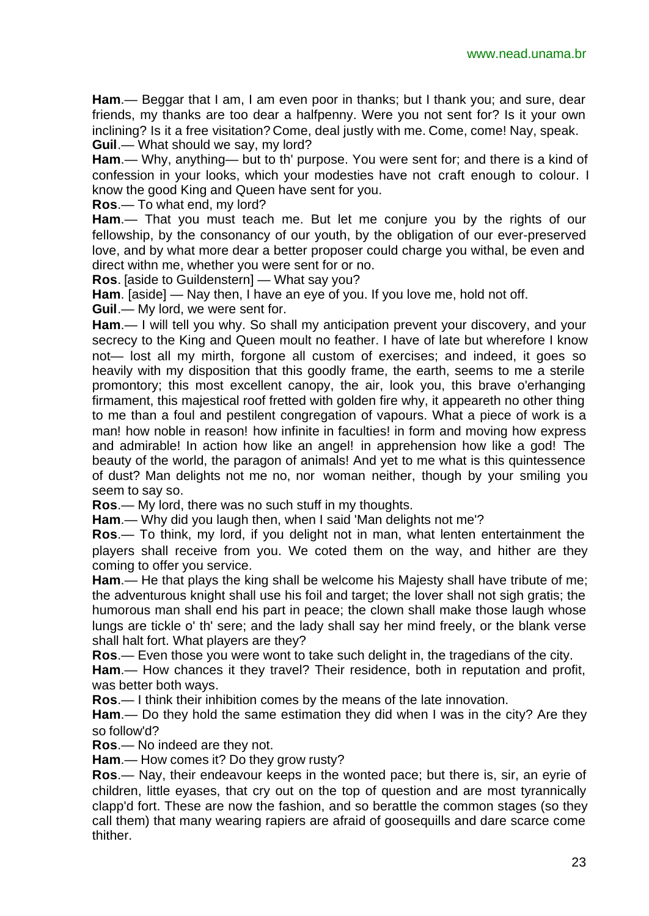**Ham**.— Beggar that I am, I am even poor in thanks; but I thank you; and sure, dear friends, my thanks are too dear a halfpenny. Were you not sent for? Is it your own inclining? Is it a free visitation? Come, deal justly with me. Come, come! Nay, speak. **Guil**.— What should we say, my lord?

**Ham**.— Why, anything— but to th' purpose. You were sent for; and there is a kind of confession in your looks, which your modesties have not craft enough to colour. I know the good King and Queen have sent for you.

**Ros**.— To what end, my lord?

**Ham**.— That you must teach me. But let me conjure you by the rights of our fellowship, by the consonancy of our youth, by the obligation of our ever-preserved love, and by what more dear a better proposer could charge you withal, be even and direct withn me, whether you were sent for or no.

**Ros**. [aside to Guildenstern] — What say you?

**Ham**. [aside] — Nay then, I have an eye of you. If you love me, hold not off.

**Guil**.— My lord, we were sent for.

**Ham**.— I will tell you why. So shall my anticipation prevent your discovery, and your secrecy to the King and Queen moult no feather. I have of late but wherefore I know not— lost all my mirth, forgone all custom of exercises; and indeed, it goes so heavily with my disposition that this goodly frame, the earth, seems to me a sterile promontory; this most excellent canopy, the air, look you, this brave o'erhanging firmament, this majestical roof fretted with golden fire why, it appeareth no other thing to me than a foul and pestilent congregation of vapours. What a piece of work is a man! how noble in reason! how infinite in faculties! in form and moving how express and admirable! In action how like an angel! in apprehension how like a god! The beauty of the world, the paragon of animals! And yet to me what is this quintessence of dust? Man delights not me no, nor woman neither, though by your smiling you seem to say so.

**Ros**.— My lord, there was no such stuff in my thoughts.

**Ham**.— Why did you laugh then, when I said 'Man delights not me'?

**Ros**.— To think, my lord, if you delight not in man, what lenten entertainment the players shall receive from you. We coted them on the way, and hither are they coming to offer you service.

**Ham**.— He that plays the king shall be welcome his Majesty shall have tribute of me; the adventurous knight shall use his foil and target; the lover shall not sigh gratis; the humorous man shall end his part in peace; the clown shall make those laugh whose lungs are tickle o' th' sere; and the lady shall say her mind freely, or the blank verse shall halt fort. What players are they?

**Ros**.— Even those you were wont to take such delight in, the tragedians of the city.

**Ham**.— How chances it they travel? Their residence, both in reputation and profit, was better both ways.

**Ros**.— I think their inhibition comes by the means of the late innovation.

**Ham**.— Do they hold the same estimation they did when I was in the city? Are they so follow'd?

**Ros**.— No indeed are they not.

**Ham**.— How comes it? Do they grow rusty?

**Ros**.— Nay, their endeavour keeps in the wonted pace; but there is, sir, an eyrie of children, little eyases, that cry out on the top of question and are most tyrannically clapp'd fort. These are now the fashion, and so berattle the common stages (so they call them) that many wearing rapiers are afraid of goosequills and dare scarce come thither.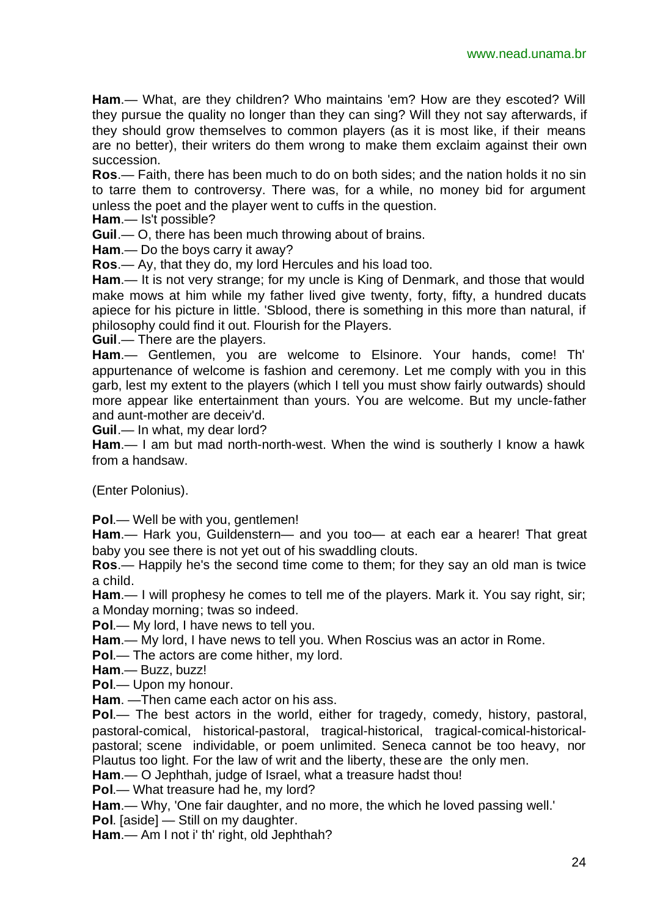**Ham**.— What, are they children? Who maintains 'em? How are they escoted? Will they pursue the quality no longer than they can sing? Will they not say afterwards, if they should grow themselves to common players (as it is most like, if their means are no better), their writers do them wrong to make them exclaim against their own succession.

**Ros**.— Faith, there has been much to do on both sides; and the nation holds it no sin to tarre them to controversy. There was, for a while, no money bid for argument unless the poet and the player went to cuffs in the question.

**Ham**.— Is't possible?

**Guil**.— O, there has been much throwing about of brains.

**Ham**.— Do the boys carry it away?

**Ros**.— Ay, that they do, my lord Hercules and his load too.

**Ham**.— It is not very strange; for my uncle is King of Denmark, and those that would make mows at him while my father lived give twenty, forty, fifty, a hundred ducats apiece for his picture in little. 'Sblood, there is something in this more than natural, if philosophy could find it out. Flourish for the Players.

**Guil**.— There are the players.

**Ham**.— Gentlemen, you are welcome to Elsinore. Your hands, come! Th' appurtenance of welcome is fashion and ceremony. Let me comply with you in this garb, lest my extent to the players (which I tell you must show fairly outwards) should more appear like entertainment than yours. You are welcome. But my uncle-father and aunt-mother are deceiv'd.

**Guil**.— In what, my dear lord?

**Ham**.— I am but mad north-north-west. When the wind is southerly I know a hawk from a handsaw.

(Enter Polonius).

**Pol**.— Well be with you, gentlemen!

**Ham**.— Hark you, Guildenstern— and you too— at each ear a hearer! That great baby you see there is not yet out of his swaddling clouts.

**Ros**.— Happily he's the second time come to them; for they say an old man is twice a child.

**Ham**.— I will prophesy he comes to tell me of the players. Mark it. You say right, sir; a Monday morning; twas so indeed.

**Pol**.— My lord, I have news to tell you.

**Ham**.— My lord, I have news to tell you. When Roscius was an actor in Rome.

**Pol**.— The actors are come hither, my lord.

**Ham**.— Buzz, buzz!

**Pol**.— Upon my honour.

**Ham**. —Then came each actor on his ass.

**Pol**.— The best actors in the world, either for tragedy, comedy, history, pastoral, pastoral-comical, historical-pastoral, tragical-historical, tragical-comical-historicalpastoral; scene individable, or poem unlimited. Seneca cannot be too heavy, nor Plautus too light. For the law of writ and the liberty, these are the only men.

**Ham**.— O Jephthah, judge of Israel, what a treasure hadst thou!

**Pol**.— What treasure had he, my lord?

**Ham**.— Why, 'One fair daughter, and no more, the which he loved passing well.'

**Pol**. [aside] — Still on my daughter.

**Ham**.— Am I not i' th' right, old Jephthah?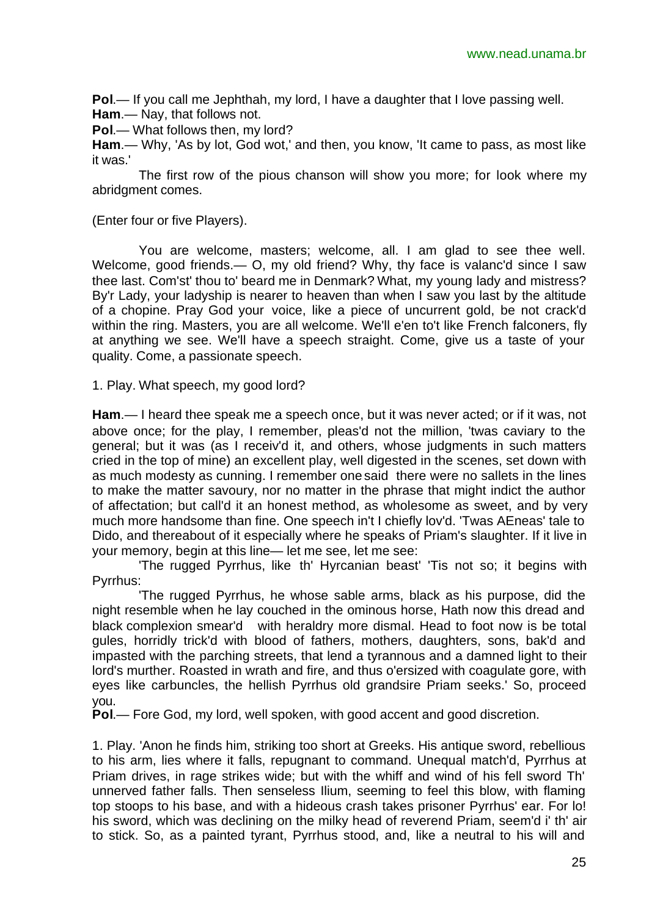**Pol**.— If you call me Jephthah, my lord, I have a daughter that I love passing well. **Ham**.— Nay, that follows not.

**Pol**.— What follows then, my lord?

**Ham**.— Why, 'As by lot, God wot,' and then, you know, 'It came to pass, as most like it was.'

The first row of the pious chanson will show you more; for look where my abridgment comes.

(Enter four or five Players).

You are welcome, masters; welcome, all. I am glad to see thee well. Welcome, good friends.— O, my old friend? Why, thy face is valanc'd since I saw thee last. Com'st' thou to' beard me in Denmark? What, my young lady and mistress? By'r Lady, your ladyship is nearer to heaven than when I saw you last by the altitude of a chopine. Pray God your voice, like a piece of uncurrent gold, be not crack'd within the ring. Masters, you are all welcome. We'll e'en to't like French falconers, fly at anything we see. We'll have a speech straight. Come, give us a taste of your quality. Come, a passionate speech.

1. Play. What speech, my good lord?

**Ham**.— I heard thee speak me a speech once, but it was never acted; or if it was, not above once; for the play, I remember, pleas'd not the million, 'twas caviary to the general; but it was (as I receiv'd it, and others, whose judgments in such matters cried in the top of mine) an excellent play, well digested in the scenes, set down with as much modesty as cunning. I remember one said there were no sallets in the lines to make the matter savoury, nor no matter in the phrase that might indict the author of affectation; but call'd it an honest method, as wholesome as sweet, and by very much more handsome than fine. One speech in't I chiefly lov'd. 'Twas AEneas' tale to Dido, and thereabout of it especially where he speaks of Priam's slaughter. If it live in your memory, begin at this line— let me see, let me see:

'The rugged Pyrrhus, like th' Hyrcanian beast' 'Tis not so; it begins with Pyrrhus:

'The rugged Pyrrhus, he whose sable arms, black as his purpose, did the night resemble when he lay couched in the ominous horse, Hath now this dread and black complexion smear'd with heraldry more dismal. Head to foot now is be total gules, horridly trick'd with blood of fathers, mothers, daughters, sons, bak'd and impasted with the parching streets, that lend a tyrannous and a damned light to their lord's murther. Roasted in wrath and fire, and thus o'ersized with coagulate gore, with eyes like carbuncles, the hellish Pyrrhus old grandsire Priam seeks.' So, proceed you.

**Pol**.— Fore God, my lord, well spoken, with good accent and good discretion.

1. Play. 'Anon he finds him, striking too short at Greeks. His antique sword, rebellious to his arm, lies where it falls, repugnant to command. Unequal match'd, Pyrrhus at Priam drives, in rage strikes wide; but with the whiff and wind of his fell sword Th' unnerved father falls. Then senseless Ilium, seeming to feel this blow, with flaming top stoops to his base, and with a hideous crash takes prisoner Pyrrhus' ear. For lo! his sword, which was declining on the milky head of reverend Priam, seem'd i' th' air to stick. So, as a painted tyrant, Pyrrhus stood, and, like a neutral to his will and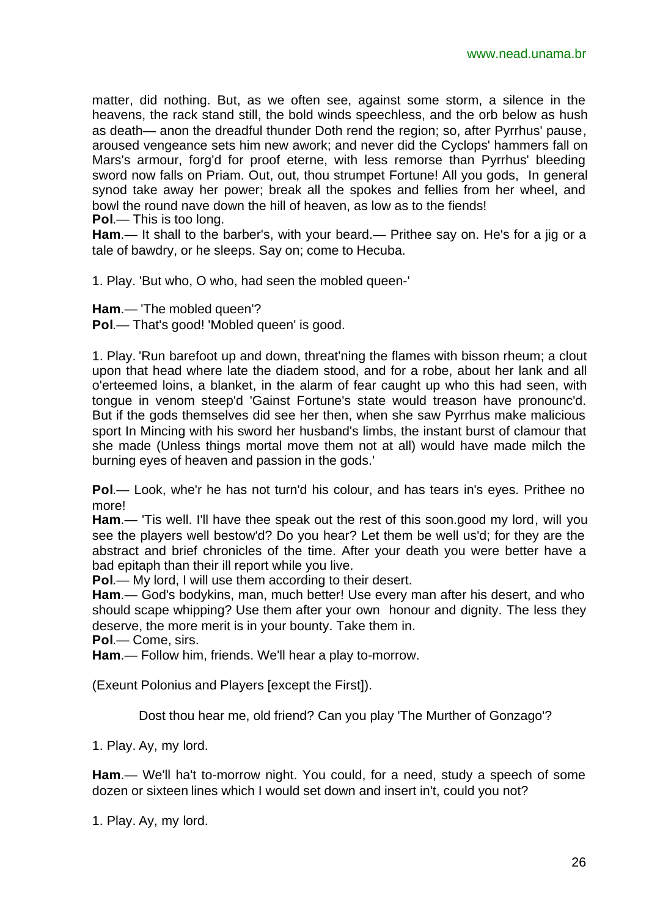matter, did nothing. But, as we often see, against some storm, a silence in the heavens, the rack stand still, the bold winds speechless, and the orb below as hush as death— anon the dreadful thunder Doth rend the region; so, after Pyrrhus' pause, aroused vengeance sets him new awork; and never did the Cyclops' hammers fall on Mars's armour, forg'd for proof eterne, with less remorse than Pyrrhus' bleeding sword now falls on Priam. Out, out, thou strumpet Fortune! All you gods, In general synod take away her power; break all the spokes and fellies from her wheel, and bowl the round nave down the hill of heaven, as low as to the fiends!

**Pol**.— This is too long.

**Ham**.— It shall to the barber's, with your beard.— Prithee say on. He's for a jig or a tale of bawdry, or he sleeps. Say on; come to Hecuba.

1. Play. 'But who, O who, had seen the mobled queen-'

**Ham**.— 'The mobled queen'?

**Pol.**— That's good! 'Mobled queen' is good.

1. Play. 'Run barefoot up and down, threat'ning the flames with bisson rheum; a clout upon that head where late the diadem stood, and for a robe, about her lank and all o'erteemed loins, a blanket, in the alarm of fear caught up who this had seen, with tongue in venom steep'd 'Gainst Fortune's state would treason have pronounc'd. But if the gods themselves did see her then, when she saw Pyrrhus make malicious sport In Mincing with his sword her husband's limbs, the instant burst of clamour that she made (Unless things mortal move them not at all) would have made milch the burning eyes of heaven and passion in the gods.'

**Pol**.— Look, whe'r he has not turn'd his colour, and has tears in's eyes. Prithee no more!

**Ham**.— 'Tis well. I'll have thee speak out the rest of this soon.good my lord, will you see the players well bestow'd? Do you hear? Let them be well us'd; for they are the abstract and brief chronicles of the time. After your death you were better have a bad epitaph than their ill report while you live.

**Pol**.— My lord, I will use them according to their desert.

**Ham**.— God's bodykins, man, much better! Use every man after his desert, and who should scape whipping? Use them after your own honour and dignity. The less they deserve, the more merit is in your bounty. Take them in.

**Pol**.— Come, sirs.

**Ham**.— Follow him, friends. We'll hear a play to-morrow.

(Exeunt Polonius and Players [except the First]).

Dost thou hear me, old friend? Can you play 'The Murther of Gonzago'?

1. Play. Ay, my lord.

**Ham**.— We'll ha't to-morrow night. You could, for a need, study a speech of some dozen or sixteen lines which I would set down and insert in't, could you not?

1. Play. Ay, my lord.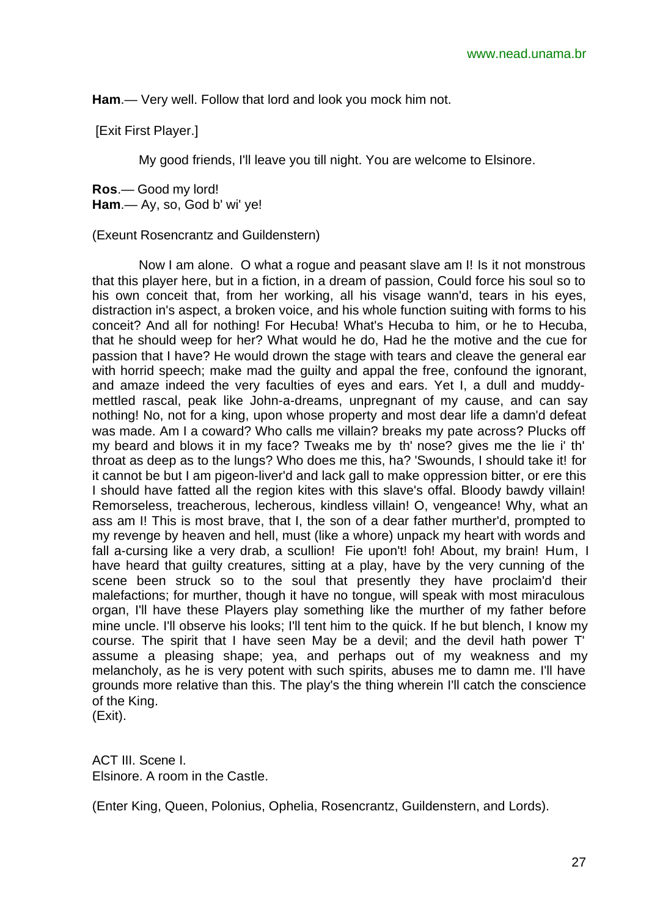**Ham**.— Very well. Follow that lord and look you mock him not.

[Exit First Player.]

My good friends, I'll leave you till night. You are welcome to Elsinore.

**Ros**.— Good my lord!

**Ham**.— Ay, so, God b' wi' ye!

(Exeunt Rosencrantz and Guildenstern)

Now I am alone. O what a rogue and peasant slave am I! Is it not monstrous that this player here, but in a fiction, in a dream of passion, Could force his soul so to his own conceit that, from her working, all his visage wann'd, tears in his eyes, distraction in's aspect, a broken voice, and his whole function suiting with forms to his conceit? And all for nothing! For Hecuba! What's Hecuba to him, or he to Hecuba, that he should weep for her? What would he do, Had he the motive and the cue for passion that I have? He would drown the stage with tears and cleave the general ear with horrid speech; make mad the guilty and appal the free, confound the ignorant, and amaze indeed the very faculties of eyes and ears. Yet I, a dull and muddymettled rascal, peak like John-a-dreams, unpregnant of my cause, and can say nothing! No, not for a king, upon whose property and most dear life a damn'd defeat was made. Am I a coward? Who calls me villain? breaks my pate across? Plucks off my beard and blows it in my face? Tweaks me by th' nose? gives me the lie i' th' throat as deep as to the lungs? Who does me this, ha? 'Swounds, I should take it! for it cannot be but I am pigeon-liver'd and lack gall to make oppression bitter, or ere this I should have fatted all the region kites with this slave's offal. Bloody bawdy villain! Remorseless, treacherous, lecherous, kindless villain! O, vengeance! Why, what an ass am I! This is most brave, that I, the son of a dear father murther'd, prompted to my revenge by heaven and hell, must (like a whore) unpack my heart with words and fall a-cursing like a very drab, a scullion! Fie upon't! foh! About, my brain! Hum, I have heard that guilty creatures, sitting at a play, have by the very cunning of the scene been struck so to the soul that presently they have proclaim'd their malefactions; for murther, though it have no tongue, will speak with most miraculous organ, I'll have these Players play something like the murther of my father before mine uncle. I'll observe his looks; I'll tent him to the quick. If he but blench, I know my course. The spirit that I have seen May be a devil; and the devil hath power T' assume a pleasing shape; yea, and perhaps out of my weakness and my melancholy, as he is very potent with such spirits, abuses me to damn me. I'll have grounds more relative than this. The play's the thing wherein I'll catch the conscience of the King. (Exit).

ACT III. Scene I. Elsinore. A room in the Castle.

(Enter King, Queen, Polonius, Ophelia, Rosencrantz, Guildenstern, and Lords).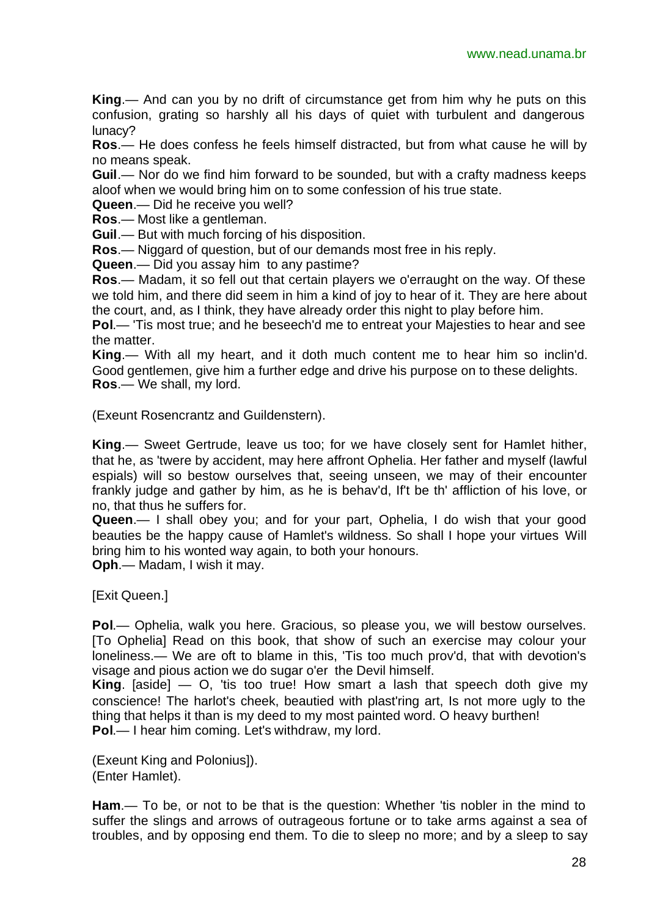**King**.— And can you by no drift of circumstance get from him why he puts on this confusion, grating so harshly all his days of quiet with turbulent and dangerous lunacy?

**Ros**.— He does confess he feels himself distracted, but from what cause he will by no means speak.

**Guil**.— Nor do we find him forward to be sounded, but with a crafty madness keeps aloof when we would bring him on to some confession of his true state.

**Queen**.— Did he receive you well?

**Ros**.— Most like a gentleman.

**Guil**.— But with much forcing of his disposition.

**Ros**.— Niggard of question, but of our demands most free in his reply.

**Queen**.— Did you assay him to any pastime?

**Ros**.— Madam, it so fell out that certain players we o'erraught on the way. Of these we told him, and there did seem in him a kind of joy to hear of it. They are here about the court, and, as I think, they have already order this night to play before him.

**Pol**.— 'Tis most true; and he beseech'd me to entreat your Majesties to hear and see the matter.

**King**.— With all my heart, and it doth much content me to hear him so inclin'd. Good gentlemen, give him a further edge and drive his purpose on to these delights. **Ros**.— We shall, my lord.

(Exeunt Rosencrantz and Guildenstern).

**King**.— Sweet Gertrude, leave us too; for we have closely sent for Hamlet hither, that he, as 'twere by accident, may here affront Ophelia. Her father and myself (lawful espials) will so bestow ourselves that, seeing unseen, we may of their encounter frankly judge and gather by him, as he is behav'd, If't be th' affliction of his love, or no, that thus he suffers for.

**Queen**.— I shall obey you; and for your part, Ophelia, I do wish that your good beauties be the happy cause of Hamlet's wildness. So shall I hope your virtues Will bring him to his wonted way again, to both your honours.

**Oph**.— Madam, I wish it may.

[Exit Queen.]

**Pol**.— Ophelia, walk you here. Gracious, so please you, we will bestow ourselves. [To Ophelia] Read on this book, that show of such an exercise may colour your loneliness.— We are oft to blame in this, 'Tis too much prov'd, that with devotion's visage and pious action we do sugar o'er the Devil himself.

**King**. [aside] — O, 'tis too true! How smart a lash that speech doth give my conscience! The harlot's cheek, beautied with plast'ring art, Is not more ugly to the thing that helps it than is my deed to my most painted word. O heavy burthen! **Pol**.— I hear him coming. Let's withdraw, my lord.

(Exeunt King and Polonius]). (Enter Hamlet).

**Ham**.— To be, or not to be that is the question: Whether 'tis nobler in the mind to suffer the slings and arrows of outrageous fortune or to take arms against a sea of troubles, and by opposing end them. To die to sleep no more; and by a sleep to say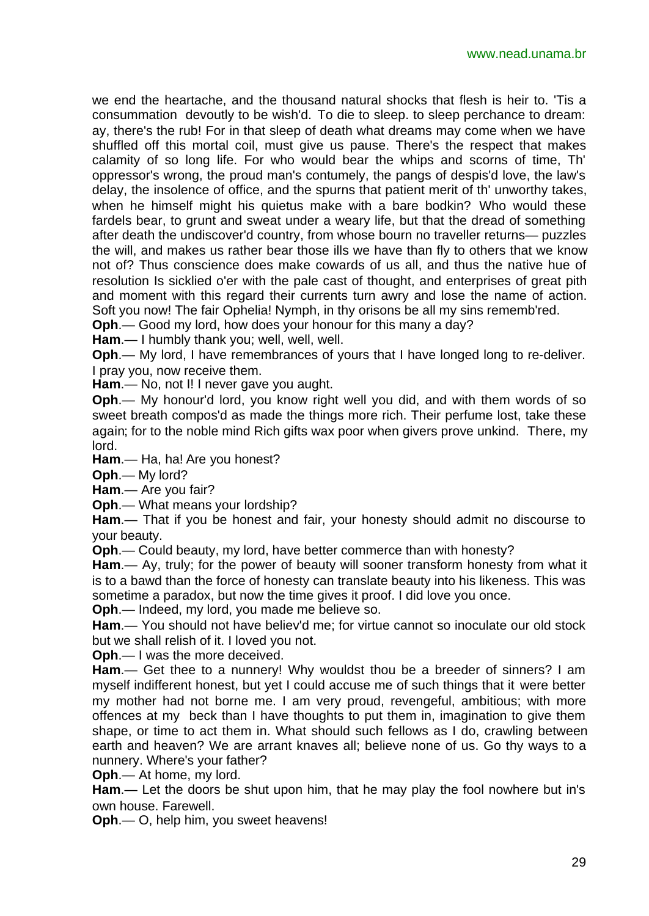we end the heartache, and the thousand natural shocks that flesh is heir to. 'Tis a consummation devoutly to be wish'd. To die to sleep. to sleep perchance to dream: ay, there's the rub! For in that sleep of death what dreams may come when we have shuffled off this mortal coil, must give us pause. There's the respect that makes calamity of so long life. For who would bear the whips and scorns of time, Th' oppressor's wrong, the proud man's contumely, the pangs of despis'd love, the law's delay, the insolence of office, and the spurns that patient merit of th' unworthy takes, when he himself might his quietus make with a bare bodkin? Who would these fardels bear, to grunt and sweat under a weary life, but that the dread of something after death the undiscover'd country, from whose bourn no traveller returns— puzzles the will, and makes us rather bear those ills we have than fly to others that we know not of? Thus conscience does make cowards of us all, and thus the native hue of resolution Is sicklied o'er with the pale cast of thought, and enterprises of great pith and moment with this regard their currents turn awry and lose the name of action. Soft you now! The fair Ophelia! Nymph, in thy orisons be all my sins rememb'red.

**Oph**.— Good my lord, how does your honour for this many a day?

**Ham**.— I humbly thank you; well, well, well.

**Oph**.— My lord, I have remembrances of yours that I have longed long to re-deliver. I pray you, now receive them.

**Ham**.— No, not I! I never gave you aught.

**Oph**.— My honour'd lord, you know right well you did, and with them words of so sweet breath compos'd as made the things more rich. Their perfume lost, take these again; for to the noble mind Rich gifts wax poor when givers prove unkind. There, my lord.

**Ham**.— Ha, ha! Are you honest?

**Oph**.— My lord?

**Ham**.— Are you fair?

**Oph**.— What means your lordship?

**Ham**.— That if you be honest and fair, your honesty should admit no discourse to your beauty.

**Oph**.— Could beauty, my lord, have better commerce than with honesty?

**Ham**.— Ay, truly; for the power of beauty will sooner transform honesty from what it is to a bawd than the force of honesty can translate beauty into his likeness. This was sometime a paradox, but now the time gives it proof. I did love you once.

**Oph**.— Indeed, my lord, you made me believe so.

**Ham**.— You should not have believ'd me; for virtue cannot so inoculate our old stock but we shall relish of it. I loved you not.

**Oph**.— I was the more deceived.

**Ham**.— Get thee to a nunnery! Why wouldst thou be a breeder of sinners? I am myself indifferent honest, but yet I could accuse me of such things that it were better my mother had not borne me. I am very proud, revengeful, ambitious; with more offences at my beck than I have thoughts to put them in, imagination to give them shape, or time to act them in. What should such fellows as I do, crawling between earth and heaven? We are arrant knaves all; believe none of us. Go thy ways to a nunnery. Where's your father?

**Oph**.— At home, my lord.

**Ham**.— Let the doors be shut upon him, that he may play the fool nowhere but in's own house. Farewell.

**Oph**.— O, help him, you sweet heavens!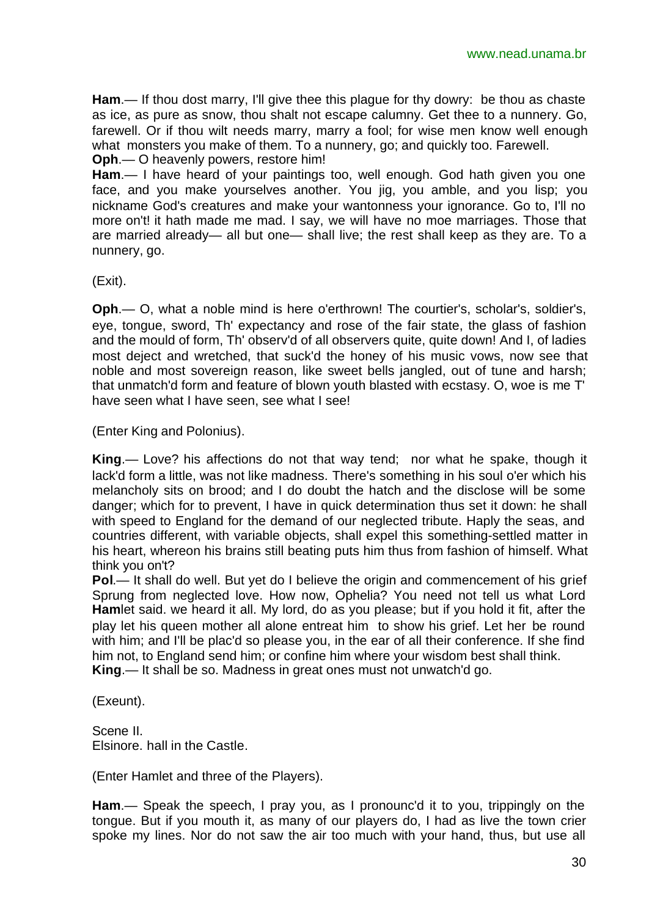**Ham**.— If thou dost marry, I'll give thee this plague for thy dowry: be thou as chaste as ice, as pure as snow, thou shalt not escape calumny. Get thee to a nunnery. Go, farewell. Or if thou wilt needs marry, marry a fool; for wise men know well enough what monsters you make of them. To a nunnery, go; and quickly too. Farewell.

**Oph**.— O heavenly powers, restore him! **Ham**.— I have heard of your paintings too, well enough. God hath given you one face, and you make yourselves another. You jig, you amble, and you lisp; you nickname God's creatures and make your wantonness your ignorance. Go to, I'll no more on't! it hath made me mad. I say, we will have no moe marriages. Those that are married already— all but one— shall live; the rest shall keep as they are. To a

(Exit).

nunnery, go.

**Oph**.— O, what a noble mind is here o'erthrown! The courtier's, scholar's, soldier's, eye, tongue, sword, Th' expectancy and rose of the fair state, the glass of fashion and the mould of form, Th' observ'd of all observers quite, quite down! And I, of ladies most deject and wretched, that suck'd the honey of his music vows, now see that noble and most sovereign reason, like sweet bells jangled, out of tune and harsh; that unmatch'd form and feature of blown youth blasted with ecstasy. O, woe is me T' have seen what I have seen, see what I see!

(Enter King and Polonius).

**King**.— Love? his affections do not that way tend; nor what he spake, though it lack'd form a little, was not like madness. There's something in his soul o'er which his melancholy sits on brood; and I do doubt the hatch and the disclose will be some danger; which for to prevent, I have in quick determination thus set it down: he shall with speed to England for the demand of our neglected tribute. Haply the seas, and countries different, with variable objects, shall expel this something-settled matter in his heart, whereon his brains still beating puts him thus from fashion of himself. What think you on't?

**Pol.**— It shall do well. But yet do I believe the origin and commencement of his grief Sprung from neglected love. How now, Ophelia? You need not tell us what Lord **Ham**let said. we heard it all. My lord, do as you please; but if you hold it fit, after the play let his queen mother all alone entreat him to show his grief. Let her be round with him; and I'll be plac'd so please you, in the ear of all their conference. If she find him not, to England send him; or confine him where your wisdom best shall think. **King**.— It shall be so. Madness in great ones must not unwatch'd go.

(Exeunt).

Scene II. Elsinore. hall in the Castle.

(Enter Hamlet and three of the Players).

**Ham**.— Speak the speech, I pray you, as I pronounc'd it to you, trippingly on the tongue. But if you mouth it, as many of our players do, I had as live the town crier spoke my lines. Nor do not saw the air too much with your hand, thus, but use all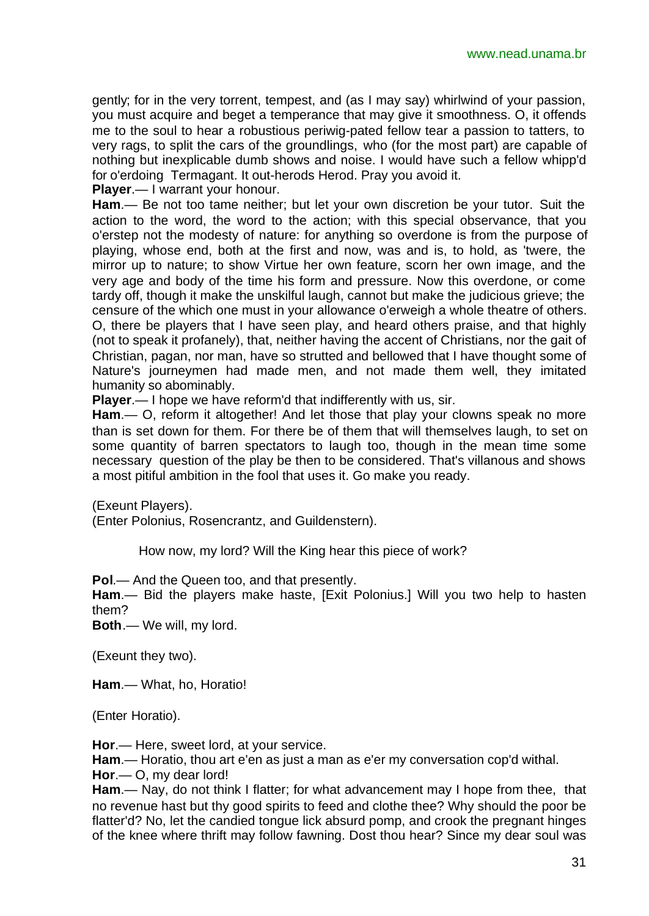gently; for in the very torrent, tempest, and (as I may say) whirlwind of your passion, you must acquire and beget a temperance that may give it smoothness. O, it offends me to the soul to hear a robustious periwig-pated fellow tear a passion to tatters, to very rags, to split the cars of the groundlings, who (for the most part) are capable of nothing but inexplicable dumb shows and noise. I would have such a fellow whipp'd for o'erdoing Termagant. It out-herods Herod. Pray you avoid it.

**Player**.— I warrant your honour.

**Ham**.— Be not too tame neither; but let your own discretion be your tutor. Suit the action to the word, the word to the action; with this special observance, that you o'erstep not the modesty of nature: for anything so overdone is from the purpose of playing, whose end, both at the first and now, was and is, to hold, as 'twere, the mirror up to nature; to show Virtue her own feature, scorn her own image, and the very age and body of the time his form and pressure. Now this overdone, or come tardy off, though it make the unskilful laugh, cannot but make the judicious grieve; the censure of the which one must in your allowance o'erweigh a whole theatre of others. O, there be players that I have seen play, and heard others praise, and that highly (not to speak it profanely), that, neither having the accent of Christians, nor the gait of Christian, pagan, nor man, have so strutted and bellowed that I have thought some of Nature's journeymen had made men, and not made them well, they imitated humanity so abominably.

**Player**.— I hope we have reform'd that indifferently with us, sir.

**Ham**.— O, reform it altogether! And let those that play your clowns speak no more than is set down for them. For there be of them that will themselves laugh, to set on some quantity of barren spectators to laugh too, though in the mean time some necessary question of the play be then to be considered. That's villanous and shows a most pitiful ambition in the fool that uses it. Go make you ready.

(Exeunt Players).

(Enter Polonius, Rosencrantz, and Guildenstern).

How now, my lord? Will the King hear this piece of work?

**Pol**.— And the Queen too, and that presently.

**Ham**.— Bid the players make haste, [Exit Polonius.] Will you two help to hasten them?

**Both**.— We will, my lord.

(Exeunt they two).

**Ham**.— What, ho, Horatio!

(Enter Horatio).

**Hor**.— Here, sweet lord, at your service.

**Ham**.— Horatio, thou art e'en as just a man as e'er my conversation cop'd withal.

**Hor**.— O, my dear lord!

**Ham**.— Nay, do not think I flatter; for what advancement may I hope from thee, that no revenue hast but thy good spirits to feed and clothe thee? Why should the poor be flatter'd? No, let the candied tongue lick absurd pomp, and crook the pregnant hinges of the knee where thrift may follow fawning. Dost thou hear? Since my dear soul was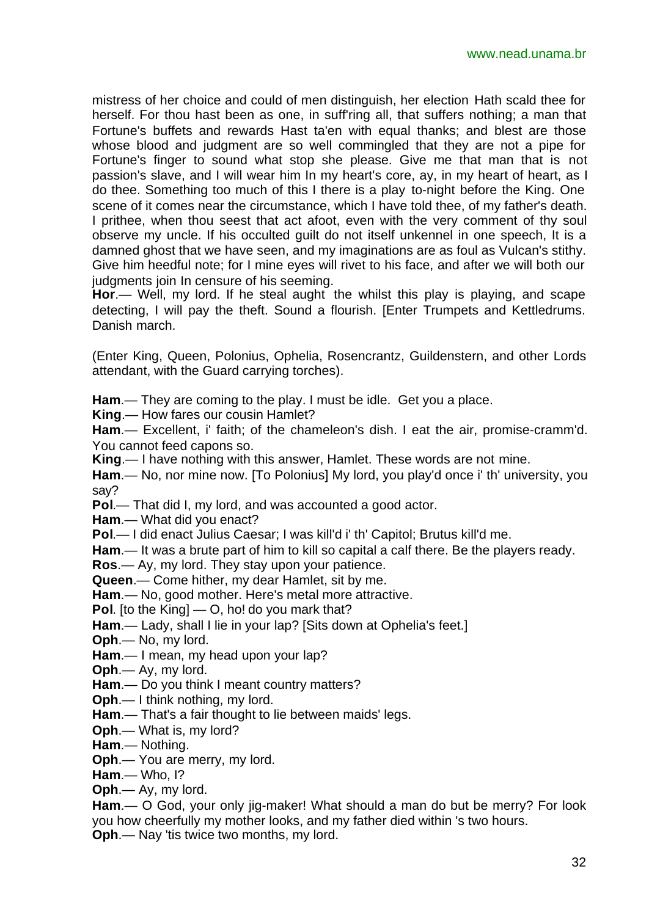mistress of her choice and could of men distinguish, her election Hath scald thee for herself. For thou hast been as one, in suff'ring all, that suffers nothing; a man that Fortune's buffets and rewards Hast ta'en with equal thanks; and blest are those whose blood and judgment are so well commingled that they are not a pipe for Fortune's finger to sound what stop she please. Give me that man that is not passion's slave, and I will wear him In my heart's core, ay, in my heart of heart, as I do thee. Something too much of this I there is a play to-night before the King. One scene of it comes near the circumstance, which I have told thee, of my father's death. I prithee, when thou seest that act afoot, even with the very comment of thy soul observe my uncle. If his occulted guilt do not itself unkennel in one speech, It is a damned ghost that we have seen, and my imaginations are as foul as Vulcan's stithy. Give him heedful note; for I mine eyes will rivet to his face, and after we will both our judgments join In censure of his seeming.

**Hor**.— Well, my lord. If he steal aught the whilst this play is playing, and scape detecting, I will pay the theft. Sound a flourish. [Enter Trumpets and Kettledrums. Danish march.

(Enter King, Queen, Polonius, Ophelia, Rosencrantz, Guildenstern, and other Lords attendant, with the Guard carrying torches).

**Ham**.— They are coming to the play. I must be idle. Get you a place.

**King**.— How fares our cousin Hamlet?

**Ham**.— Excellent, i' faith; of the chameleon's dish. I eat the air, promise-cramm'd. You cannot feed capons so.

**King**.— I have nothing with this answer, Hamlet. These words are not mine.

**Ham**.— No, nor mine now. [To Polonius] My lord, you play'd once i' th' university, you say?

**Pol**.— That did I, my lord, and was accounted a good actor.

**Ham**.— What did you enact?

**Pol**.— I did enact Julius Caesar; I was kill'd i' th' Capitol; Brutus kill'd me.

**Ham**.— It was a brute part of him to kill so capital a calf there. Be the players ready.

**Ros**.— Ay, my lord. They stay upon your patience.

**Queen**.— Come hither, my dear Hamlet, sit by me.

**Ham**.— No, good mother. Here's metal more attractive.

**Pol**. [to the King] — O, ho! do you mark that?

**Ham**.— Lady, shall I lie in your lap? [Sits down at Ophelia's feet.]

**Oph**.— No, my lord.

**Ham**.— I mean, my head upon your lap?

**Oph**.— Ay, my lord.

**Ham**.— Do you think I meant country matters?

**Oph**.— I think nothing, my lord.

**Ham**.— That's a fair thought to lie between maids' legs.

**Oph**.— What is, my lord?

**Ham**.— Nothing.

**Oph**.— You are merry, my lord.

**Ham**.— Who, I?

**Oph**.— Ay, my lord.

**Ham**.— O God, your only jig-maker! What should a man do but be merry? For look you how cheerfully my mother looks, and my father died within 's two hours.

**Oph**.— Nay 'tis twice two months, my lord.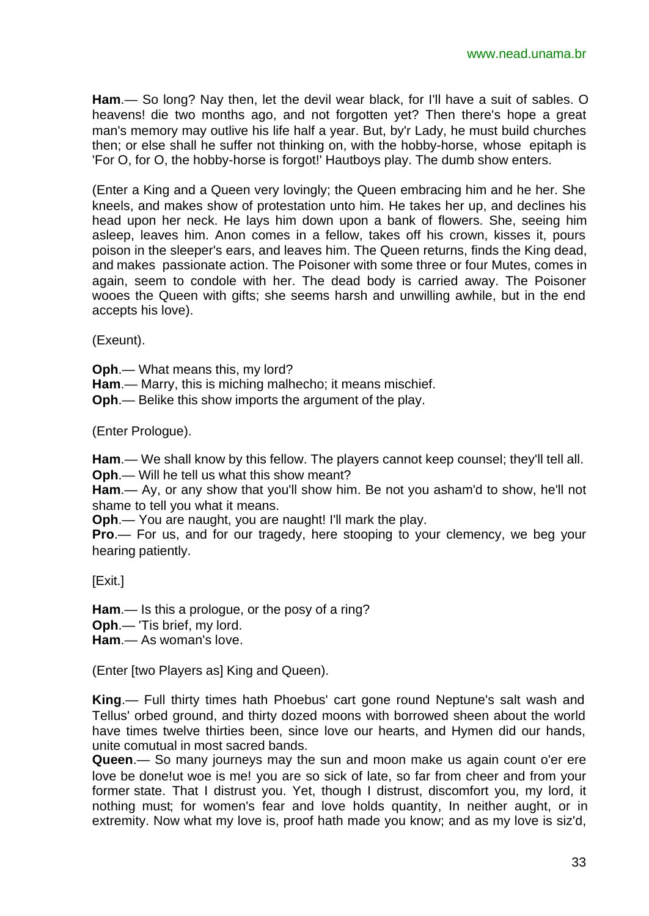**Ham**.— So long? Nay then, let the devil wear black, for I'll have a suit of sables. O heavens! die two months ago, and not forgotten yet? Then there's hope a great man's memory may outlive his life half a year. But, by'r Lady, he must build churches then; or else shall he suffer not thinking on, with the hobby-horse, whose epitaph is 'For O, for O, the hobby-horse is forgot!' Hautboys play. The dumb show enters.

(Enter a King and a Queen very lovingly; the Queen embracing him and he her. She kneels, and makes show of protestation unto him. He takes her up, and declines his head upon her neck. He lays him down upon a bank of flowers. She, seeing him asleep, leaves him. Anon comes in a fellow, takes off his crown, kisses it, pours poison in the sleeper's ears, and leaves him. The Queen returns, finds the King dead, and makes passionate action. The Poisoner with some three or four Mutes, comes in again, seem to condole with her. The dead body is carried away. The Poisoner wooes the Queen with gifts; she seems harsh and unwilling awhile, but in the end accepts his love).

(Exeunt).

**Oph**.— What means this, my lord?

**Ham**.— Marry, this is miching malhecho; it means mischief.

**Oph**.— Belike this show imports the argument of the play.

(Enter Prologue).

**Ham**.— We shall know by this fellow. The players cannot keep counsel; they'll tell all.

**Oph**.— Will he tell us what this show meant?

**Ham**.— Ay, or any show that you'll show him. Be not you asham'd to show, he'll not shame to tell you what it means.

**Oph**.— You are naught, you are naught! I'll mark the play.

**Pro**.— For us, and for our tragedy, here stooping to your clemency, we beg your hearing patiently.

[Exit.]

**Ham**.— Is this a prologue, or the posy of a ring?

**Oph**.— 'Tis brief, my lord.

**Ham**.— As woman's love.

(Enter [two Players as] King and Queen).

**King**.— Full thirty times hath Phoebus' cart gone round Neptune's salt wash and Tellus' orbed ground, and thirty dozed moons with borrowed sheen about the world have times twelve thirties been, since love our hearts, and Hymen did our hands, unite comutual in most sacred bands.

**Queen**.— So many journeys may the sun and moon make us again count o'er ere love be done!ut woe is me! you are so sick of late, so far from cheer and from your former state. That I distrust you. Yet, though I distrust, discomfort you, my lord, it nothing must; for women's fear and love holds quantity, In neither aught, or in extremity. Now what my love is, proof hath made you know; and as my love is siz'd,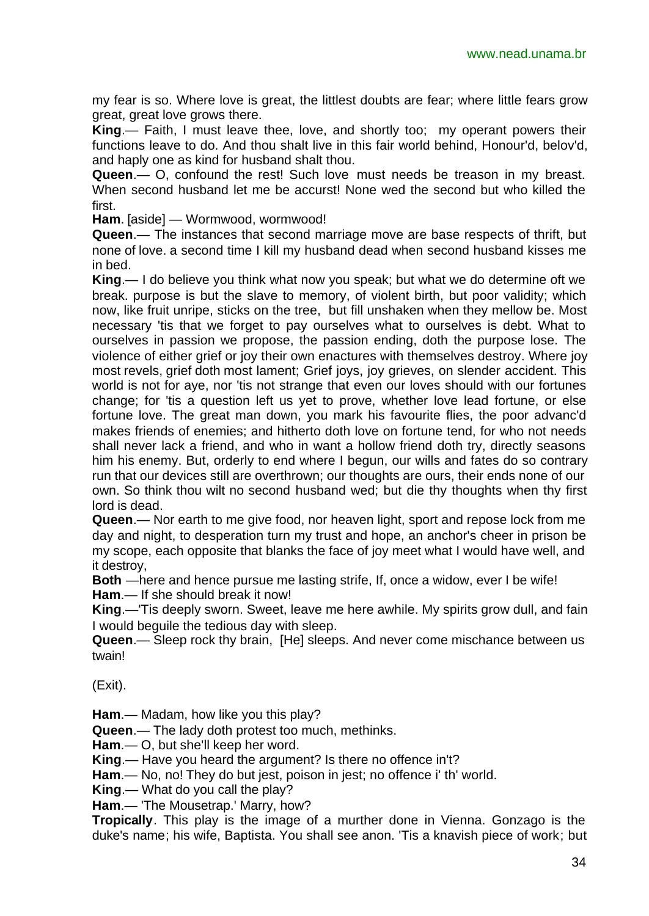my fear is so. Where love is great, the littlest doubts are fear; where little fears grow great, great love grows there.

**King**.— Faith, I must leave thee, love, and shortly too; my operant powers their functions leave to do. And thou shalt live in this fair world behind, Honour'd, belov'd, and haply one as kind for husband shalt thou.

**Queen**.— O, confound the rest! Such love must needs be treason in my breast. When second husband let me be accurst! None wed the second but who killed the first.

**Ham**. [aside] — Wormwood, wormwood!

**Queen**.— The instances that second marriage move are base respects of thrift, but none of love. a second time I kill my husband dead when second husband kisses me in bed.

**King**.— I do believe you think what now you speak; but what we do determine oft we break. purpose is but the slave to memory, of violent birth, but poor validity; which now, like fruit unripe, sticks on the tree, but fill unshaken when they mellow be. Most necessary 'tis that we forget to pay ourselves what to ourselves is debt. What to ourselves in passion we propose, the passion ending, doth the purpose lose. The violence of either grief or joy their own enactures with themselves destroy. Where joy most revels, grief doth most lament; Grief joys, joy grieves, on slender accident. This world is not for aye, nor 'tis not strange that even our loves should with our fortunes change; for 'tis a question left us yet to prove, whether love lead fortune, or else fortune love. The great man down, you mark his favourite flies, the poor advanc'd makes friends of enemies; and hitherto doth love on fortune tend, for who not needs shall never lack a friend, and who in want a hollow friend doth try, directly seasons him his enemy. But, orderly to end where I begun, our wills and fates do so contrary run that our devices still are overthrown; our thoughts are ours, their ends none of our own. So think thou wilt no second husband wed; but die thy thoughts when thy first lord is dead.

**Queen**.— Nor earth to me give food, nor heaven light, sport and repose lock from me day and night, to desperation turn my trust and hope, an anchor's cheer in prison be my scope, each opposite that blanks the face of joy meet what I would have well, and it destroy,

**Both** —here and hence pursue me lasting strife, If, once a widow, ever I be wife! **Ham**.— If she should break it now!

**King**.—'Tis deeply sworn. Sweet, leave me here awhile. My spirits grow dull, and fain I would beguile the tedious day with sleep.

**Queen**.— Sleep rock thy brain, [He] sleeps. And never come mischance between us twain!

(Exit).

**Ham**.— Madam, how like you this play?

**Queen**.— The lady doth protest too much, methinks.

**Ham**.— O, but she'll keep her word.

**King**.— Have you heard the argument? Is there no offence in't?

**Ham**.— No, no! They do but jest, poison in jest; no offence i' th' world.

**King**.— What do you call the play?

**Ham**.— 'The Mousetrap.' Marry, how?

**Tropically**. This play is the image of a murther done in Vienna. Gonzago is the duke's name; his wife, Baptista. You shall see anon. 'Tis a knavish piece of work; but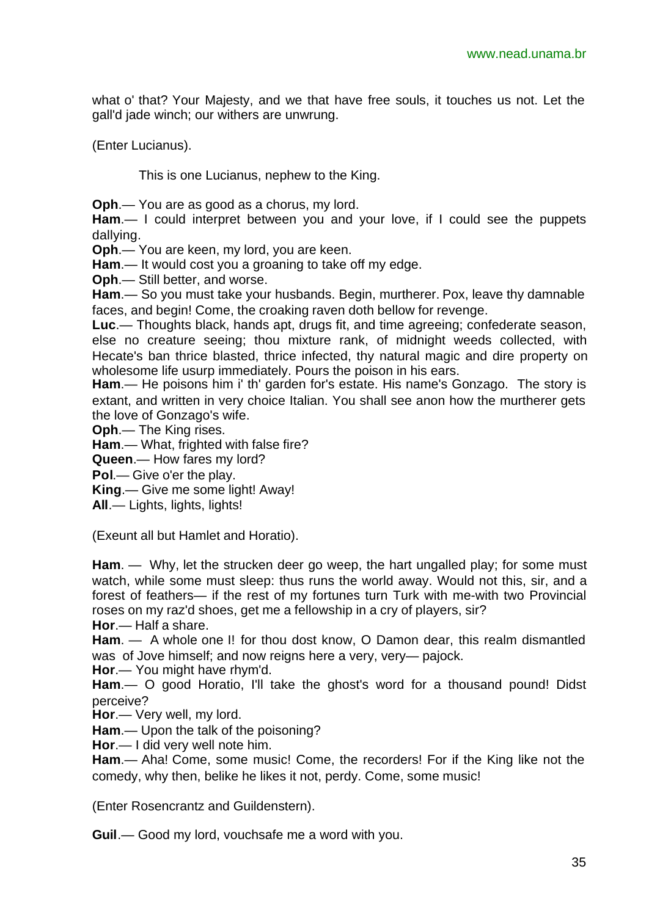what o' that? Your Majesty, and we that have free souls, it touches us not. Let the gall'd jade winch; our withers are unwrung.

(Enter Lucianus).

This is one Lucianus, nephew to the King.

**Oph**.— You are as good as a chorus, my lord.

**Ham**.— I could interpret between you and your love, if I could see the puppets dallying.

**Oph**.— You are keen, my lord, you are keen.

**Ham**.— It would cost you a groaning to take off my edge.

**Oph**.— Still better, and worse.

**Ham**.— So you must take your husbands. Begin, murtherer. Pox, leave thy damnable faces, and begin! Come, the croaking raven doth bellow for revenge.

**Luc**.— Thoughts black, hands apt, drugs fit, and time agreeing; confederate season, else no creature seeing; thou mixture rank, of midnight weeds collected, with Hecate's ban thrice blasted, thrice infected, thy natural magic and dire property on wholesome life usurp immediately. Pours the poison in his ears.

**Ham**.— He poisons him i' th' garden for's estate. His name's Gonzago. The story is extant, and written in very choice Italian. You shall see anon how the murtherer gets the love of Gonzago's wife.

**Oph**.— The King rises.

**Ham**.— What, frighted with false fire?

**Queen**.— How fares my lord?

**Pol**.— Give o'er the play.

**King**.— Give me some light! Away!

**All**.— Lights, lights, lights!

(Exeunt all but Hamlet and Horatio).

**Ham**. — Why, let the strucken deer go weep, the hart ungalled play; for some must watch, while some must sleep: thus runs the world away. Would not this, sir, and a forest of feathers— if the rest of my fortunes turn Turk with me-with two Provincial roses on my raz'd shoes, get me a fellowship in a cry of players, sir?

**Hor**.— Half a share.

**Ham**. — A whole one I! for thou dost know, O Damon dear, this realm dismantled was of Jove himself; and now reigns here a very, very— pajock.

**Hor**.— You might have rhym'd.

**Ham**.— O good Horatio, I'll take the ghost's word for a thousand pound! Didst perceive?

**Hor**.— Very well, my lord.

**Ham**.— Upon the talk of the poisoning?

**Hor**.— I did very well note him.

**Ham**.— Aha! Come, some music! Come, the recorders! For if the King like not the comedy, why then, belike he likes it not, perdy. Come, some music!

(Enter Rosencrantz and Guildenstern).

**Guil**.— Good my lord, vouchsafe me a word with you.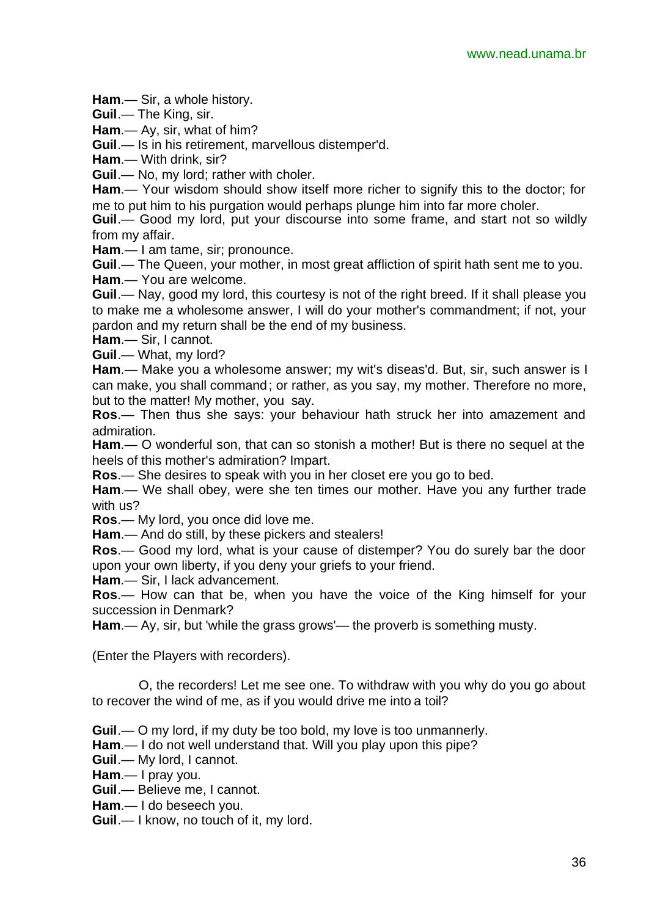**Ham**.— Sir, a whole history.

**Guil**.— The King, sir.

**Ham**.— Ay, sir, what of him?

**Guil**.— Is in his retirement, marvellous distemper'd.

**Ham**.— With drink, sir?

**Guil**.— No, my lord; rather with choler.

**Ham**.— Your wisdom should show itself more richer to signify this to the doctor; for me to put him to his purgation would perhaps plunge him into far more choler.

**Guil**.— Good my lord, put your discourse into some frame, and start not so wildly from my affair.

**Ham**.— I am tame, sir; pronounce.

**Guil**.— The Queen, your mother, in most great affliction of spirit hath sent me to you. **Ham**.— You are welcome.

**Guil**.— Nay, good my lord, this courtesy is not of the right breed. If it shall please you to make me a wholesome answer, I will do your mother's commandment; if not, your pardon and my return shall be the end of my business.

**Ham**.— Sir, I cannot.

**Guil**.— What, my lord?

**Ham**.— Make you a wholesome answer; my wit's diseas'd. But, sir, such answer is I can make, you shall command; or rather, as you say, my mother. Therefore no more, but to the matter! My mother, you say.

**Ros**.— Then thus she says: your behaviour hath struck her into amazement and admiration.

**Ham**.— O wonderful son, that can so stonish a mother! But is there no sequel at the heels of this mother's admiration? Impart.

**Ros**.— She desires to speak with you in her closet ere you go to bed.

**Ham**.— We shall obey, were she ten times our mother. Have you any further trade with us?

**Ros**.— My lord, you once did love me.

**Ham**.— And do still, by these pickers and stealers!

**Ros**.— Good my lord, what is your cause of distemper? You do surely bar the door upon your own liberty, if you deny your griefs to your friend.

**Ham**.— Sir, I lack advancement.

**Ros**.— How can that be, when you have the voice of the King himself for your succession in Denmark?

**Ham**.— Ay, sir, but 'while the grass grows'— the proverb is something musty.

(Enter the Players with recorders).

O, the recorders! Let me see one. To withdraw with you why do you go about to recover the wind of me, as if you would drive me into a toil?

**Guil**.— O my lord, if my duty be too bold, my love is too unmannerly.

**Ham**.— I do not well understand that. Will you play upon this pipe?

**Guil**.— My lord, I cannot.

**Ham**.— I pray you.

**Guil**.— Believe me, I cannot.

**Ham**.— I do beseech you.

**Guil**.— I know, no touch of it, my lord.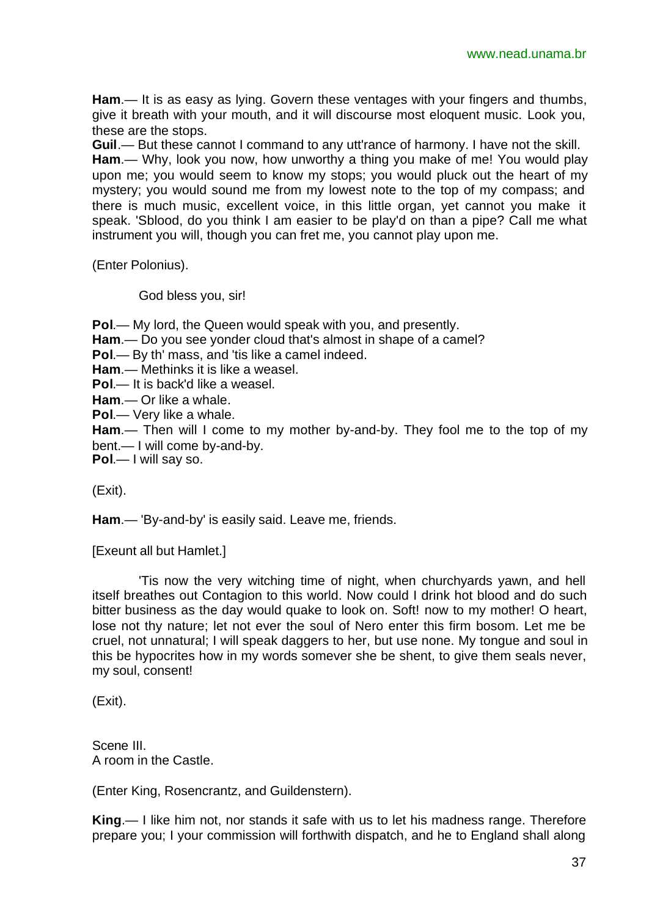**Ham**.— It is as easy as lying. Govern these ventages with your fingers and thumbs, give it breath with your mouth, and it will discourse most eloquent music. Look you, these are the stops.

**Guil**.— But these cannot I command to any utt'rance of harmony. I have not the skill. **Ham**.— Why, look you now, how unworthy a thing you make of me! You would play upon me; you would seem to know my stops; you would pluck out the heart of my mystery; you would sound me from my lowest note to the top of my compass; and there is much music, excellent voice, in this little organ, yet cannot you make it speak. 'Sblood, do you think I am easier to be play'd on than a pipe? Call me what instrument you will, though you can fret me, you cannot play upon me.

(Enter Polonius).

God bless you, sir!

**Pol**.— My lord, the Queen would speak with you, and presently.

**Ham**.— Do you see yonder cloud that's almost in shape of a camel?

**Pol**.— By th' mass, and 'tis like a camel indeed.

**Ham**.— Methinks it is like a weasel.

**Pol**.— It is back'd like a weasel.

**Ham**.— Or like a whale.

**Pol**.— Very like a whale.

**Ham**.— Then will I come to my mother by-and-by. They fool me to the top of my bent.— I will come by-and-by.

**Pol**.— I will say so.

(Exit).

**Ham**.— 'By-and-by' is easily said. Leave me, friends.

[Exeunt all but Hamlet.]

'Tis now the very witching time of night, when churchyards yawn, and hell itself breathes out Contagion to this world. Now could I drink hot blood and do such bitter business as the day would quake to look on. Soft! now to my mother! O heart, lose not thy nature; let not ever the soul of Nero enter this firm bosom. Let me be cruel, not unnatural; I will speak daggers to her, but use none. My tongue and soul in this be hypocrites how in my words somever she be shent, to give them seals never, my soul, consent!

(Exit).

Scene III. A room in the Castle.

(Enter King, Rosencrantz, and Guildenstern).

**King**.— I like him not, nor stands it safe with us to let his madness range. Therefore prepare you; I your commission will forthwith dispatch, and he to England shall along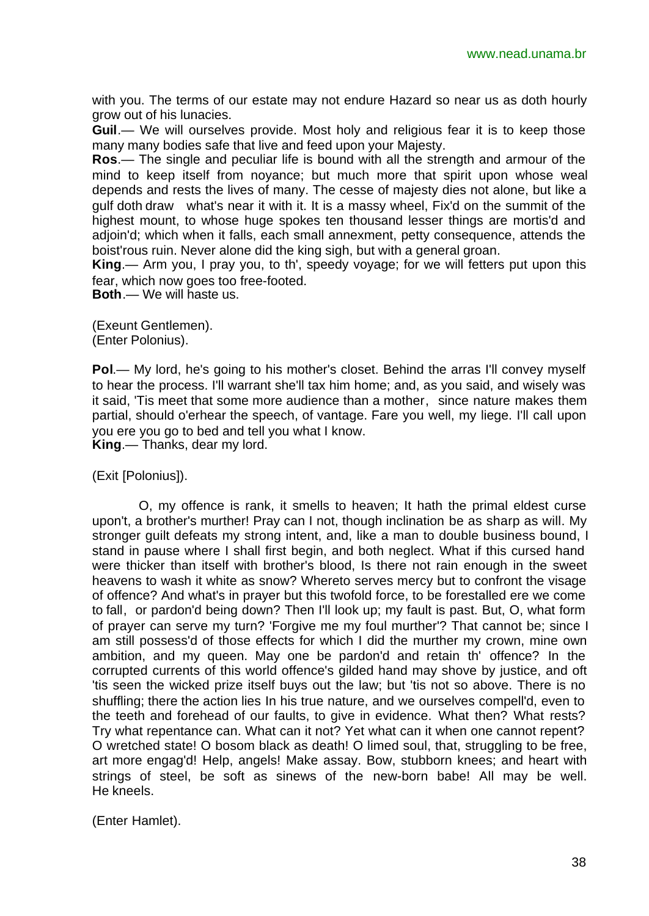with you. The terms of our estate may not endure Hazard so near us as doth hourly grow out of his lunacies.

**Guil**.— We will ourselves provide. Most holy and religious fear it is to keep those many many bodies safe that live and feed upon your Majesty.

**Ros**.— The single and peculiar life is bound with all the strength and armour of the mind to keep itself from noyance; but much more that spirit upon whose weal depends and rests the lives of many. The cesse of majesty dies not alone, but like a gulf doth draw what's near it with it. It is a massy wheel, Fix'd on the summit of the highest mount, to whose huge spokes ten thousand lesser things are mortis'd and adjoin'd; which when it falls, each small annexment, petty consequence, attends the boist'rous ruin. Never alone did the king sigh, but with a general groan.

**King**.— Arm you, I pray you, to th', speedy voyage; for we will fetters put upon this fear, which now goes too free-footed.

**Both**.— We will haste us.

(Exeunt Gentlemen). (Enter Polonius).

**Pol.**— My lord, he's going to his mother's closet. Behind the arras I'll convey myself to hear the process. I'll warrant she'll tax him home; and, as you said, and wisely was it said, 'Tis meet that some more audience than a mother, since nature makes them partial, should o'erhear the speech, of vantage. Fare you well, my liege. I'll call upon you ere you go to bed and tell you what I know.

**King**.— Thanks, dear my lord.

(Exit [Polonius]).

O, my offence is rank, it smells to heaven; It hath the primal eldest curse upon't, a brother's murther! Pray can I not, though inclination be as sharp as will. My stronger guilt defeats my strong intent, and, like a man to double business bound, I stand in pause where I shall first begin, and both neglect. What if this cursed hand were thicker than itself with brother's blood, Is there not rain enough in the sweet heavens to wash it white as snow? Whereto serves mercy but to confront the visage of offence? And what's in prayer but this twofold force, to be forestalled ere we come to fall, or pardon'd being down? Then I'll look up; my fault is past. But, O, what form of prayer can serve my turn? 'Forgive me my foul murther'? That cannot be; since I am still possess'd of those effects for which I did the murther my crown, mine own ambition, and my queen. May one be pardon'd and retain th' offence? In the corrupted currents of this world offence's gilded hand may shove by justice, and oft 'tis seen the wicked prize itself buys out the law; but 'tis not so above. There is no shuffling; there the action lies In his true nature, and we ourselves compell'd, even to the teeth and forehead of our faults, to give in evidence. What then? What rests? Try what repentance can. What can it not? Yet what can it when one cannot repent? O wretched state! O bosom black as death! O limed soul, that, struggling to be free, art more engag'd! Help, angels! Make assay. Bow, stubborn knees; and heart with strings of steel, be soft as sinews of the new-born babe! All may be well. He kneels.

(Enter Hamlet).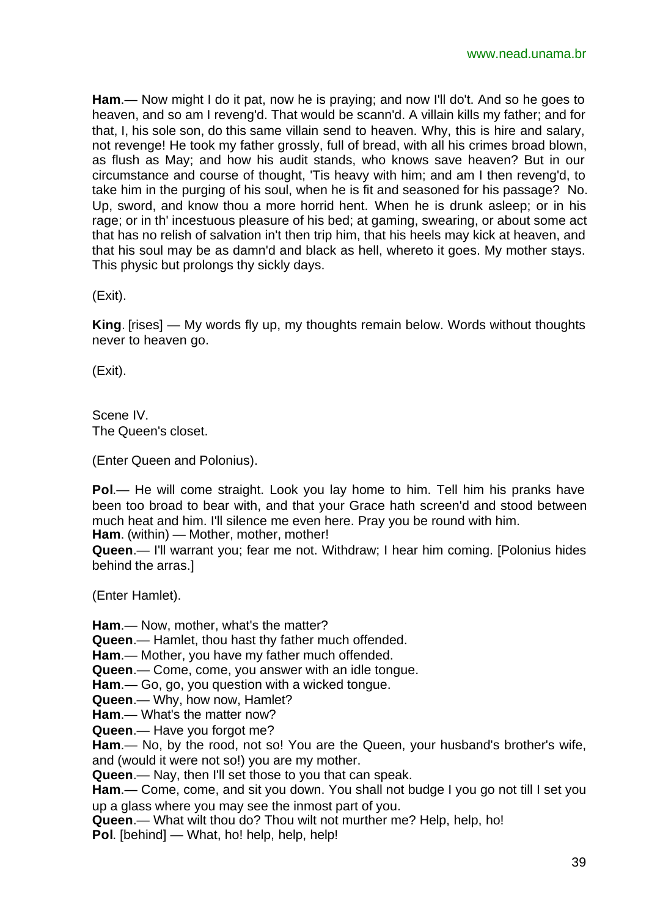**Ham**.— Now might I do it pat, now he is praying; and now I'll do't. And so he goes to heaven, and so am I reveng'd. That would be scann'd. A villain kills my father; and for that, I, his sole son, do this same villain send to heaven. Why, this is hire and salary, not revenge! He took my father grossly, full of bread, with all his crimes broad blown, as flush as May; and how his audit stands, who knows save heaven? But in our circumstance and course of thought, 'Tis heavy with him; and am I then reveng'd, to take him in the purging of his soul, when he is fit and seasoned for his passage? No. Up, sword, and know thou a more horrid hent. When he is drunk asleep; or in his rage; or in th' incestuous pleasure of his bed; at gaming, swearing, or about some act that has no relish of salvation in't then trip him, that his heels may kick at heaven, and that his soul may be as damn'd and black as hell, whereto it goes. My mother stays. This physic but prolongs thy sickly days.

(Exit).

**King**. [rises] — My words fly up, my thoughts remain below. Words without thoughts never to heaven go.

(Exit).

Scene IV. The Queen's closet.

(Enter Queen and Polonius).

**Pol**.— He will come straight. Look you lay home to him. Tell him his pranks have been too broad to bear with, and that your Grace hath screen'd and stood between much heat and him. I'll silence me even here. Pray you be round with him.

**Ham**. (within) — Mother, mother, mother!

**Queen**.— I'll warrant you; fear me not. Withdraw; I hear him coming. [Polonius hides behind the arras.]

(Enter Hamlet).

**Ham**.— Now, mother, what's the matter? **Queen**.— Hamlet, thou hast thy father much offended. **Ham**.— Mother, you have my father much offended. **Queen**.— Come, come, you answer with an idle tongue. **Ham**.— Go, go, you question with a wicked tongue. **Queen**.— Why, how now, Hamlet? **Ham**.— What's the matter now? **Queen**.— Have you forgot me? **Ham**.— No, by the rood, not so! You are the Queen, your husband's brother's wife, and (would it were not so!) you are my mother. **Queen**.— Nay, then I'll set those to you that can speak. **Ham**.— Come, come, and sit you down. You shall not budge I you go not till I set you up a glass where you may see the inmost part of you. **Queen**.— What wilt thou do? Thou wilt not murther me? Help, help, ho! **Pol**. [behind] — What, ho! help, help, help!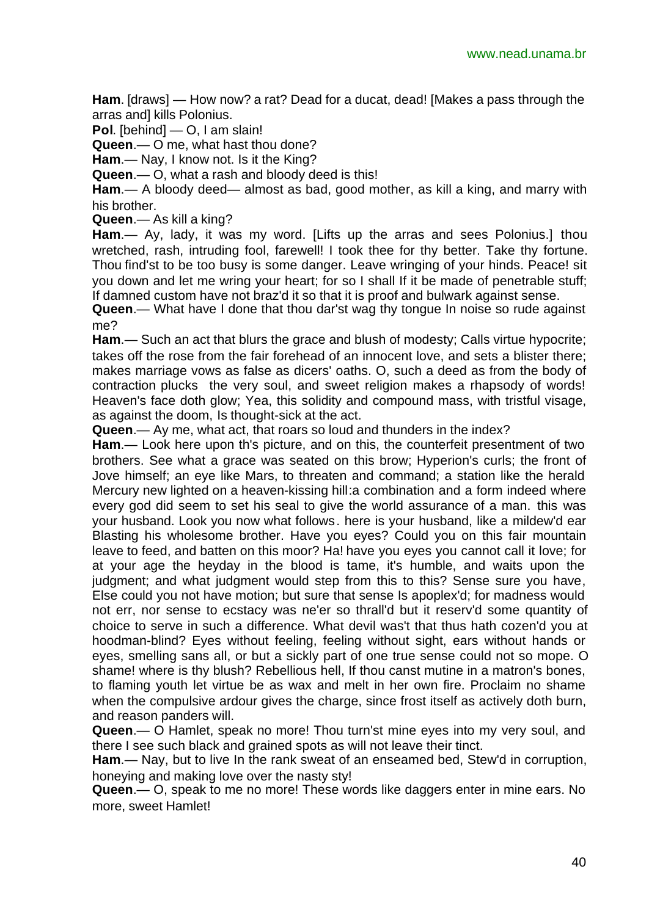**Ham**. [draws] — How now? a rat? Dead for a ducat, dead! [Makes a pass through the arras and] kills Polonius.

**Pol**. [behind] — O, I am slain!

**Queen**.— O me, what hast thou done?

**Ham**.— Nay, I know not. Is it the King?

**Queen**.— O, what a rash and bloody deed is this!

**Ham**.— A bloody deed— almost as bad, good mother, as kill a king, and marry with his brother.

**Queen**.— As kill a king?

**Ham**.— Ay, lady, it was my word. [Lifts up the arras and sees Polonius.] thou wretched, rash, intruding fool, farewell! I took thee for thy better. Take thy fortune. Thou find'st to be too busy is some danger. Leave wringing of your hinds. Peace! sit you down and let me wring your heart; for so I shall If it be made of penetrable stuff; If damned custom have not braz'd it so that it is proof and bulwark against sense.

**Queen**.— What have I done that thou dar'st wag thy tongue In noise so rude against me?

**Ham**.— Such an act that blurs the grace and blush of modesty; Calls virtue hypocrite; takes off the rose from the fair forehead of an innocent love, and sets a blister there; makes marriage vows as false as dicers' oaths. O, such a deed as from the body of contraction plucks the very soul, and sweet religion makes a rhapsody of words! Heaven's face doth glow; Yea, this solidity and compound mass, with tristful visage, as against the doom, Is thought-sick at the act.

**Queen**.— Ay me, what act, that roars so loud and thunders in the index?

**Ham**.— Look here upon th's picture, and on this, the counterfeit presentment of two brothers. See what a grace was seated on this brow; Hyperion's curls; the front of Jove himself; an eye like Mars, to threaten and command; a station like the herald Mercury new lighted on a heaven-kissing hill:a combination and a form indeed where every god did seem to set his seal to give the world assurance of a man. this was your husband. Look you now what follows. here is your husband, like a mildew'd ear Blasting his wholesome brother. Have you eyes? Could you on this fair mountain leave to feed, and batten on this moor? Ha! have you eyes you cannot call it love; for at your age the heyday in the blood is tame, it's humble, and waits upon the judgment; and what judgment would step from this to this? Sense sure you have, Else could you not have motion; but sure that sense Is apoplex'd; for madness would not err, nor sense to ecstacy was ne'er so thrall'd but it reserv'd some quantity of choice to serve in such a difference. What devil was't that thus hath cozen'd you at hoodman-blind? Eyes without feeling, feeling without sight, ears without hands or eyes, smelling sans all, or but a sickly part of one true sense could not so mope. O shame! where is thy blush? Rebellious hell, If thou canst mutine in a matron's bones, to flaming youth let virtue be as wax and melt in her own fire. Proclaim no shame when the compulsive ardour gives the charge, since frost itself as actively doth burn, and reason panders will.

**Queen**.— O Hamlet, speak no more! Thou turn'st mine eyes into my very soul, and there I see such black and grained spots as will not leave their tinct.

**Ham**.— Nay, but to live In the rank sweat of an enseamed bed, Stew'd in corruption, honeying and making love over the nasty sty!

**Queen**.— O, speak to me no more! These words like daggers enter in mine ears. No more, sweet Hamlet!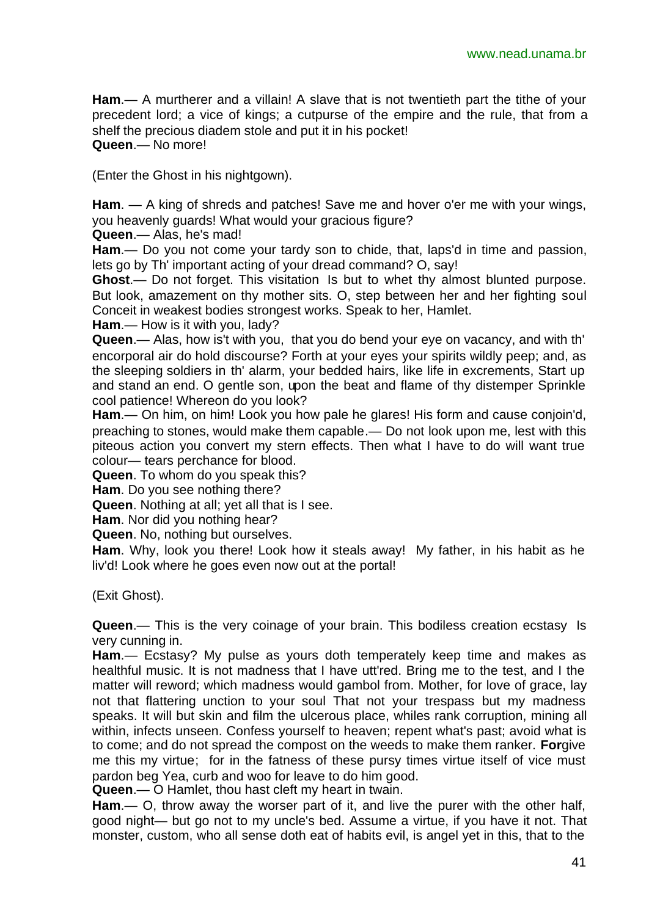**Ham**.— A murtherer and a villain! A slave that is not twentieth part the tithe of your precedent lord; a vice of kings; a cutpurse of the empire and the rule, that from a shelf the precious diadem stole and put it in his pocket! **Queen**.— No more!

(Enter the Ghost in his nightgown).

**Ham**. — A king of shreds and patches! Save me and hover o'er me with your wings, you heavenly guards! What would your gracious figure?

**Queen**.— Alas, he's mad!

**Ham**.— Do you not come your tardy son to chide, that, laps'd in time and passion, lets go by Th' important acting of your dread command? O, say!

**Ghost**.— Do not forget. This visitation Is but to whet thy almost blunted purpose. But look, amazement on thy mother sits. O, step between her and her fighting soul Conceit in weakest bodies strongest works. Speak to her, Hamlet.

**Ham**.— How is it with you, lady?

**Queen**.— Alas, how is't with you, that you do bend your eye on vacancy, and with th' encorporal air do hold discourse? Forth at your eyes your spirits wildly peep; and, as the sleeping soldiers in th' alarm, your bedded hairs, like life in excrements, Start up and stand an end. O gentle son, upon the beat and flame of thy distemper Sprinkle cool patience! Whereon do you look?

**Ham**.— On him, on him! Look you how pale he glares! His form and cause conjoin'd, preaching to stones, would make them capable.— Do not look upon me, lest with this piteous action you convert my stern effects. Then what I have to do will want true colour— tears perchance for blood.

**Queen**. To whom do you speak this?

**Ham**. Do you see nothing there?

**Queen**. Nothing at all; yet all that is I see.

**Ham**. Nor did you nothing hear?

**Queen**. No, nothing but ourselves.

**Ham**. Why, look you there! Look how it steals away! My father, in his habit as he liv'd! Look where he goes even now out at the portal!

(Exit Ghost).

**Queen.**— This is the very coinage of your brain. This bodiless creation ecstasy Is very cunning in.

**Ham**.— Ecstasy? My pulse as yours doth temperately keep time and makes as healthful music. It is not madness that I have utt'red. Bring me to the test, and I the matter will reword; which madness would gambol from. Mother, for love of grace, lay not that flattering unction to your soul That not your trespass but my madness speaks. It will but skin and film the ulcerous place, whiles rank corruption, mining all within, infects unseen. Confess yourself to heaven; repent what's past; avoid what is to come; and do not spread the compost on the weeds to make them ranker. **For**give me this my virtue; for in the fatness of these pursy times virtue itself of vice must pardon beg Yea, curb and woo for leave to do him good.

**Queen**.— O Hamlet, thou hast cleft my heart in twain.

**Ham**.— O, throw away the worser part of it, and live the purer with the other half, good night— but go not to my uncle's bed. Assume a virtue, if you have it not. That monster, custom, who all sense doth eat of habits evil, is angel yet in this, that to the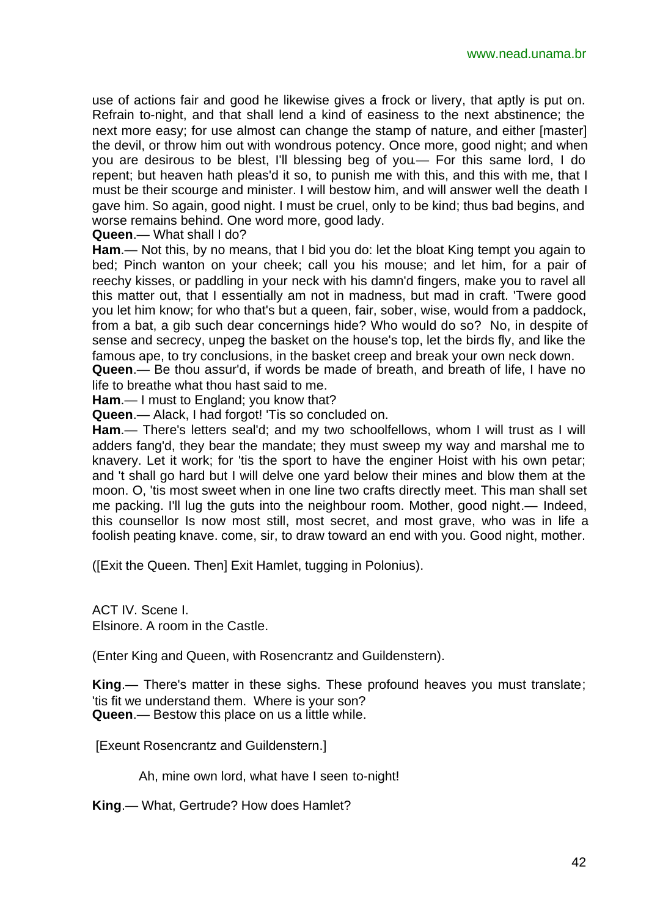use of actions fair and good he likewise gives a frock or livery, that aptly is put on. Refrain to-night, and that shall lend a kind of easiness to the next abstinence; the next more easy; for use almost can change the stamp of nature, and either [master] the devil, or throw him out with wondrous potency. Once more, good night; and when you are desirous to be blest, I'll blessing beg of you.— For this same lord, I do repent; but heaven hath pleas'd it so, to punish me with this, and this with me, that I must be their scourge and minister. I will bestow him, and will answer well the death I gave him. So again, good night. I must be cruel, only to be kind; thus bad begins, and worse remains behind. One word more, good lady.

**Queen**.— What shall I do?

**Ham**.— Not this, by no means, that I bid you do: let the bloat King tempt you again to bed; Pinch wanton on your cheek; call you his mouse; and let him, for a pair of reechy kisses, or paddling in your neck with his damn'd fingers, make you to ravel all this matter out, that I essentially am not in madness, but mad in craft. 'Twere good you let him know; for who that's but a queen, fair, sober, wise, would from a paddock, from a bat, a gib such dear concernings hide? Who would do so? No, in despite of sense and secrecy, unpeg the basket on the house's top, let the birds fly, and like the famous ape, to try conclusions, in the basket creep and break your own neck down.

**Queen**.— Be thou assur'd, if words be made of breath, and breath of life, I have no life to breathe what thou hast said to me.

**Ham**.— I must to England; you know that?

**Queen**.— Alack, I had forgot! 'Tis so concluded on.

**Ham**.— There's letters seal'd; and my two schoolfellows, whom I will trust as I will adders fang'd, they bear the mandate; they must sweep my way and marshal me to knavery. Let it work; for 'tis the sport to have the enginer Hoist with his own petar; and 't shall go hard but I will delve one yard below their mines and blow them at the moon. O, 'tis most sweet when in one line two crafts directly meet. This man shall set me packing. I'll lug the guts into the neighbour room. Mother, good night.— Indeed, this counsellor Is now most still, most secret, and most grave, who was in life a foolish peating knave. come, sir, to draw toward an end with you. Good night, mother.

([Exit the Queen. Then] Exit Hamlet, tugging in Polonius).

ACT IV. Scene I. Elsinore. A room in the Castle.

(Enter King and Queen, with Rosencrantz and Guildenstern).

**King**.— There's matter in these sighs. These profound heaves you must translate; 'tis fit we understand them. Where is your son? **Queen**.— Bestow this place on us a little while.

[Exeunt Rosencrantz and Guildenstern.]

Ah, mine own lord, what have I seen to-night!

**King**.— What, Gertrude? How does Hamlet?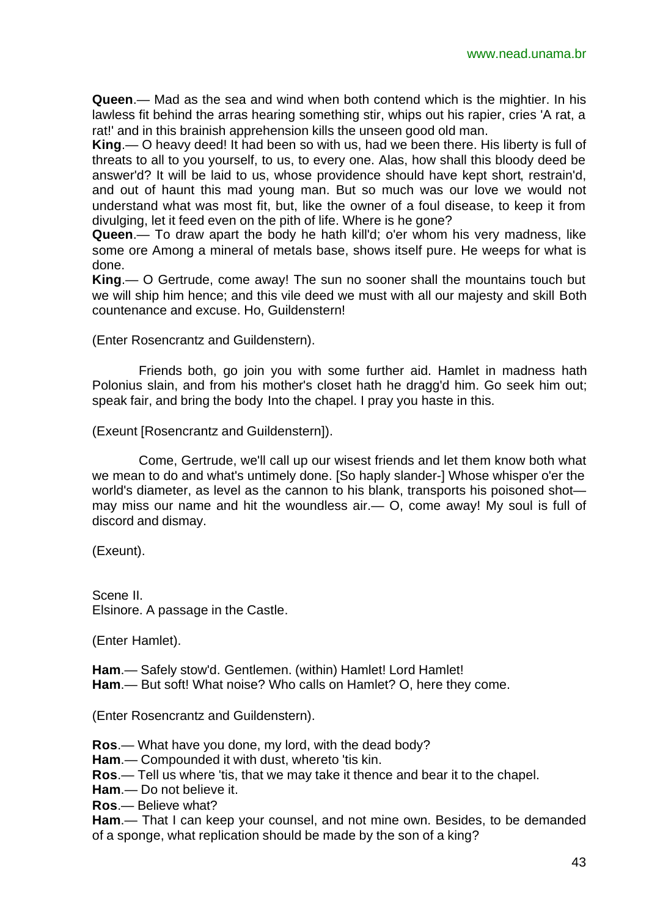**Queen**.— Mad as the sea and wind when both contend which is the mightier. In his lawless fit behind the arras hearing something stir, whips out his rapier, cries 'A rat, a rat!' and in this brainish apprehension kills the unseen good old man.

**King**.— O heavy deed! It had been so with us, had we been there. His liberty is full of threats to all to you yourself, to us, to every one. Alas, how shall this bloody deed be answer'd? It will be laid to us, whose providence should have kept short, restrain'd, and out of haunt this mad young man. But so much was our love we would not understand what was most fit, but, like the owner of a foul disease, to keep it from divulging, let it feed even on the pith of life. Where is he gone?

**Queen**.— To draw apart the body he hath kill'd; o'er whom his very madness, like some ore Among a mineral of metals base, shows itself pure. He weeps for what is done.

**King**.— O Gertrude, come away! The sun no sooner shall the mountains touch but we will ship him hence; and this vile deed we must with all our majesty and skill Both countenance and excuse. Ho, Guildenstern!

(Enter Rosencrantz and Guildenstern).

Friends both, go join you with some further aid. Hamlet in madness hath Polonius slain, and from his mother's closet hath he dragg'd him. Go seek him out; speak fair, and bring the body Into the chapel. I pray you haste in this.

(Exeunt [Rosencrantz and Guildenstern]).

Come, Gertrude, we'll call up our wisest friends and let them know both what we mean to do and what's untimely done. [So haply slander-] Whose whisper o'er the world's diameter, as level as the cannon to his blank, transports his poisoned shot may miss our name and hit the woundless air.— O, come away! My soul is full of discord and dismay.

(Exeunt).

Scene II. Elsinore. A passage in the Castle.

(Enter Hamlet).

**Ham**.— Safely stow'd. Gentlemen. (within) Hamlet! Lord Hamlet!

**Ham**.— But soft! What noise? Who calls on Hamlet? O, here they come.

(Enter Rosencrantz and Guildenstern).

**Ros**.— What have you done, my lord, with the dead body?

**Ham**.— Compounded it with dust, whereto 'tis kin.

**Ros**.— Tell us where 'tis, that we may take it thence and bear it to the chapel.

**Ham**.— Do not believe it.

**Ros**.— Believe what?

**Ham**.— That I can keep your counsel, and not mine own. Besides, to be demanded of a sponge, what replication should be made by the son of a king?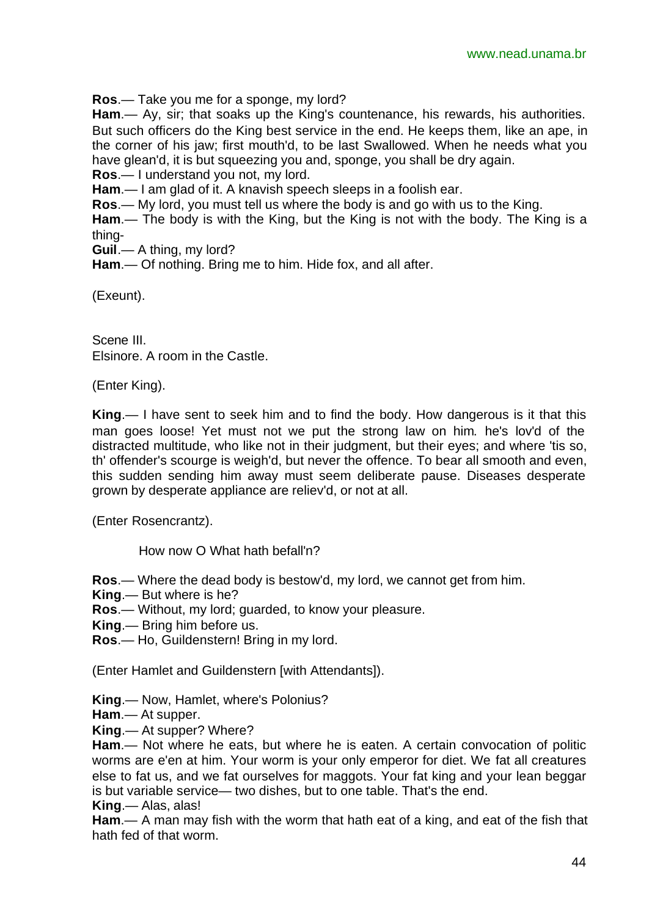**Ros**.— Take you me for a sponge, my lord?

**Ham**.— Ay, sir; that soaks up the King's countenance, his rewards, his authorities. But such officers do the King best service in the end. He keeps them, like an ape, in the corner of his jaw; first mouth'd, to be last Swallowed. When he needs what you have glean'd, it is but squeezing you and, sponge, you shall be dry again.

**Ros**.— I understand you not, my lord.

**Ham**.— I am glad of it. A knavish speech sleeps in a foolish ear.

**Ros**.— My lord, you must tell us where the body is and go with us to the King.

**Ham**.— The body is with the King, but the King is not with the body. The King is a thing-

**Guil**.— A thing, my lord?

**Ham**.— Of nothing. Bring me to him. Hide fox, and all after.

(Exeunt).

Scene III. Elsinore. A room in the Castle.

(Enter King).

**King**.— I have sent to seek him and to find the body. How dangerous is it that this man goes loose! Yet must not we put the strong law on him. he's lov'd of the distracted multitude, who like not in their judgment, but their eyes; and where 'tis so, th' offender's scourge is weigh'd, but never the offence. To bear all smooth and even, this sudden sending him away must seem deliberate pause. Diseases desperate grown by desperate appliance are reliev'd, or not at all.

(Enter Rosencrantz).

How now O What hath befall'n?

**Ros**.— Where the dead body is bestow'd, my lord, we cannot get from him.

**King**.— But where is he?

**Ros**.— Without, my lord; guarded, to know your pleasure.

**King**.— Bring him before us.

**Ros**.— Ho, Guildenstern! Bring in my lord.

(Enter Hamlet and Guildenstern [with Attendants]).

**King**.— Now, Hamlet, where's Polonius?

**Ham**.— At supper.

**King**.— At supper? Where?

**Ham**.— Not where he eats, but where he is eaten. A certain convocation of politic worms are e'en at him. Your worm is your only emperor for diet. We fat all creatures else to fat us, and we fat ourselves for maggots. Your fat king and your lean beggar is but variable service— two dishes, but to one table. That's the end.

**King**.— Alas, alas!

**Ham**.— A man may fish with the worm that hath eat of a king, and eat of the fish that hath fed of that worm.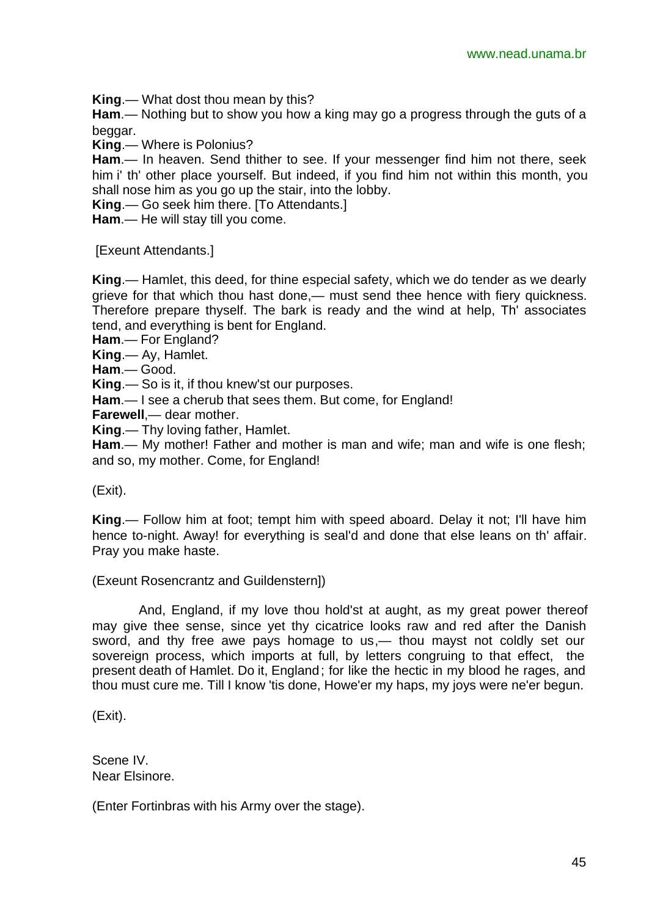**King**.— What dost thou mean by this?

**Ham**.— Nothing but to show you how a king may go a progress through the guts of a beggar.

**King**.— Where is Polonius?

**Ham**.— In heaven. Send thither to see. If your messenger find him not there, seek him i' th' other place yourself. But indeed, if you find him not within this month, you shall nose him as you go up the stair, into the lobby.

**King**.— Go seek him there. [To Attendants.]

**Ham**.— He will stay till you come.

[Exeunt Attendants.]

**King**.— Hamlet, this deed, for thine especial safety, which we do tender as we dearly grieve for that which thou hast done,— must send thee hence with fiery quickness. Therefore prepare thyself. The bark is ready and the wind at help, Th' associates tend, and everything is bent for England.

**Ham**.— For England?

**King**.— Ay, Hamlet.

**Ham**.— Good.

**King**.— So is it, if thou knew'st our purposes.

**Ham**.— I see a cherub that sees them. But come, for England!

**Farewell**,— dear mother.

**King**.— Thy loving father, Hamlet.

**Ham**.— My mother! Father and mother is man and wife; man and wife is one flesh; and so, my mother. Come, for England!

(Exit).

**King**.— Follow him at foot; tempt him with speed aboard. Delay it not; I'll have him hence to-night. Away! for everything is seal'd and done that else leans on th' affair. Pray you make haste.

(Exeunt Rosencrantz and Guildenstern])

And, England, if my love thou hold'st at aught, as my great power thereof may give thee sense, since yet thy cicatrice looks raw and red after the Danish sword, and thy free awe pays homage to us,— thou mayst not coldly set our sovereign process, which imports at full, by letters congruing to that effect, the present death of Hamlet. Do it, England; for like the hectic in my blood he rages, and thou must cure me. Till I know 'tis done, Howe'er my haps, my joys were ne'er begun.

(Exit).

Scene IV. Near Elsinore.

(Enter Fortinbras with his Army over the stage).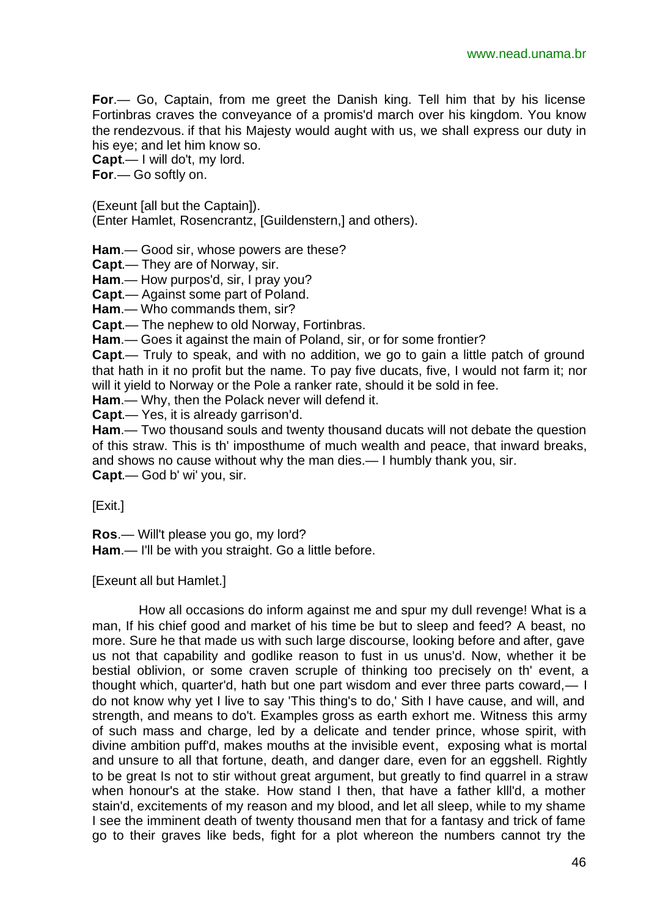**For**.— Go, Captain, from me greet the Danish king. Tell him that by his license Fortinbras craves the conveyance of a promis'd march over his kingdom. You know the rendezvous. if that his Majesty would aught with us, we shall express our duty in his eye; and let him know so.

**Capt**.— I will do't, my lord.

**For**.— Go softly on.

(Exeunt [all but the Captain]).

(Enter Hamlet, Rosencrantz, [Guildenstern,] and others).

**Ham**.— Good sir, whose powers are these?

**Capt**.— They are of Norway, sir.

**Ham**.— How purpos'd, sir, I pray you?

**Capt**.— Against some part of Poland.

**Ham**.— Who commands them, sir?

**Capt**.— The nephew to old Norway, Fortinbras.

**Ham**.— Goes it against the main of Poland, sir, or for some frontier?

**Capt**.— Truly to speak, and with no addition, we go to gain a little patch of ground that hath in it no profit but the name. To pay five ducats, five, I would not farm it; nor will it yield to Norway or the Pole a ranker rate, should it be sold in fee.

**Ham**.— Why, then the Polack never will defend it.

**Capt**.— Yes, it is already garrison'd.

**Ham**.— Two thousand souls and twenty thousand ducats will not debate the question of this straw. This is th' imposthume of much wealth and peace, that inward breaks, and shows no cause without why the man dies.— I humbly thank you, sir. **Capt**.— God b' wi' you, sir.

[Exit.]

**Ros**.— Will't please you go, my lord?

**Ham**.— I'll be with you straight. Go a little before.

[Exeunt all but Hamlet.]

How all occasions do inform against me and spur my dull revenge! What is a man, If his chief good and market of his time be but to sleep and feed? A beast, no more. Sure he that made us with such large discourse, looking before and after, gave us not that capability and godlike reason to fust in us unus'd. Now, whether it be bestial oblivion, or some craven scruple of thinking too precisely on th' event, a thought which, quarter'd, hath but one part wisdom and ever three parts coward,— I do not know why yet I live to say 'This thing's to do,' Sith I have cause, and will, and strength, and means to do't. Examples gross as earth exhort me. Witness this army of such mass and charge, led by a delicate and tender prince, whose spirit, with divine ambition puff'd, makes mouths at the invisible event, exposing what is mortal and unsure to all that fortune, death, and danger dare, even for an eggshell. Rightly to be great Is not to stir without great argument, but greatly to find quarrel in a straw when honour's at the stake. How stand I then, that have a father klll'd, a mother stain'd, excitements of my reason and my blood, and let all sleep, while to my shame I see the imminent death of twenty thousand men that for a fantasy and trick of fame go to their graves like beds, fight for a plot whereon the numbers cannot try the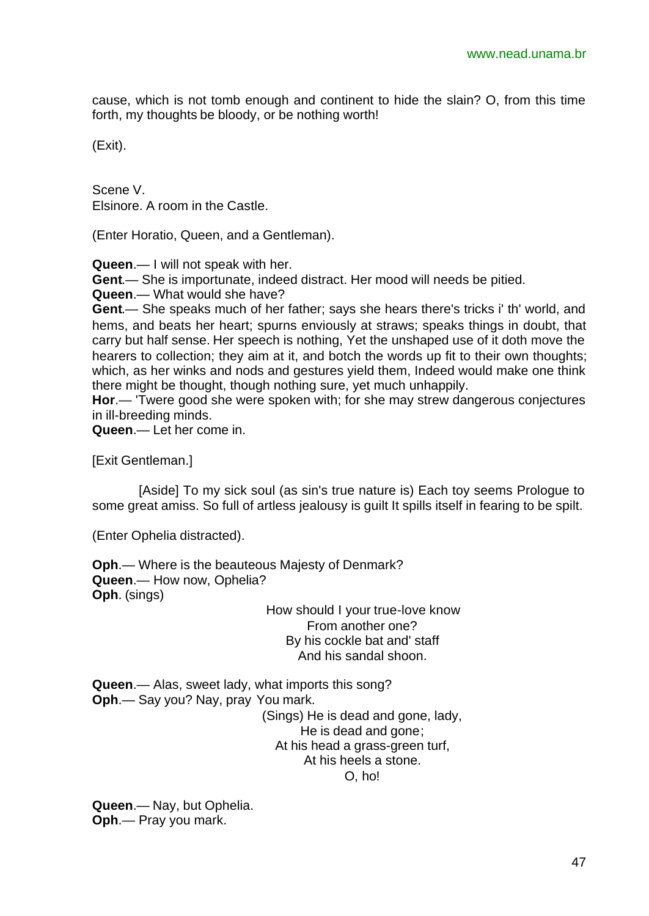cause, which is not tomb enough and continent to hide the slain? O, from this time forth, my thoughts be bloody, or be nothing worth!

(Exit).

Scene V. Elsinore. A room in the Castle.

(Enter Horatio, Queen, and a Gentleman).

**Queen**.— I will not speak with her.

**Gent**.— She is importunate, indeed distract. Her mood will needs be pitied.

**Queen**.— What would she have?

**Gent**.— She speaks much of her father; says she hears there's tricks i' th' world, and hems, and beats her heart; spurns enviously at straws; speaks things in doubt, that carry but half sense. Her speech is nothing, Yet the unshaped use of it doth move the hearers to collection; they aim at it, and botch the words up fit to their own thoughts; which, as her winks and nods and gestures yield them, Indeed would make one think there might be thought, though nothing sure, yet much unhappily.

**Hor**.— 'Twere good she were spoken with; for she may strew dangerous conjectures in ill-breeding minds.

**Queen**.— Let her come in.

[Exit Gentleman.]

[Aside] To my sick soul (as sin's true nature is) Each toy seems Prologue to some great amiss. So full of artless jealousy is guilt It spills itself in fearing to be spilt.

(Enter Ophelia distracted).

**Oph**.— Where is the beauteous Majesty of Denmark? **Queen**.— How now, Ophelia? **Oph**. (sings)

> How should I your true-love know From another one? By his cockle bat and' staff And his sandal shoon.

**Queen**.— Alas, sweet lady, what imports this song? **Oph**.— Say you? Nay, pray You mark. (Sings) He is dead and gone, lady, He is dead and gone; At his head a grass-green turf, At his heels a stone. O, ho!

**Queen**.— Nay, but Ophelia. **Oph**.— Pray you mark.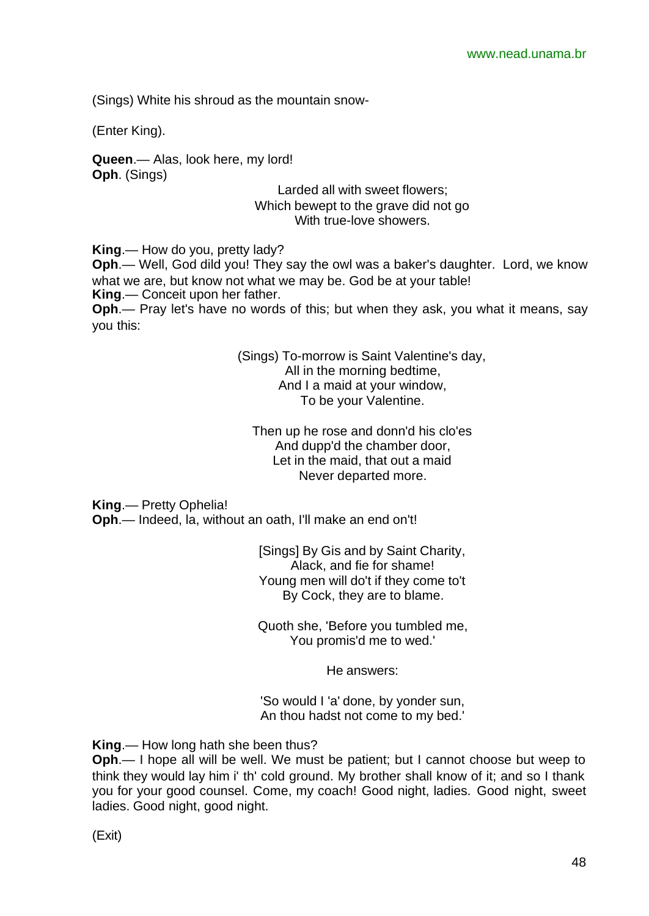(Sings) White his shroud as the mountain snow-

(Enter King).

**Queen**.— Alas, look here, my lord! **Oph**. (Sings)

> Larded all with sweet flowers; Which bewept to the grave did not go With true-love showers.

**King**.— How do you, pretty lady?

**Oph**.— Well, God dild you! They say the owl was a baker's daughter. Lord, we know what we are, but know not what we may be. God be at your table! **King**.— Conceit upon her father.

**Oph**.— Pray let's have no words of this; but when they ask, you what it means, say you this:

> (Sings) To-morrow is Saint Valentine's day, All in the morning bedtime, And I a maid at your window, To be your Valentine.

Then up he rose and donn'd his clo'es And dupp'd the chamber door, Let in the maid, that out a maid Never departed more.

**King**.— Pretty Ophelia!

**Oph**.— Indeed, la, without an oath, I'll make an end on't!

[Sings] By Gis and by Saint Charity, Alack, and fie for shame! Young men will do't if they come to't By Cock, they are to blame.

Quoth she, 'Before you tumbled me, You promis'd me to wed.'

He answers:

'So would I 'a' done, by yonder sun, An thou hadst not come to my bed.'

**King**.— How long hath she been thus?

**Oph**.— I hope all will be well. We must be patient; but I cannot choose but weep to think they would lay him i' th' cold ground. My brother shall know of it; and so I thank you for your good counsel. Come, my coach! Good night, ladies. Good night, sweet ladies. Good night, good night.

(Exit)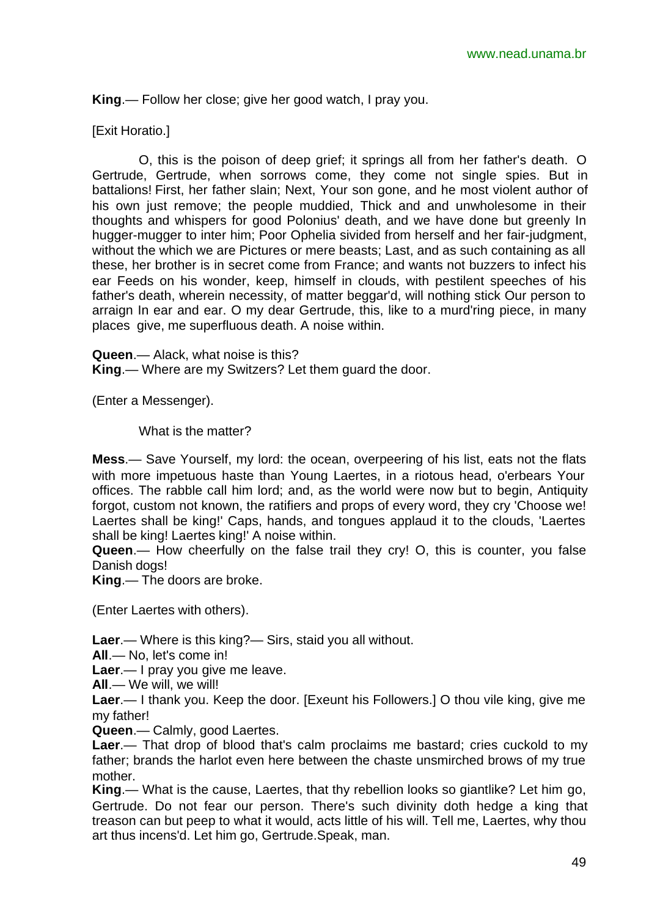**King**.— Follow her close; give her good watch, I pray you.

#### [Exit Horatio.]

O, this is the poison of deep grief; it springs all from her father's death. O Gertrude, Gertrude, when sorrows come, they come not single spies. But in battalions! First, her father slain; Next, Your son gone, and he most violent author of his own just remove; the people muddied, Thick and and unwholesome in their thoughts and whispers for good Polonius' death, and we have done but greenly In hugger-mugger to inter him; Poor Ophelia sivided from herself and her fair-judgment, without the which we are Pictures or mere beasts; Last, and as such containing as all these, her brother is in secret come from France; and wants not buzzers to infect his ear Feeds on his wonder, keep, himself in clouds, with pestilent speeches of his father's death, wherein necessity, of matter beggar'd, will nothing stick Our person to arraign In ear and ear. O my dear Gertrude, this, like to a murd'ring piece, in many places give, me superfluous death. A noise within.

**Queen**.— Alack, what noise is this?

**King**.— Where are my Switzers? Let them guard the door.

(Enter a Messenger).

What is the matter?

**Mess**.— Save Yourself, my lord: the ocean, overpeering of his list, eats not the flats with more impetuous haste than Young Laertes, in a riotous head, o'erbears Your offices. The rabble call him lord; and, as the world were now but to begin, Antiquity forgot, custom not known, the ratifiers and props of every word, they cry 'Choose we! Laertes shall be king!' Caps, hands, and tongues applaud it to the clouds, 'Laertes shall be king! Laertes king!' A noise within.

**Queen**.— How cheerfully on the false trail they cry! O, this is counter, you false Danish dogs!

**King**.— The doors are broke.

(Enter Laertes with others).

**Laer**.— Where is this king?— Sirs, staid you all without.

**All**.— No, let's come in!

**Laer**.— I pray you give me leave.

**All**.— We will, we will!

**Laer**.— I thank you. Keep the door. [Exeunt his Followers.] O thou vile king, give me my father!

**Queen**.— Calmly, good Laertes.

**Laer**.— That drop of blood that's calm proclaims me bastard; cries cuckold to my father; brands the harlot even here between the chaste unsmirched brows of my true mother.

**King**.— What is the cause, Laertes, that thy rebellion looks so giantlike? Let him go, Gertrude. Do not fear our person. There's such divinity doth hedge a king that treason can but peep to what it would, acts little of his will. Tell me, Laertes, why thou art thus incens'd. Let him go, Gertrude.Speak, man.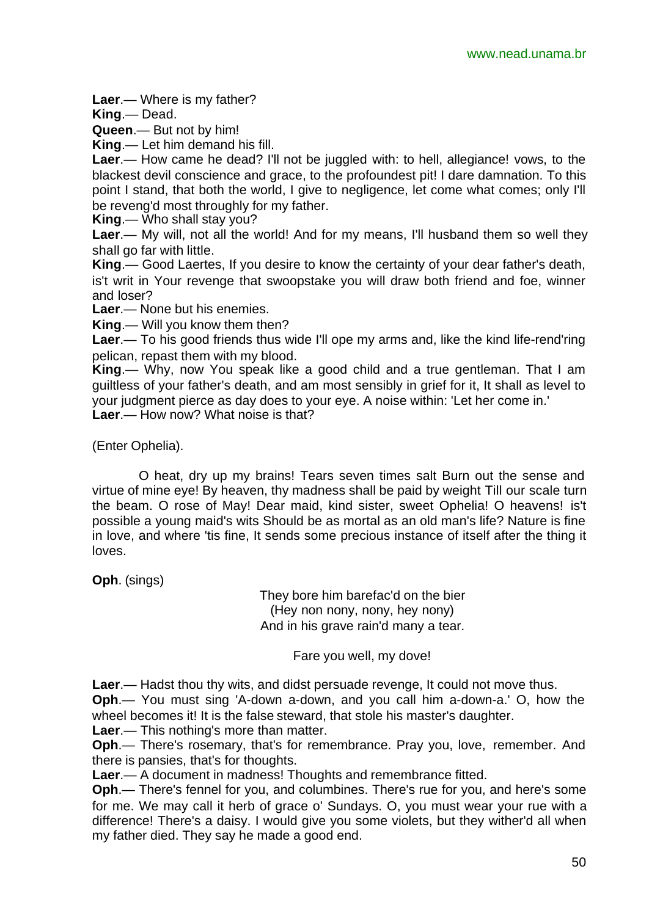**Laer**.— Where is my father?

**King**.— Dead.

**Queen**.— But not by him!

**King**.— Let him demand his fill.

**Laer**.— How came he dead? I'll not be juggled with: to hell, allegiance! vows, to the blackest devil conscience and grace, to the profoundest pit! I dare damnation. To this point I stand, that both the world, I give to negligence, let come what comes; only I'll be reveng'd most throughly for my father.

**King**.— Who shall stay you?

**Laer.**— My will, not all the world! And for my means, I'll husband them so well they shall go far with little.

**King**.— Good Laertes, If you desire to know the certainty of your dear father's death, is't writ in Your revenge that swoopstake you will draw both friend and foe, winner and loser?

**Laer**.— None but his enemies.

**King**.— Will you know them then?

**Laer**.— To his good friends thus wide I'll ope my arms and, like the kind life-rend'ring pelican, repast them with my blood.

**King**.— Why, now You speak like a good child and a true gentleman. That I am guiltless of your father's death, and am most sensibly in grief for it, It shall as level to your judgment pierce as day does to your eye. A noise within: 'Let her come in.' **Laer**.— How now? What noise is that?

(Enter Ophelia).

O heat, dry up my brains! Tears seven times salt Burn out the sense and virtue of mine eye! By heaven, thy madness shall be paid by weight Till our scale turn the beam. O rose of May! Dear maid, kind sister, sweet Ophelia! O heavens! is't possible a young maid's wits Should be as mortal as an old man's life? Nature is fine in love, and where 'tis fine, It sends some precious instance of itself after the thing it loves.

**Oph**. (sings)

They bore him barefac'd on the bier (Hey non nony, nony, hey nony) And in his grave rain'd many a tear.

Fare you well, my dove!

**Laer**.— Hadst thou thy wits, and didst persuade revenge, It could not move thus.

**Oph**.— You must sing 'A-down a-down, and you call him a-down-a.' O, how the wheel becomes it! It is the false steward, that stole his master's daughter.

**Laer**.— This nothing's more than matter.

**Oph**.— There's rosemary, that's for remembrance. Pray you, love, remember. And there is pansies, that's for thoughts.

**Laer**.— A document in madness! Thoughts and remembrance fitted.

**Oph**.— There's fennel for you, and columbines. There's rue for you, and here's some for me. We may call it herb of grace o' Sundays. O, you must wear your rue with a difference! There's a daisy. I would give you some violets, but they wither'd all when my father died. They say he made a good end.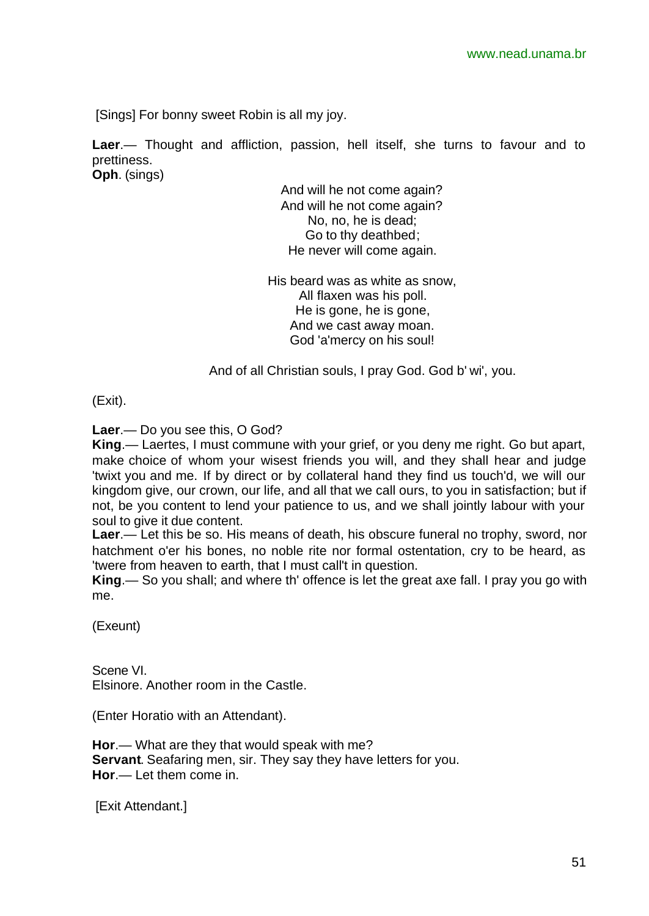[Sings] For bonny sweet Robin is all my joy.

**Laer**.— Thought and affliction, passion, hell itself, she turns to favour and to prettiness. **Oph**. (sings)

> And will he not come again? And will he not come again? No, no, he is dead; Go to thy deathbed; He never will come again.

His beard was as white as snow, All flaxen was his poll. He is gone, he is gone, And we cast away moan. God 'a'mercy on his soul!

And of all Christian souls, I pray God. God b' wi', you.

(Exit).

**Laer**.— Do you see this, O God?

**King**.— Laertes, I must commune with your grief, or you deny me right. Go but apart, make choice of whom your wisest friends you will, and they shall hear and judge 'twixt you and me. If by direct or by collateral hand they find us touch'd, we will our kingdom give, our crown, our life, and all that we call ours, to you in satisfaction; but if not, be you content to lend your patience to us, and we shall jointly labour with your soul to give it due content.

**Laer**.— Let this be so. His means of death, his obscure funeral no trophy, sword, nor hatchment o'er his bones, no noble rite nor formal ostentation, cry to be heard, as 'twere from heaven to earth, that I must call't in question.

**King**.— So you shall; and where th' offence is let the great axe fall. I pray you go with me.

(Exeunt)

Scene VI. Elsinore. Another room in the Castle.

(Enter Horatio with an Attendant).

**Hor**.— What are they that would speak with me? **Servant**. Seafaring men, sir. They say they have letters for you. **Hor**.— Let them come in.

[Exit Attendant.]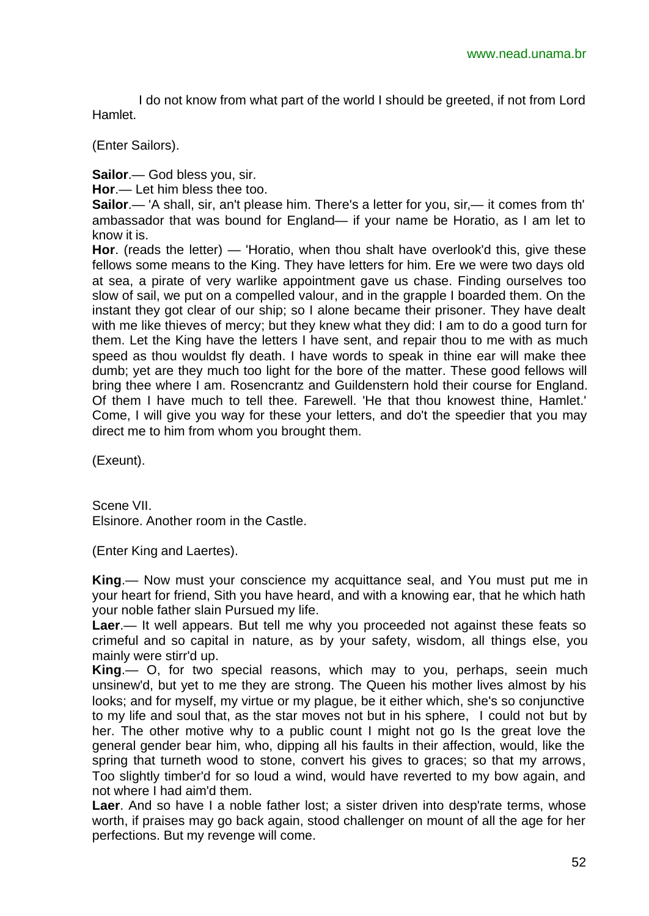I do not know from what part of the world I should be greeted, if not from Lord Hamlet.

(Enter Sailors).

**Sailor**.— God bless you, sir.

**Hor**.— Let him bless thee too.

**Sailor**.— 'A shall, sir, an't please him. There's a letter for you, sir,— it comes from th' ambassador that was bound for England— if your name be Horatio, as I am let to know it is.

**Hor**. (reads the letter) — 'Horatio, when thou shalt have overlook'd this, give these fellows some means to the King. They have letters for him. Ere we were two days old at sea, a pirate of very warlike appointment gave us chase. Finding ourselves too slow of sail, we put on a compelled valour, and in the grapple I boarded them. On the instant they got clear of our ship; so I alone became their prisoner. They have dealt with me like thieves of mercy; but they knew what they did: I am to do a good turn for them. Let the King have the letters I have sent, and repair thou to me with as much speed as thou wouldst fly death. I have words to speak in thine ear will make thee dumb; yet are they much too light for the bore of the matter. These good fellows will bring thee where I am. Rosencrantz and Guildenstern hold their course for England. Of them I have much to tell thee. Farewell. 'He that thou knowest thine, Hamlet.' Come, I will give you way for these your letters, and do't the speedier that you may direct me to him from whom you brought them.

(Exeunt).

Scene VII. Elsinore. Another room in the Castle.

(Enter King and Laertes).

**King**.— Now must your conscience my acquittance seal, and You must put me in your heart for friend, Sith you have heard, and with a knowing ear, that he which hath your noble father slain Pursued my life.

**Laer**.— It well appears. But tell me why you proceeded not against these feats so crimeful and so capital in nature, as by your safety, wisdom, all things else, you mainly were stirr'd up.

**King**.— O, for two special reasons, which may to you, perhaps, seein much unsinew'd, but yet to me they are strong. The Queen his mother lives almost by his looks; and for myself, my virtue or my plague, be it either which, she's so conjunctive to my life and soul that, as the star moves not but in his sphere, I could not but by her. The other motive why to a public count I might not go Is the great love the general gender bear him, who, dipping all his faults in their affection, would, like the spring that turneth wood to stone, convert his gives to graces; so that my arrows, Too slightly timber'd for so loud a wind, would have reverted to my bow again, and not where I had aim'd them.

**Laer**. And so have I a noble father lost; a sister driven into desp'rate terms, whose worth, if praises may go back again, stood challenger on mount of all the age for her perfections. But my revenge will come.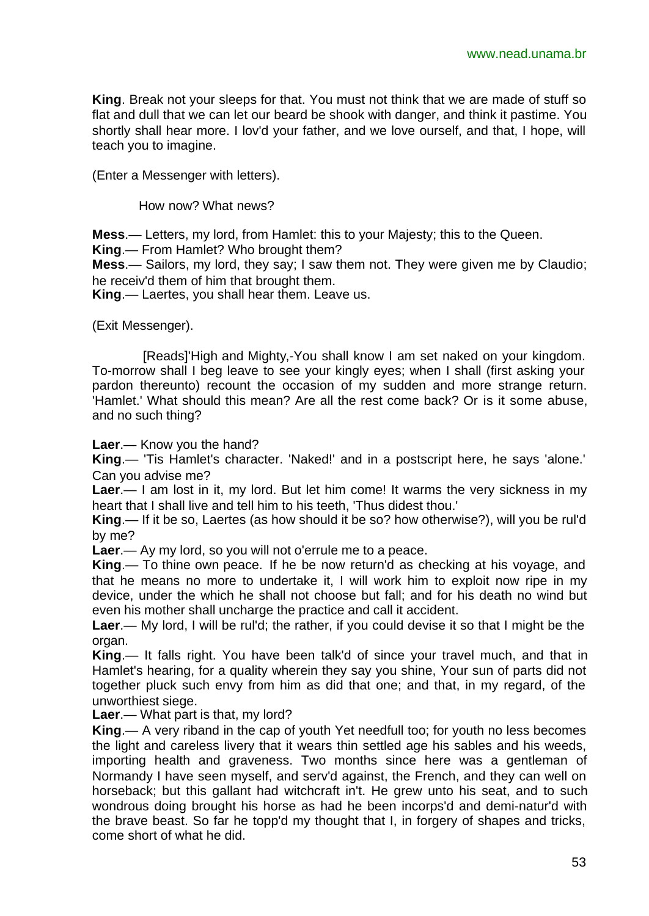**King**. Break not your sleeps for that. You must not think that we are made of stuff so flat and dull that we can let our beard be shook with danger, and think it pastime. You shortly shall hear more. I lov'd your father, and we love ourself, and that, I hope, will teach you to imagine.

(Enter a Messenger with letters).

How now? What news?

**Mess**.— Letters, my lord, from Hamlet: this to your Majesty; this to the Queen.

**King**.— From Hamlet? Who brought them?

**Mess**.— Sailors, my lord, they say; I saw them not. They were given me by Claudio; he receiv'd them of him that brought them.

**King**.— Laertes, you shall hear them. Leave us.

(Exit Messenger).

 [Reads]'High and Mighty,-You shall know I am set naked on your kingdom. To-morrow shall I beg leave to see your kingly eyes; when I shall (first asking your pardon thereunto) recount the occasion of my sudden and more strange return. 'Hamlet.' What should this mean? Are all the rest come back? Or is it some abuse, and no such thing?

**Laer**.— Know you the hand?

**King**.— 'Tis Hamlet's character. 'Naked!' and in a postscript here, he says 'alone.' Can you advise me?

**Laer**.— I am lost in it, my lord. But let him come! It warms the very sickness in my heart that I shall live and tell him to his teeth, 'Thus didest thou.'

**King**.— If it be so, Laertes (as how should it be so? how otherwise?), will you be rul'd by me?

**Laer**.— Ay my lord, so you will not o'errule me to a peace.

**King**.— To thine own peace. If he be now return'd as checking at his voyage, and that he means no more to undertake it, I will work him to exploit now ripe in my device, under the which he shall not choose but fall; and for his death no wind but even his mother shall uncharge the practice and call it accident.

**Laer**.— My lord, I will be rul'd; the rather, if you could devise it so that I might be the organ.

**King**.— It falls right. You have been talk'd of since your travel much, and that in Hamlet's hearing, for a quality wherein they say you shine, Your sun of parts did not together pluck such envy from him as did that one; and that, in my regard, of the unworthiest siege.

**Laer**.— What part is that, my lord?

**King**.— A very riband in the cap of youth Yet needfull too; for youth no less becomes the light and careless livery that it wears thin settled age his sables and his weeds, importing health and graveness. Two months since here was a gentleman of Normandy I have seen myself, and serv'd against, the French, and they can well on horseback; but this gallant had witchcraft in't. He grew unto his seat, and to such wondrous doing brought his horse as had he been incorps'd and demi-natur'd with the brave beast. So far he topp'd my thought that I, in forgery of shapes and tricks, come short of what he did.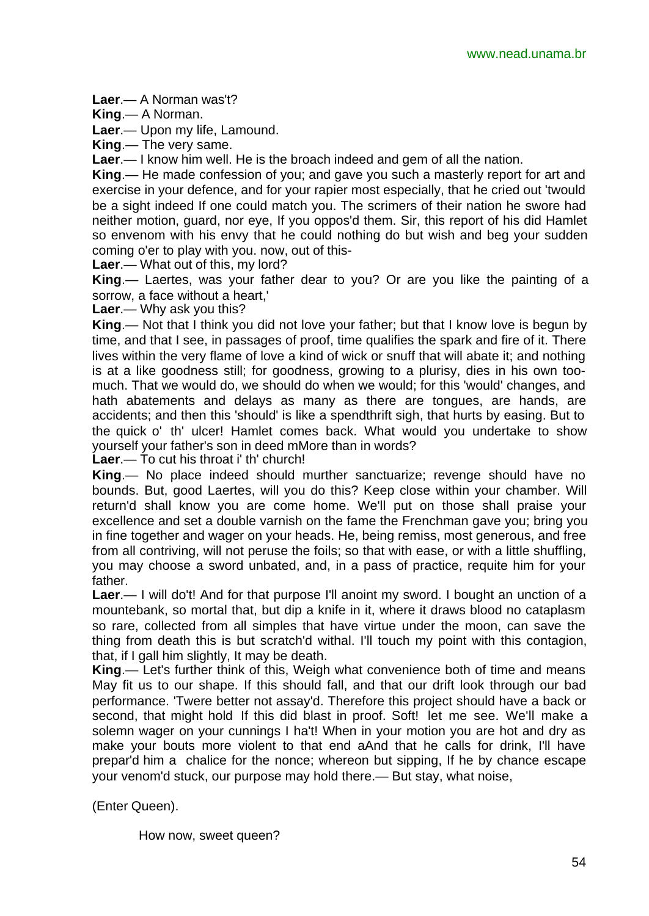**Laer**.— A Norman was't?

**King**.— A Norman.

**Laer**.— Upon my life, Lamound.

**King**.— The very same.

**Laer**.— I know him well. He is the broach indeed and gem of all the nation.

**King**.— He made confession of you; and gave you such a masterly report for art and exercise in your defence, and for your rapier most especially, that he cried out 'twould be a sight indeed If one could match you. The scrimers of their nation he swore had neither motion, guard, nor eye, If you oppos'd them. Sir, this report of his did Hamlet so envenom with his envy that he could nothing do but wish and beg your sudden coming o'er to play with you. now, out of this-

**Laer**.— What out of this, my lord?

**King**.— Laertes, was your father dear to you? Or are you like the painting of a sorrow, a face without a heart,'

**Laer**.— Why ask you this?

**King**.— Not that I think you did not love your father; but that I know love is begun by time, and that I see, in passages of proof, time qualifies the spark and fire of it. There lives within the very flame of love a kind of wick or snuff that will abate it; and nothing is at a like goodness still; for goodness, growing to a plurisy, dies in his own toomuch. That we would do, we should do when we would; for this 'would' changes, and hath abatements and delays as many as there are tongues, are hands, are accidents; and then this 'should' is like a spendthrift sigh, that hurts by easing. But to the quick o' th' ulcer! Hamlet comes back. What would you undertake to show yourself your father's son in deed mMore than in words?

**Laer**.— To cut his throat i' th' church!

**King**.— No place indeed should murther sanctuarize; revenge should have no bounds. But, good Laertes, will you do this? Keep close within your chamber. Will return'd shall know you are come home. We'll put on those shall praise your excellence and set a double varnish on the fame the Frenchman gave you; bring you in fine together and wager on your heads. He, being remiss, most generous, and free from all contriving, will not peruse the foils; so that with ease, or with a little shuffling, you may choose a sword unbated, and, in a pass of practice, requite him for your father.

**Laer**.— I will do't! And for that purpose I'll anoint my sword. I bought an unction of a mountebank, so mortal that, but dip a knife in it, where it draws blood no cataplasm so rare, collected from all simples that have virtue under the moon, can save the thing from death this is but scratch'd withal. I'll touch my point with this contagion, that, if I gall him slightly, It may be death.

**King**.— Let's further think of this, Weigh what convenience both of time and means May fit us to our shape. If this should fall, and that our drift look through our bad performance. 'Twere better not assay'd. Therefore this project should have a back or second, that might hold If this did blast in proof. Soft! let me see. We'll make a solemn wager on your cunnings I ha't! When in your motion you are hot and dry as make your bouts more violent to that end aAnd that he calls for drink, I'll have prepar'd him a chalice for the nonce; whereon but sipping, If he by chance escape your venom'd stuck, our purpose may hold there.— But stay, what noise,

(Enter Queen).

How now, sweet queen?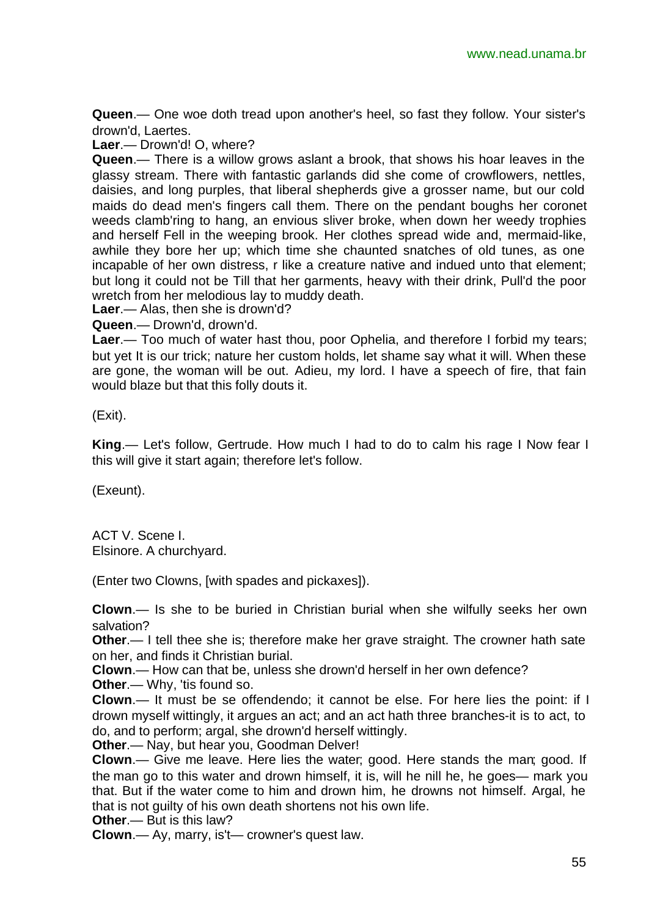**Queen**.— One woe doth tread upon another's heel, so fast they follow. Your sister's drown'd, Laertes.

**Laer**.— Drown'd! O, where?

**Queen**.— There is a willow grows aslant a brook, that shows his hoar leaves in the glassy stream. There with fantastic garlands did she come of crowflowers, nettles, daisies, and long purples, that liberal shepherds give a grosser name, but our cold maids do dead men's fingers call them. There on the pendant boughs her coronet weeds clamb'ring to hang, an envious sliver broke, when down her weedy trophies and herself Fell in the weeping brook. Her clothes spread wide and, mermaid-like, awhile they bore her up; which time she chaunted snatches of old tunes, as one incapable of her own distress, r like a creature native and indued unto that element; but long it could not be Till that her garments, heavy with their drink, Pull'd the poor wretch from her melodious lay to muddy death.

**Laer**.— Alas, then she is drown'd?

**Queen**.— Drown'd, drown'd.

**Laer**.— Too much of water hast thou, poor Ophelia, and therefore I forbid my tears; but yet It is our trick; nature her custom holds, let shame say what it will. When these are gone, the woman will be out. Adieu, my lord. I have a speech of fire, that fain would blaze but that this folly douts it.

(Exit).

**King**.— Let's follow, Gertrude. How much I had to do to calm his rage I Now fear I this will give it start again; therefore let's follow.

(Exeunt).

ACT V. Scene I. Elsinore. A churchyard.

(Enter two Clowns, [with spades and pickaxes]).

**Clown**.— Is she to be buried in Christian burial when she wilfully seeks her own salvation?

**Other**.— I tell thee she is; therefore make her grave straight. The crowner hath sate on her, and finds it Christian burial.

**Clown**.— How can that be, unless she drown'd herself in her own defence?

**Other**.— Why, 'tis found so.

**Clown**.— It must be se offendendo; it cannot be else. For here lies the point: if I drown myself wittingly, it argues an act; and an act hath three branches-it is to act, to do, and to perform; argal, she drown'd herself wittingly.

**Other**.— Nay, but hear you, Goodman Delver!

**Clown**.— Give me leave. Here lies the water; good. Here stands the man; good. If the man go to this water and drown himself, it is, will he nill he, he goes— mark you that. But if the water come to him and drown him, he drowns not himself. Argal, he that is not guilty of his own death shortens not his own life.

**Other**.— But is this law?

**Clown**.— Ay, marry, is't— crowner's quest law.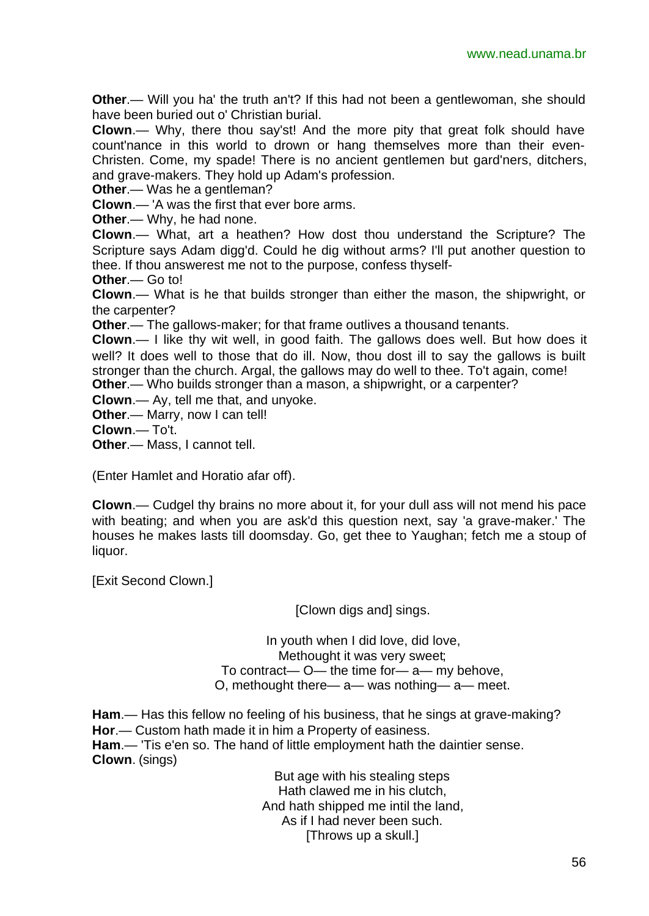**Other.**— Will you ha' the truth an't? If this had not been a gentlewoman, she should have been buried out o' Christian burial.

**Clown**.— Why, there thou say'st! And the more pity that great folk should have count'nance in this world to drown or hang themselves more than their even-Christen. Come, my spade! There is no ancient gentlemen but gard'ners, ditchers, and grave-makers. They hold up Adam's profession.

**Other**.— Was he a gentleman?

**Clown**.— 'A was the first that ever bore arms.

**Other**.— Why, he had none.

**Clown**.— What, art a heathen? How dost thou understand the Scripture? The Scripture says Adam digg'd. Could he dig without arms? I'll put another question to thee. If thou answerest me not to the purpose, confess thyself-

**Other**.— Go to!

**Clown**.— What is he that builds stronger than either the mason, the shipwright, or the carpenter?

**Other**.— The gallows-maker; for that frame outlives a thousand tenants.

**Clown**.— I like thy wit well, in good faith. The gallows does well. But how does it well? It does well to those that do ill. Now, thou dost ill to say the gallows is built stronger than the church. Argal, the gallows may do well to thee. To't again, come!

**Other**.— Who builds stronger than a mason, a shipwright, or a carpenter?

**Clown**.— Ay, tell me that, and unyoke.

**Other**.— Marry, now I can tell!

**Clown**.— To't.

**Other**.— Mass, I cannot tell.

(Enter Hamlet and Horatio afar off).

**Clown**.— Cudgel thy brains no more about it, for your dull ass will not mend his pace with beating; and when you are ask'd this question next, say 'a grave-maker.' The houses he makes lasts till doomsday. Go, get thee to Yaughan; fetch me a stoup of liquor.

[Exit Second Clown.]

[Clown digs and] sings.

In youth when I did love, did love, Methought it was very sweet; To contract— O— the time for— a— my behove, O, methought there— a— was nothing— a— meet.

**Ham**.— Has this fellow no feeling of his business, that he sings at grave-making? **Hor**.— Custom hath made it in him a Property of easiness. **Ham**.— 'Tis e'en so. The hand of little employment hath the daintier sense. **Clown**. (sings)

> But age with his stealing steps Hath clawed me in his clutch, And hath shipped me intil the land, As if I had never been such. [Throws up a skull.]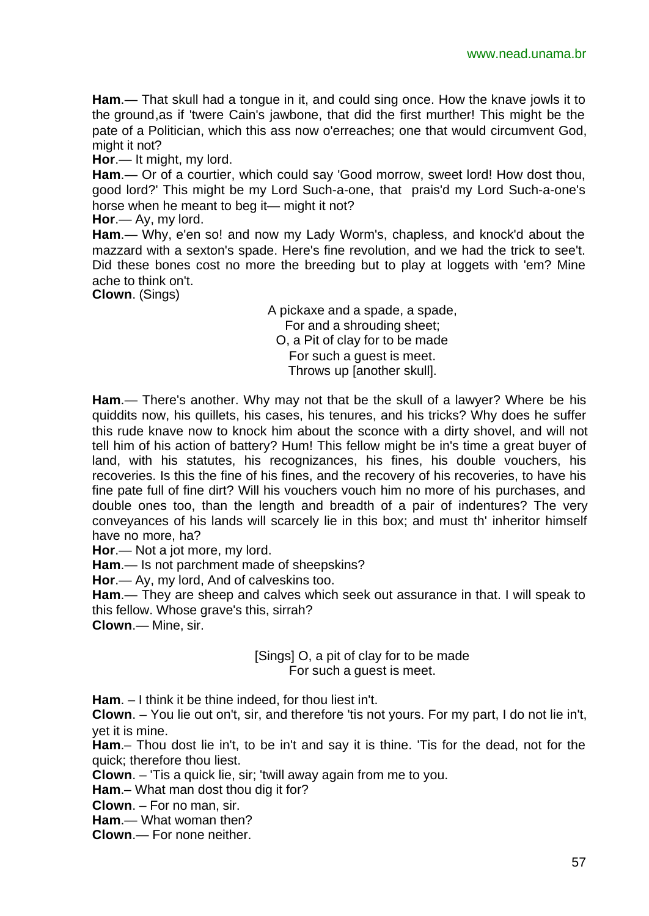**Ham**.— That skull had a tongue in it, and could sing once. How the knave jowls it to the ground,as if 'twere Cain's jawbone, that did the first murther! This might be the pate of a Politician, which this ass now o'erreaches; one that would circumvent God, might it not?

**Hor**.— It might, my lord.

**Ham**.— Or of a courtier, which could say 'Good morrow, sweet lord! How dost thou, good lord?' This might be my Lord Such-a-one, that prais'd my Lord Such-a-one's horse when he meant to beg it— might it not?

**Hor**.— Ay, my lord.

**Ham**.— Why, e'en so! and now my Lady Worm's, chapless, and knock'd about the mazzard with a sexton's spade. Here's fine revolution, and we had the trick to see't. Did these bones cost no more the breeding but to play at loggets with 'em? Mine ache to think on't.

**Clown**. (Sings)

A pickaxe and a spade, a spade, For and a shrouding sheet; O, a Pit of clay for to be made For such a guest is meet. Throws up [another skull].

**Ham**.— There's another. Why may not that be the skull of a lawyer? Where be his quiddits now, his quillets, his cases, his tenures, and his tricks? Why does he suffer this rude knave now to knock him about the sconce with a dirty shovel, and will not tell him of his action of battery? Hum! This fellow might be in's time a great buyer of land, with his statutes, his recognizances, his fines, his double vouchers, his recoveries. Is this the fine of his fines, and the recovery of his recoveries, to have his fine pate full of fine dirt? Will his vouchers vouch him no more of his purchases, and double ones too, than the length and breadth of a pair of indentures? The very conveyances of his lands will scarcely lie in this box; and must th' inheritor himself have no more, ha?

**Hor**.— Not a jot more, my lord.

**Ham**.— Is not parchment made of sheepskins?

**Hor**.— Ay, my lord, And of calveskins too.

**Ham**.— They are sheep and calves which seek out assurance in that. I will speak to this fellow. Whose grave's this, sirrah?

**Clown**.— Mine, sir.

[Sings] O, a pit of clay for to be made For such a guest is meet.

**Ham**. – I think it be thine indeed, for thou liest in't.

**Clown**. – You lie out on't, sir, and therefore 'tis not yours. For my part, I do not lie in't, yet it is mine.

**Ham**.– Thou dost lie in't, to be in't and say it is thine. 'Tis for the dead, not for the quick; therefore thou liest.

**Clown**. – 'Tis a quick lie, sir; 'twill away again from me to you.

**Ham**.– What man dost thou dig it for?

**Clown**. – For no man, sir.

**Ham**.— What woman then?

**Clown**.— For none neither.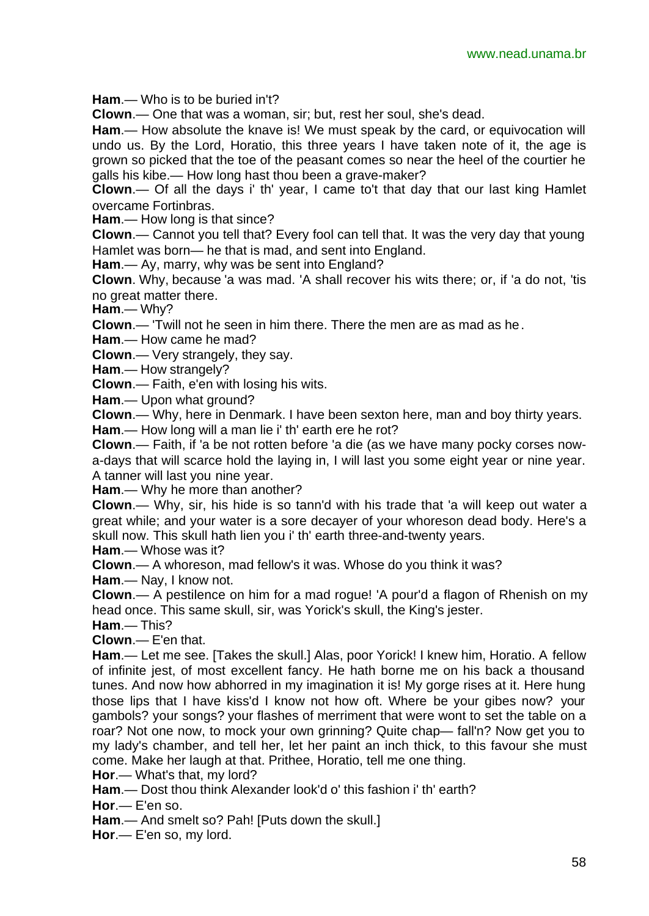**Ham**.— Who is to be buried in't?

**Clown**.— One that was a woman, sir; but, rest her soul, she's dead.

**Ham**.— How absolute the knave is! We must speak by the card, or equivocation will undo us. By the Lord, Horatio, this three years I have taken note of it, the age is grown so picked that the toe of the peasant comes so near the heel of the courtier he galls his kibe.— How long hast thou been a grave-maker?

**Clown**.— Of all the days i' th' year, I came to't that day that our last king Hamlet overcame Fortinbras.

**Ham**.— How long is that since?

**Clown**.— Cannot you tell that? Every fool can tell that. It was the very day that young Hamlet was born— he that is mad, and sent into England.

**Ham**.— Ay, marry, why was be sent into England?

**Clown**. Why, because 'a was mad. 'A shall recover his wits there; or, if 'a do not, 'tis no great matter there.

**Ham**.— Why?

**Clown**.— 'Twill not he seen in him there. There the men are as mad as he.

**Ham**.— How came he mad?

**Clown**.— Very strangely, they say.

**Ham**.— How strangely?

**Clown**.— Faith, e'en with losing his wits.

**Ham.**— Upon what ground?

**Clown**.— Why, here in Denmark. I have been sexton here, man and boy thirty years.

**Ham**.— How long will a man lie i' th' earth ere he rot?

**Clown**.— Faith, if 'a be not rotten before 'a die (as we have many pocky corses nowa-days that will scarce hold the laying in, I will last you some eight year or nine year. A tanner will last you nine year.

**Ham**.— Why he more than another?

**Clown**.— Why, sir, his hide is so tann'd with his trade that 'a will keep out water a great while; and your water is a sore decayer of your whoreson dead body. Here's a skull now. This skull hath lien you i' th' earth three-and-twenty years.

**Ham**.— Whose was it?

**Clown**.— A whoreson, mad fellow's it was. Whose do you think it was?

**Ham**.— Nay, I know not.

**Clown**.— A pestilence on him for a mad rogue! 'A pour'd a flagon of Rhenish on my head once. This same skull, sir, was Yorick's skull, the King's jester.

**Ham**.— This?

**Clown**.— E'en that.

**Ham**.— Let me see. [Takes the skull.] Alas, poor Yorick! I knew him, Horatio. A fellow of infinite jest, of most excellent fancy. He hath borne me on his back a thousand tunes. And now how abhorred in my imagination it is! My gorge rises at it. Here hung those lips that I have kiss'd I know not how oft. Where be your gibes now? your gambols? your songs? your flashes of merriment that were wont to set the table on a roar? Not one now, to mock your own grinning? Quite chap— fall'n? Now get you to my lady's chamber, and tell her, let her paint an inch thick, to this favour she must come. Make her laugh at that. Prithee, Horatio, tell me one thing.

**Hor**.— What's that, my lord?

**Ham**.— Dost thou think Alexander look'd o' this fashion i' th' earth?

**Hor**.— E'en so.

**Ham**.— And smelt so? Pah! [Puts down the skull.]

**Hor**.— E'en so, my lord.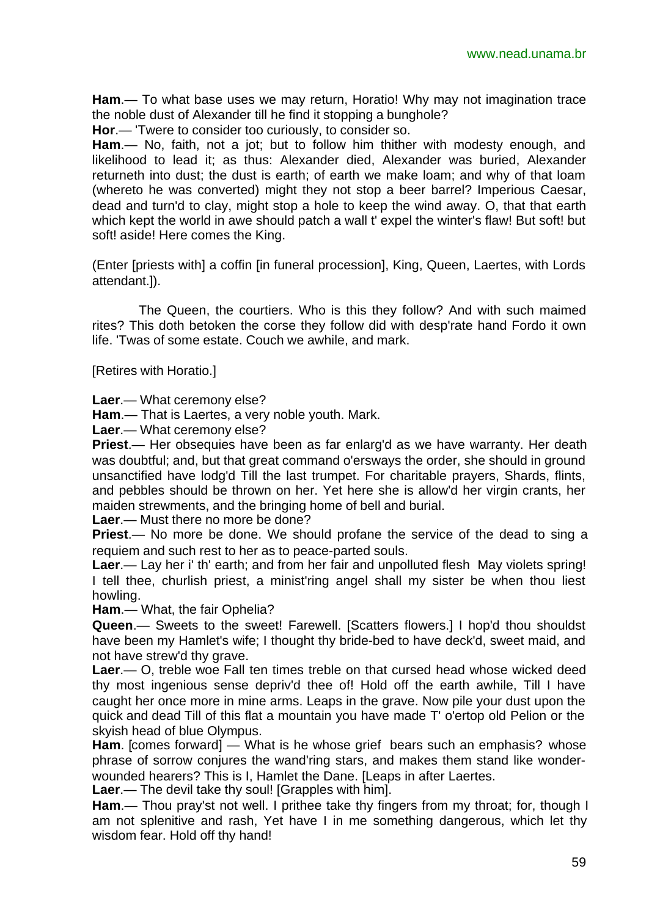**Ham**.— To what base uses we may return, Horatio! Why may not imagination trace the noble dust of Alexander till he find it stopping a bunghole?

**Hor**.— 'Twere to consider too curiously, to consider so.

**Ham**.— No, faith, not a jot; but to follow him thither with modesty enough, and likelihood to lead it; as thus: Alexander died, Alexander was buried, Alexander returneth into dust; the dust is earth; of earth we make loam; and why of that loam (whereto he was converted) might they not stop a beer barrel? Imperious Caesar, dead and turn'd to clay, might stop a hole to keep the wind away. O, that that earth which kept the world in awe should patch a wall t' expel the winter's flaw! But soft! but soft! aside! Here comes the King.

(Enter [priests with] a coffin [in funeral procession], King, Queen, Laertes, with Lords attendant.]).

The Queen, the courtiers. Who is this they follow? And with such maimed rites? This doth betoken the corse they follow did with desp'rate hand Fordo it own life. 'Twas of some estate. Couch we awhile, and mark.

[Retires with Horatio.]

**Laer**.— What ceremony else?

**Ham**.— That is Laertes, a very noble youth. Mark.

**Laer**.— What ceremony else?

**Priest**.— Her obsequies have been as far enlarg'd as we have warranty. Her death was doubtful; and, but that great command o'ersways the order, she should in ground unsanctified have lodg'd Till the last trumpet. For charitable prayers, Shards, flints, and pebbles should be thrown on her. Yet here she is allow'd her virgin crants, her maiden strewments, and the bringing home of bell and burial.

**Laer**.— Must there no more be done?

**Priest**.— No more be done. We should profane the service of the dead to sing a requiem and such rest to her as to peace-parted souls.

**Laer**.— Lay her i' th' earth; and from her fair and unpolluted flesh May violets spring! I tell thee, churlish priest, a minist'ring angel shall my sister be when thou liest howling.

**Ham**.— What, the fair Ophelia?

**Queen**.— Sweets to the sweet! Farewell. [Scatters flowers.] I hop'd thou shouldst have been my Hamlet's wife; I thought thy bride-bed to have deck'd, sweet maid, and not have strew'd thy grave.

**Laer**.— O, treble woe Fall ten times treble on that cursed head whose wicked deed thy most ingenious sense depriv'd thee of! Hold off the earth awhile, Till I have caught her once more in mine arms. Leaps in the grave. Now pile your dust upon the quick and dead Till of this flat a mountain you have made T' o'ertop old Pelion or the skyish head of blue Olympus.

**Ham**. [comes forward] — What is he whose grief bears such an emphasis? whose phrase of sorrow conjures the wand'ring stars, and makes them stand like wonderwounded hearers? This is I, Hamlet the Dane. [Leaps in after Laertes.

**Laer**.— The devil take thy soul! [Grapples with him].

**Ham**.— Thou pray'st not well. I prithee take thy fingers from my throat; for, though I am not splenitive and rash, Yet have I in me something dangerous, which let thy wisdom fear. Hold off thy hand!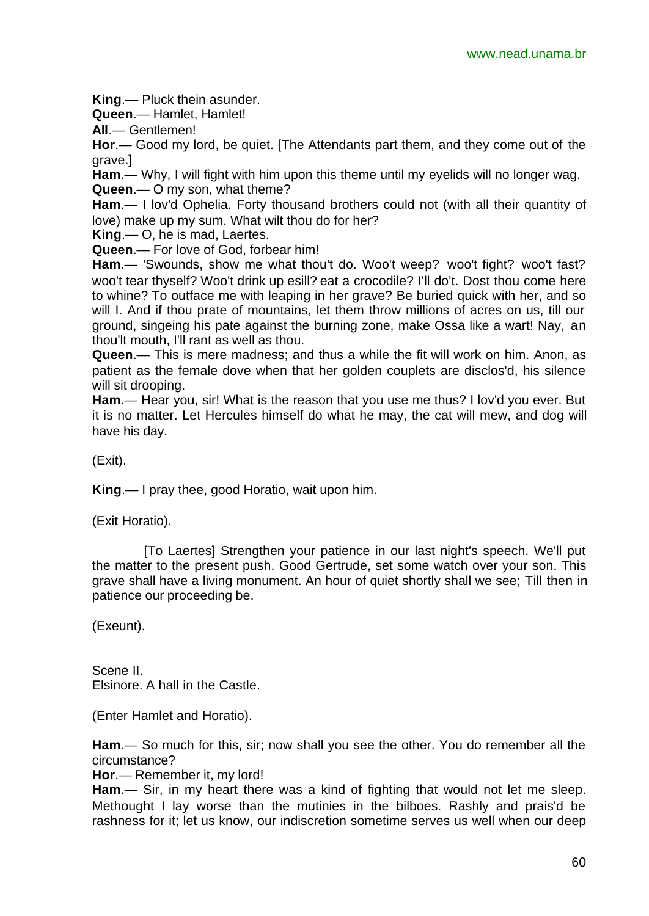**King**.— Pluck thein asunder.

**Queen**.— Hamlet, Hamlet!

**All**.— Gentlemen!

**Hor**.— Good my lord, be quiet. [The Attendants part them, and they come out of the grave.]

**Ham**.— Why, I will fight with him upon this theme until my eyelids will no longer wag. **Queen**.— O my son, what theme?

**Ham**.— I lov'd Ophelia. Forty thousand brothers could not (with all their quantity of love) make up my sum. What wilt thou do for her?

**King**.— O, he is mad, Laertes.

**Queen**.— For love of God, forbear him!

**Ham**.— 'Swounds, show me what thou't do. Woo't weep? woo't fight? woo't fast? woo't tear thyself? Woo't drink up esill? eat a crocodile? I'll do't. Dost thou come here to whine? To outface me with leaping in her grave? Be buried quick with her, and so will I. And if thou prate of mountains, let them throw millions of acres on us, till our ground, singeing his pate against the burning zone, make Ossa like a wart! Nay, an thou'lt mouth, I'll rant as well as thou.

**Queen**.— This is mere madness; and thus a while the fit will work on him. Anon, as patient as the female dove when that her golden couplets are disclos'd, his silence will sit drooping.

**Ham**.— Hear you, sir! What is the reason that you use me thus? I lov'd you ever. But it is no matter. Let Hercules himself do what he may, the cat will mew, and dog will have his day.

(Exit).

**King**.— I pray thee, good Horatio, wait upon him.

(Exit Horatio).

 [To Laertes] Strengthen your patience in our last night's speech. We'll put the matter to the present push. Good Gertrude, set some watch over your son. This grave shall have a living monument. An hour of quiet shortly shall we see; Till then in patience our proceeding be.

(Exeunt).

Scene II. Elsinore. A hall in the Castle.

(Enter Hamlet and Horatio).

**Ham**.— So much for this, sir; now shall you see the other. You do remember all the circumstance?

**Hor**.— Remember it, my lord!

**Ham**.— Sir, in my heart there was a kind of fighting that would not let me sleep. Methought I lay worse than the mutinies in the bilboes. Rashly and prais'd be rashness for it; let us know, our indiscretion sometime serves us well when our deep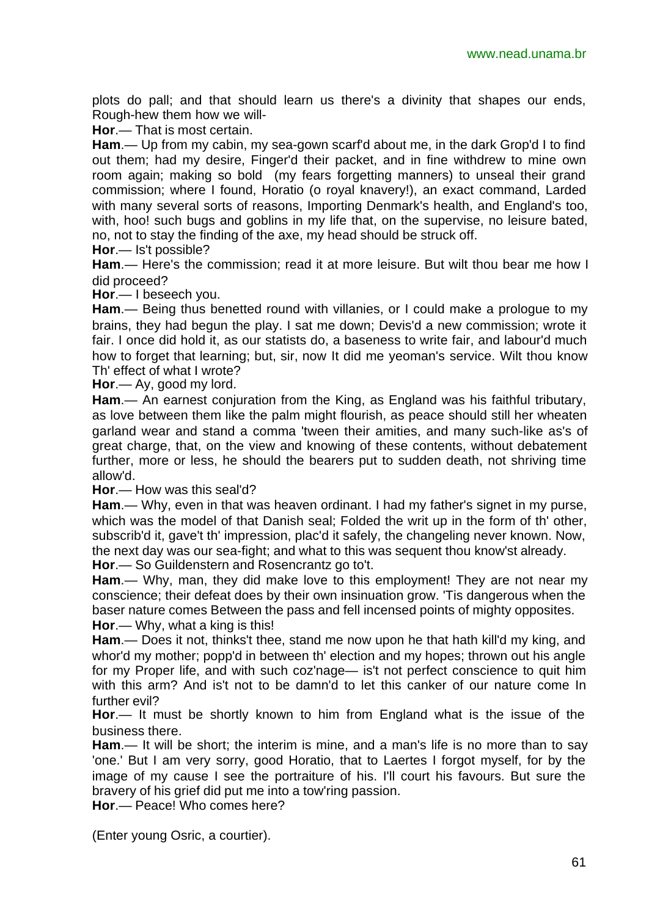plots do pall; and that should learn us there's a divinity that shapes our ends, Rough-hew them how we will-

**Hor**.— That is most certain.

**Ham**.— Up from my cabin, my sea-gown scarf'd about me, in the dark Grop'd I to find out them; had my desire, Finger'd their packet, and in fine withdrew to mine own room again; making so bold (my fears forgetting manners) to unseal their grand commission; where I found, Horatio (o royal knavery!), an exact command, Larded with many several sorts of reasons, Importing Denmark's health, and England's too, with, hoo! such bugs and goblins in my life that, on the supervise, no leisure bated, no, not to stay the finding of the axe, my head should be struck off.

**Hor**.— Is't possible?

**Ham**.— Here's the commission; read it at more leisure. But wilt thou bear me how I did proceed?

**Hor**.— I beseech you.

**Ham**.— Being thus benetted round with villanies, or I could make a prologue to my brains, they had begun the play. I sat me down; Devis'd a new commission; wrote it fair. I once did hold it, as our statists do, a baseness to write fair, and labour'd much how to forget that learning; but, sir, now It did me yeoman's service. Wilt thou know Th' effect of what I wrote?

**Hor**.— Ay, good my lord.

**Ham**.— An earnest conjuration from the King, as England was his faithful tributary, as love between them like the palm might flourish, as peace should still her wheaten garland wear and stand a comma 'tween their amities, and many such-like as's of great charge, that, on the view and knowing of these contents, without debatement further, more or less, he should the bearers put to sudden death, not shriving time allow'd.

**Hor**.— How was this seal'd?

**Ham**.— Why, even in that was heaven ordinant. I had my father's signet in my purse, which was the model of that Danish seal; Folded the writ up in the form of th' other, subscrib'd it, gave't th' impression, plac'd it safely, the changeling never known. Now, the next day was our sea-fight; and what to this was sequent thou know'st already. **Hor**.— So Guildenstern and Rosencrantz go to't.

**Ham**.— Why, man, they did make love to this employment! They are not near my conscience; their defeat does by their own insinuation grow. 'Tis dangerous when the baser nature comes Between the pass and fell incensed points of mighty opposites. **Hor**.— Why, what a king is this!

**Ham**.— Does it not, thinks't thee, stand me now upon he that hath kill'd my king, and whor'd my mother; popp'd in between th' election and my hopes; thrown out his angle for my Proper life, and with such coz'nage— is't not perfect conscience to quit him with this arm? And is't not to be damn'd to let this canker of our nature come In further evil?

**Hor**.— It must be shortly known to him from England what is the issue of the business there.

**Ham**.— It will be short; the interim is mine, and a man's life is no more than to say 'one.' But I am very sorry, good Horatio, that to Laertes I forgot myself, for by the image of my cause I see the portraiture of his. I'll court his favours. But sure the bravery of his grief did put me into a tow'ring passion.

**Hor**.— Peace! Who comes here?

(Enter young Osric, a courtier).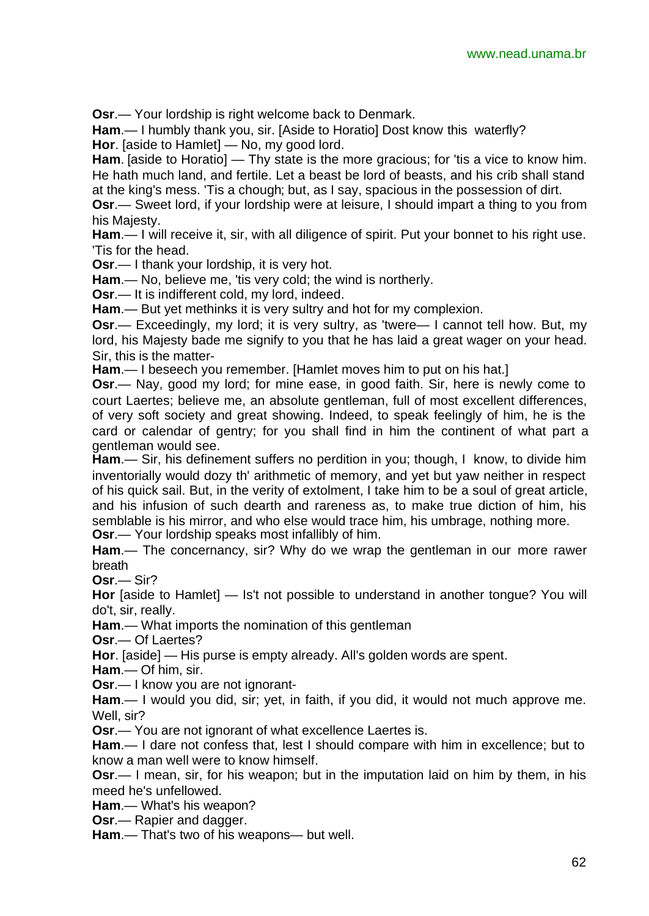**Osr**.— Your lordship is right welcome back to Denmark.

**Ham**.— I humbly thank you, sir. [Aside to Horatio] Dost know this waterfly? **Hor**. [aside to Hamlet] — No, my good lord.

Ham. [aside to Horatio] — Thy state is the more gracious; for 'tis a vice to know him. He hath much land, and fertile. Let a beast be lord of beasts, and his crib shall stand at the king's mess. 'Tis a chough; but, as I say, spacious in the possession of dirt.

**Osr**.— Sweet lord, if your lordship were at leisure, I should impart a thing to you from his Majesty.

**Ham**.— I will receive it, sir, with all diligence of spirit. Put your bonnet to his right use. 'Tis for the head.

**Osr**.— I thank your lordship, it is very hot.

**Ham**.— No, believe me, 'tis very cold; the wind is northerly.

**Osr**.— It is indifferent cold, my lord, indeed.

**Ham**.— But yet methinks it is very sultry and hot for my complexion.

**Osr**.— Exceedingly, my lord; it is very sultry, as 'twere— I cannot tell how. But, my lord, his Majesty bade me signify to you that he has laid a great wager on your head. Sir, this is the matter-

**Ham**.— I beseech you remember. [Hamlet moves him to put on his hat.]

**Osr**.— Nay, good my lord; for mine ease, in good faith. Sir, here is newly come to court Laertes; believe me, an absolute gentleman, full of most excellent differences, of very soft society and great showing. Indeed, to speak feelingly of him, he is the card or calendar of gentry; for you shall find in him the continent of what part a gentleman would see.

**Ham**.— Sir, his definement suffers no perdition in you; though, I know, to divide him inventorially would dozy th' arithmetic of memory, and yet but yaw neither in respect of his quick sail. But, in the verity of extolment, I take him to be a soul of great article, and his infusion of such dearth and rareness as, to make true diction of him, his semblable is his mirror, and who else would trace him, his umbrage, nothing more. **Osr**.— Your lordship speaks most infallibly of him.

**Ham**.— The concernancy, sir? Why do we wrap the gentleman in our more rawer breath

**Osr**.— Sir?

**Hor** [aside to Hamlet] — Is't not possible to understand in another tongue? You will do't, sir, really.

**Ham**.— What imports the nomination of this gentleman

**Osr**.— Of Laertes?

**Hor**. [aside] — His purse is empty already. All's golden words are spent.

**Ham**.— Of him, sir.

**Osr**.— I know you are not ignorant-

**Ham**.— I would you did, sir; yet, in faith, if you did, it would not much approve me. Well, sir?

**Osr**.— You are not ignorant of what excellence Laertes is.

**Ham**.— I dare not confess that, lest I should compare with him in excellence; but to know a man well were to know himself.

**Osr**.— I mean, sir, for his weapon; but in the imputation laid on him by them, in his meed he's unfellowed.

**Ham**.— What's his weapon?

**Osr**.— Rapier and dagger.

**Ham**.— That's two of his weapons— but well.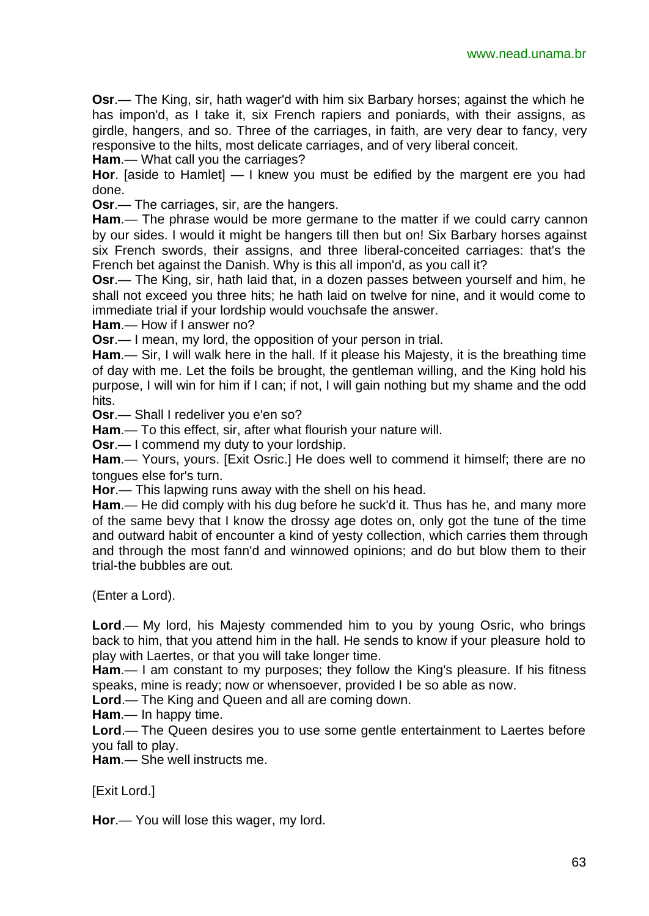**Osr**.— The King, sir, hath wager'd with him six Barbary horses; against the which he has impon'd, as I take it, six French rapiers and poniards, with their assigns, as girdle, hangers, and so. Three of the carriages, in faith, are very dear to fancy, very responsive to the hilts, most delicate carriages, and of very liberal conceit.

**Ham**.— What call you the carriages?

**Hor**. [aside to Hamlet] — I knew you must be edified by the margent ere you had done.

**Osr**.— The carriages, sir, are the hangers.

**Ham**.— The phrase would be more germane to the matter if we could carry cannon by our sides. I would it might be hangers till then but on! Six Barbary horses against six French swords, their assigns, and three liberal-conceited carriages: that's the French bet against the Danish. Why is this all impon'd, as you call it?

**Osr**.— The King, sir, hath laid that, in a dozen passes between yourself and him, he shall not exceed you three hits; he hath laid on twelve for nine, and it would come to immediate trial if your lordship would vouchsafe the answer.

**Ham**.— How if I answer no?

**Osr**.— I mean, my lord, the opposition of your person in trial.

**Ham**.— Sir, I will walk here in the hall. If it please his Majesty, it is the breathing time of day with me. Let the foils be brought, the gentleman willing, and the King hold his purpose, I will win for him if I can; if not, I will gain nothing but my shame and the odd hits.

**Osr**.— Shall I redeliver you e'en so?

**Ham**.— To this effect, sir, after what flourish your nature will.

**Osr**.— I commend my duty to your lordship.

**Ham**.— Yours, yours. [Exit Osric.] He does well to commend it himself; there are no tongues else for's turn.

**Hor**.— This lapwing runs away with the shell on his head.

**Ham**.— He did comply with his dug before he suck'd it. Thus has he, and many more of the same bevy that I know the drossy age dotes on, only got the tune of the time and outward habit of encounter a kind of yesty collection, which carries them through and through the most fann'd and winnowed opinions; and do but blow them to their trial-the bubbles are out.

(Enter a Lord).

**Lord**.— My lord, his Majesty commended him to you by young Osric, who brings back to him, that you attend him in the hall. He sends to know if your pleasure hold to play with Laertes, or that you will take longer time.

**Ham**.— I am constant to my purposes; they follow the King's pleasure. If his fitness speaks, mine is ready; now or whensoever, provided I be so able as now.

**Lord**.— The King and Queen and all are coming down.

**Ham**.— In happy time.

**Lord**.— The Queen desires you to use some gentle entertainment to Laertes before you fall to play.

**Ham**.— She well instructs me.

[Exit Lord.]

**Hor**.— You will lose this wager, my lord.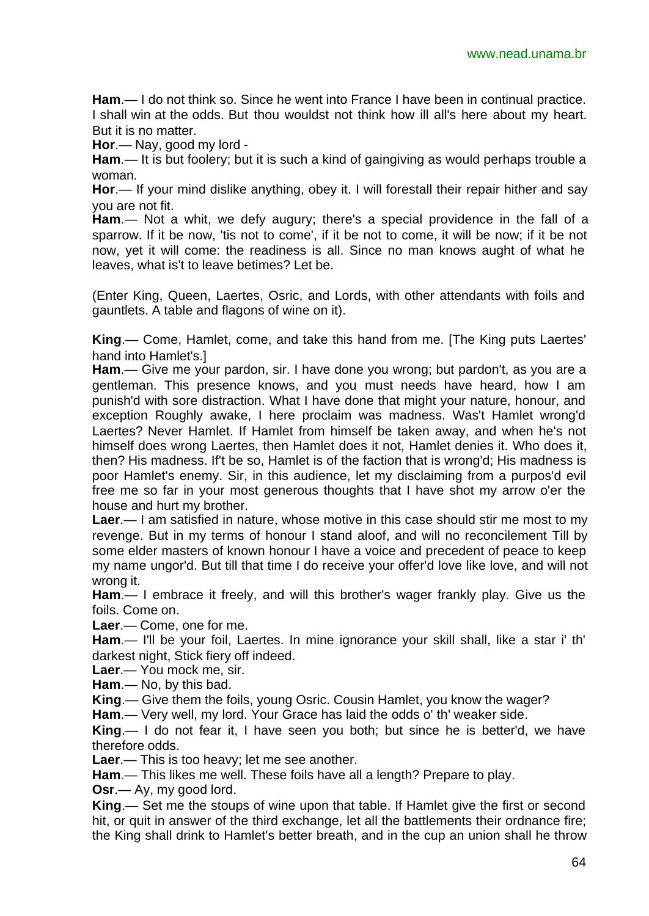**Ham**.— I do not think so. Since he went into France I have been in continual practice. I shall win at the odds. But thou wouldst not think how ill all's here about my heart. But it is no matter.

**Hor**.— Nay, good my lord -

**Ham**.— It is but foolery; but it is such a kind of gaingiving as would perhaps trouble a woman.

**Hor**.— If your mind dislike anything, obey it. I will forestall their repair hither and say you are not fit.

**Ham**.— Not a whit, we defy augury; there's a special providence in the fall of a sparrow. If it be now, 'tis not to come', if it be not to come, it will be now; if it be not now, yet it will come: the readiness is all. Since no man knows aught of what he leaves, what is't to leave betimes? Let be.

(Enter King, Queen, Laertes, Osric, and Lords, with other attendants with foils and gauntlets. A table and flagons of wine on it).

**King**.— Come, Hamlet, come, and take this hand from me. [The King puts Laertes' hand into Hamlet's.]

**Ham**.— Give me your pardon, sir. I have done you wrong; but pardon't, as you are a gentleman. This presence knows, and you must needs have heard, how I am punish'd with sore distraction. What I have done that might your nature, honour, and exception Roughly awake, I here proclaim was madness. Was't Hamlet wrong'd Laertes? Never Hamlet. If Hamlet from himself be taken away, and when he's not himself does wrong Laertes, then Hamlet does it not, Hamlet denies it. Who does it, then? His madness. If't be so, Hamlet is of the faction that is wrong'd; His madness is poor Hamlet's enemy. Sir, in this audience, let my disclaiming from a purpos'd evil free me so far in your most generous thoughts that I have shot my arrow o'er the house and hurt my brother.

**Laer**.— I am satisfied in nature, whose motive in this case should stir me most to my revenge. But in my terms of honour I stand aloof, and will no reconcilement Till by some elder masters of known honour I have a voice and precedent of peace to keep my name ungor'd. But till that time I do receive your offer'd love like love, and will not wrong it.

**Ham**.— I embrace it freely, and will this brother's wager frankly play. Give us the foils. Come on.

**Laer**.— Come, one for me.

**Ham**.— I'll be your foil, Laertes. In mine ignorance your skill shall, like a star i' th' darkest night, Stick fiery off indeed.

**Laer**.— You mock me, sir.

**Ham**.— No, by this bad.

**King**.— Give them the foils, young Osric. Cousin Hamlet, you know the wager?

**Ham**.— Very well, my lord. Your Grace has laid the odds o' th' weaker side.

**King**.— I do not fear it, I have seen you both; but since he is better'd, we have therefore odds.

**Laer**.— This is too heavy; let me see another.

**Ham**.— This likes me well. These foils have all a length? Prepare to play.

**Osr**.— Ay, my good lord.

**King**.— Set me the stoups of wine upon that table. If Hamlet give the first or second hit, or quit in answer of the third exchange, let all the battlements their ordnance fire; the King shall drink to Hamlet's better breath, and in the cup an union shall he throw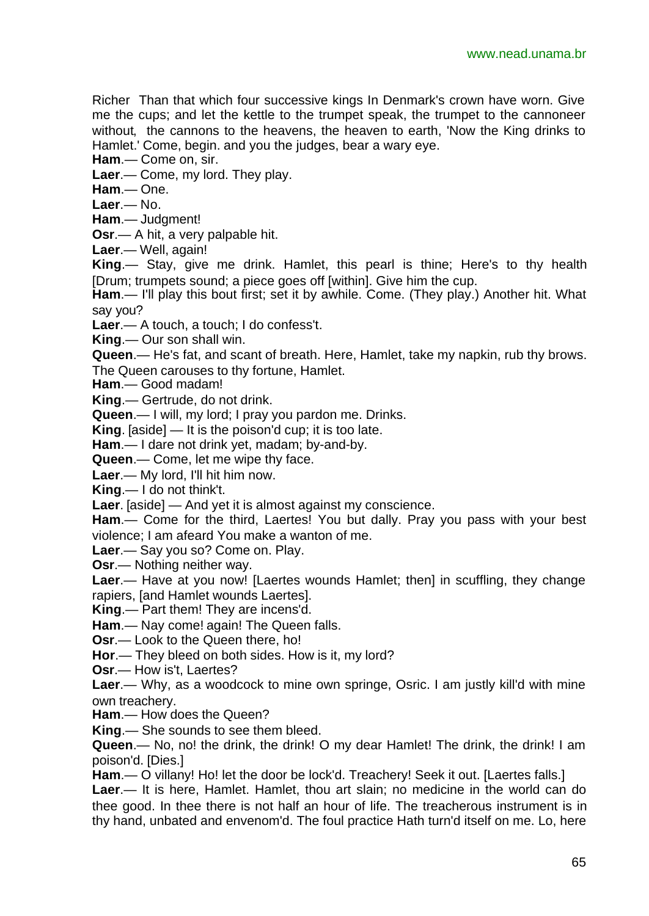Richer Than that which four successive kings In Denmark's crown have worn. Give me the cups; and let the kettle to the trumpet speak, the trumpet to the cannoneer without, the cannons to the heavens, the heaven to earth, 'Now the King drinks to Hamlet.' Come, begin. and you the judges, bear a wary eye.

**Ham**.— Come on, sir.

**Laer**.— Come, my lord. They play.

**Ham**.— One.

**Laer**.— No.

**Ham**.— Judgment!

**Osr**.— A hit, a very palpable hit.

**Laer**.— Well, again!

**King**.— Stay, give me drink. Hamlet, this pearl is thine; Here's to thy health [Drum; trumpets sound; a piece goes off [within]. Give him the cup.

**Ham**.— I'll play this bout first; set it by awhile. Come. (They play.) Another hit. What say you?

**Laer**.— A touch, a touch; I do confess't.

**King**.— Our son shall win.

**Queen**.— He's fat, and scant of breath. Here, Hamlet, take my napkin, rub thy brows. The Queen carouses to thy fortune, Hamlet.

**Ham**.— Good madam!

**King**.— Gertrude, do not drink.

**Queen**.— I will, my lord; I pray you pardon me. Drinks.

**King**. [aside] — It is the poison'd cup; it is too late.

**Ham**.— I dare not drink yet, madam; by-and-by.

**Queen**.— Come, let me wipe thy face.

**Laer**.— My lord, I'll hit him now.

**King**.— I do not think't.

**Laer**. [aside] — And yet it is almost against my conscience.

**Ham**.— Come for the third, Laertes! You but dally. Pray you pass with your best violence; I am afeard You make a wanton of me.

**Laer**.— Say you so? Come on. Play.

**Osr**.— Nothing neither way.

**Laer**.— Have at you now! [Laertes wounds Hamlet; then] in scuffling, they change rapiers, [and Hamlet wounds Laertes].

**King**.— Part them! They are incens'd.

**Ham**.— Nay come! again! The Queen falls.

**Osr**.— Look to the Queen there, ho!

**Hor**.— They bleed on both sides. How is it, my lord?

**Osr**.— How is't, Laertes?

**Laer**.— Why, as a woodcock to mine own springe, Osric. I am justly kill'd with mine own treachery.

**Ham**.— How does the Queen?

**King**.— She sounds to see them bleed.

**Queen**.— No, no! the drink, the drink! O my dear Hamlet! The drink, the drink! I am poison'd. [Dies.]

**Ham**.— O villany! Ho! let the door be lock'd. Treachery! Seek it out. [Laertes falls.]

**Laer**.— It is here, Hamlet. Hamlet, thou art slain; no medicine in the world can do thee good. In thee there is not half an hour of life. The treacherous instrument is in thy hand, unbated and envenom'd. The foul practice Hath turn'd itself on me. Lo, here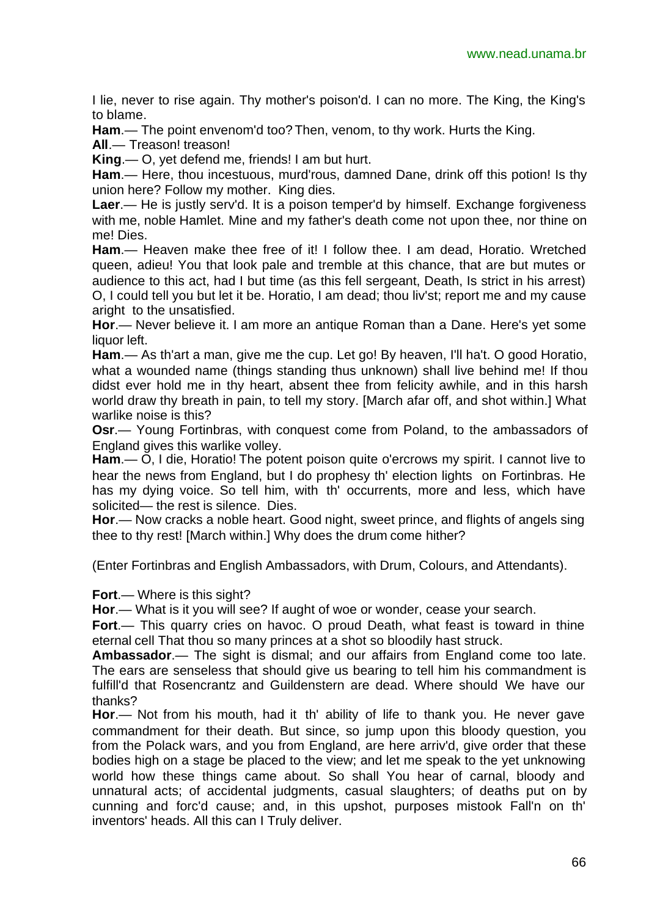I lie, never to rise again. Thy mother's poison'd. I can no more. The King, the King's to blame.

**Ham**.— The point envenom'd too? Then, venom, to thy work. Hurts the King.

**All**.— Treason! treason!

**King**.— O, yet defend me, friends! I am but hurt.

**Ham**.— Here, thou incestuous, murd'rous, damned Dane, drink off this potion! Is thy union here? Follow my mother. King dies.

**Laer**.— He is justly serv'd. It is a poison temper'd by himself. Exchange forgiveness with me, noble Hamlet. Mine and my father's death come not upon thee, nor thine on me! Dies.

**Ham**.— Heaven make thee free of it! I follow thee. I am dead, Horatio. Wretched queen, adieu! You that look pale and tremble at this chance, that are but mutes or audience to this act, had I but time (as this fell sergeant, Death, Is strict in his arrest) O, I could tell you but let it be. Horatio, I am dead; thou liv'st; report me and my cause aright to the unsatisfied.

**Hor**.— Never believe it. I am more an antique Roman than a Dane. Here's yet some liquor left.

**Ham**.— As th'art a man, give me the cup. Let go! By heaven, I'll ha't. O good Horatio, what a wounded name (things standing thus unknown) shall live behind me! If thou didst ever hold me in thy heart, absent thee from felicity awhile, and in this harsh world draw thy breath in pain, to tell my story. [March afar off, and shot within.] What warlike noise is this?

**Osr**.— Young Fortinbras, with conquest come from Poland, to the ambassadors of England gives this warlike volley.

**Ham**.— O, I die, Horatio! The potent poison quite o'ercrows my spirit. I cannot live to hear the news from England, but I do prophesy th' election lights on Fortinbras. He has my dying voice. So tell him, with th' occurrents, more and less, which have solicited— the rest is silence. Dies.

**Hor**.— Now cracks a noble heart. Good night, sweet prince, and flights of angels sing thee to thy rest! [March within.] Why does the drum come hither?

(Enter Fortinbras and English Ambassadors, with Drum, Colours, and Attendants).

**Fort**.— Where is this sight?

**Hor**.— What is it you will see? If aught of woe or wonder, cease your search.

**Fort**.— This quarry cries on havoc. O proud Death, what feast is toward in thine eternal cell That thou so many princes at a shot so bloodily hast struck.

**Ambassador**.— The sight is dismal; and our affairs from England come too late. The ears are senseless that should give us bearing to tell him his commandment is fulfill'd that Rosencrantz and Guildenstern are dead. Where should We have our thanks?

**Hor**.— Not from his mouth, had it th' ability of life to thank you. He never gave commandment for their death. But since, so jump upon this bloody question, you from the Polack wars, and you from England, are here arriv'd, give order that these bodies high on a stage be placed to the view; and let me speak to the yet unknowing world how these things came about. So shall You hear of carnal, bloody and unnatural acts; of accidental judgments, casual slaughters; of deaths put on by cunning and forc'd cause; and, in this upshot, purposes mistook Fall'n on th' inventors' heads. All this can I Truly deliver.